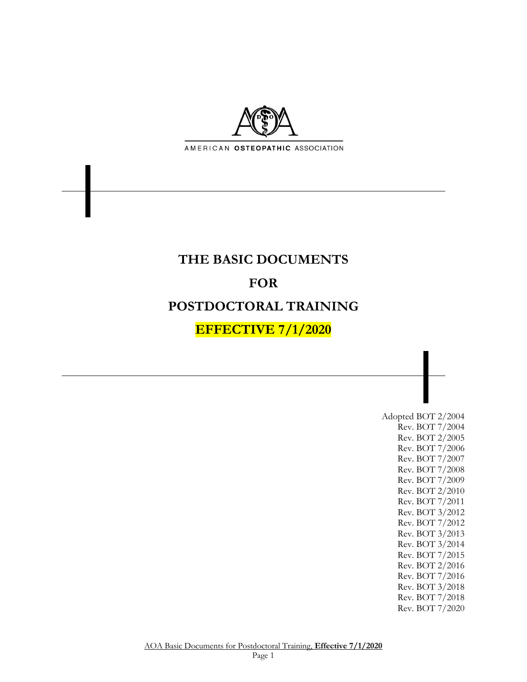

# **THE BASIC DOCUMENTS FOR POSTDOCTORAL TRAINING EFFECTIVE 7/1/2020**

Adopted BOT 2/2004 Rev. BOT 7/2004 Rev. BOT 2/2005 Rev. BOT 7/2006 Rev. BOT 7/2007 Rev. BOT 7/2008 Rev. BOT 7/2009 Rev. BOT 2/2010 Rev. BOT 7/2011 Rev. BOT 3/2012 Rev. BOT 7/2012 Rev. BOT 3/2013 Rev. BOT 3/2014 Rev. BOT 7/2015 Rev. BOT 2/2016 Rev. BOT 7/2016 Rev. BOT 3/2018 Rev. BOT 7/2018 Rev. BOT 7/2020

AOA Basic Documents for Postdoctoral Training, **Effective 7/1/2020** Page 1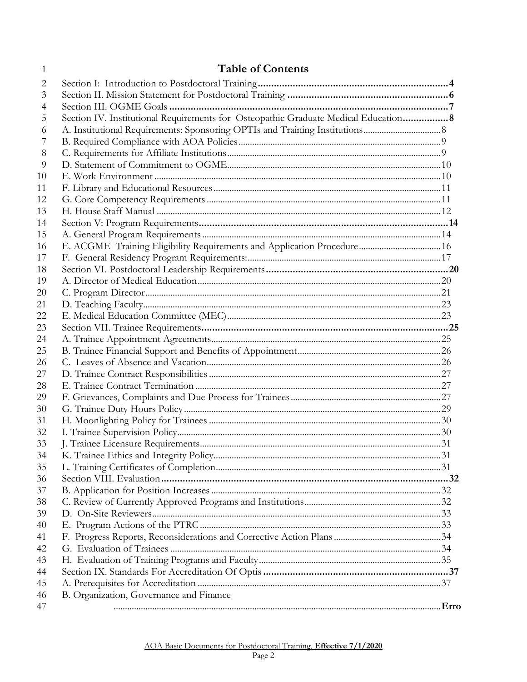# $\mathbf{1}$

# **Table of Contents**

| 2  |                                                                                     |  |
|----|-------------------------------------------------------------------------------------|--|
| 3  |                                                                                     |  |
| 4  |                                                                                     |  |
| 5  | Section IV. Institutional Requirements for Osteopathic Graduate Medical Education 8 |  |
| 6  |                                                                                     |  |
| 7  |                                                                                     |  |
| 8  |                                                                                     |  |
| 9  |                                                                                     |  |
| 10 |                                                                                     |  |
| 11 |                                                                                     |  |
| 12 |                                                                                     |  |
| 13 |                                                                                     |  |
| 14 |                                                                                     |  |
| 15 |                                                                                     |  |
| 16 | E. ACGME Training Eligibility Requirements and Application Procedure 16             |  |
| 17 |                                                                                     |  |
| 18 |                                                                                     |  |
| 19 |                                                                                     |  |
| 20 |                                                                                     |  |
| 21 |                                                                                     |  |
| 22 |                                                                                     |  |
| 23 |                                                                                     |  |
| 24 |                                                                                     |  |
| 25 |                                                                                     |  |
| 26 |                                                                                     |  |
| 27 |                                                                                     |  |
| 28 |                                                                                     |  |
| 29 |                                                                                     |  |
| 30 |                                                                                     |  |
| 31 |                                                                                     |  |
| 32 |                                                                                     |  |
| 33 |                                                                                     |  |
| 34 |                                                                                     |  |
| 35 |                                                                                     |  |
| 36 |                                                                                     |  |
| 37 |                                                                                     |  |
| 38 |                                                                                     |  |
| 39 |                                                                                     |  |
| 40 |                                                                                     |  |
| 41 |                                                                                     |  |
| 42 |                                                                                     |  |
| 43 |                                                                                     |  |
| 44 |                                                                                     |  |
| 45 |                                                                                     |  |
| 46 | B. Organization, Governance and Finance                                             |  |
| 47 |                                                                                     |  |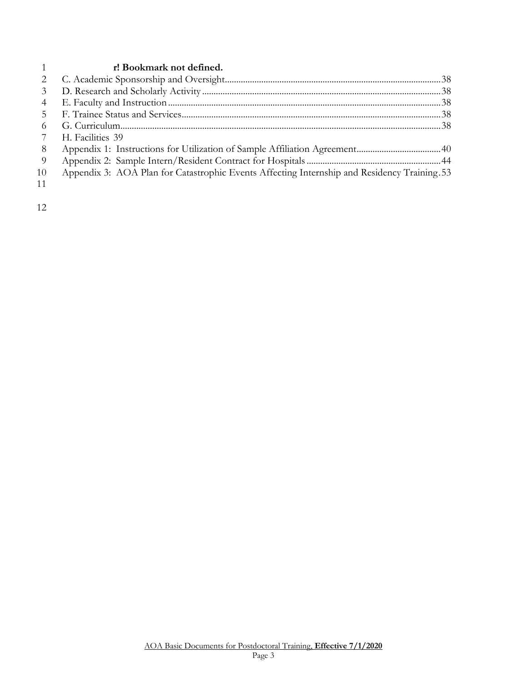#### **r! Bookmark not defined.**

| 6   |                                                                                             |  |
|-----|---------------------------------------------------------------------------------------------|--|
|     | H. Facilities 39                                                                            |  |
| -8  |                                                                                             |  |
| - 9 |                                                                                             |  |
| 10  | Appendix 3: AOA Plan for Catastrophic Events Affecting Internship and Residency Training 53 |  |
| 11  |                                                                                             |  |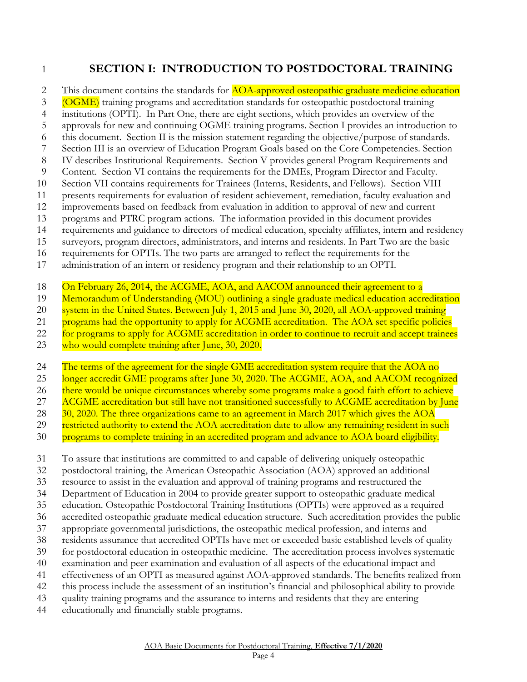# <span id="page-3-0"></span>**SECTION I: INTRODUCTION TO POSTDOCTORAL TRAINING**

2 This document contains the standards for **AOA-approved osteopathic graduate medicine education** 

- (OGME) training programs and accreditation standards for osteopathic postdoctoral training
- institutions (OPTI). In Part One, there are eight sections, which provides an overview of the approvals for new and continuing OGME training programs. Section I provides an introduction to
- this document. Section II is the mission statement regarding the objective/purpose of standards.
- Section III is an overview of Education Program Goals based on the Core Competencies. Section
- IV describes Institutional Requirements. Section V provides general Program Requirements and
- Content. Section VI contains the requirements for the DMEs, Program Director and Faculty.
- Section VII contains requirements for Trainees (Interns, Residents, and Fellows). Section VIII
- presents requirements for evaluation of resident achievement, remediation, faculty evaluation and
- improvements based on feedback from evaluation in addition to approval of new and current
- programs and PTRC program actions. The information provided in this document provides
- requirements and guidance to directors of medical education, specialty affiliates, intern and residency
- surveyors, program directors, administrators, and interns and residents. In Part Two are the basic
- requirements for OPTIs. The two parts are arranged to reflect the requirements for the
- administration of an intern or residency program and their relationship to an OPTI.
- On February 26, 2014, the ACGME, AOA, and AACOM announced their agreement to a
- 19 Memorandum of Understanding (MOU) outlining a single graduate medical education accreditation
- 20 system in the United States. Between July 1, 2015 and June 30, 2020, all AOA-approved training
- 21 programs had the opportunity to apply for ACGME accreditation. The AOA set specific policies
- 22 for programs to apply for ACGME accreditation in order to continue to recruit and accept trainees
- 23 who would complete training after June, 30, 2020.
- 24 The terms of the agreement for the single GME accreditation system require that the AOA no
- 25 longer accredit GME programs after June 30, 2020. The ACGME, AOA, and AACOM recognized
- there would be unique circumstances whereby some programs make a good faith effort to achieve
- 27 ACGME accreditation but still have not transitioned successfully to ACGME accreditation by June
- 28 30, 2020. The three organizations came to an agreement in March 2017 which gives the AOA
- restricted authority to extend the AOA accreditation date to allow any remaining resident in such
- programs to complete training in an accredited program and advance to AOA board eligibility.
- To assure that institutions are committed to and capable of delivering uniquely osteopathic
- postdoctoral training, the American Osteopathic Association (AOA) approved an additional
- resource to assist in the evaluation and approval of training programs and restructured the
- Department of Education in 2004 to provide greater support to osteopathic graduate medical
- education. Osteopathic Postdoctoral Training Institutions (OPTIs) were approved as a required
- accredited osteopathic graduate medical education structure. Such accreditation provides the public
- appropriate governmental jurisdictions, the osteopathic medical profession, and interns and
- residents assurance that accredited OPTIs have met or exceeded basic established levels of quality
- for postdoctoral education in osteopathic medicine. The accreditation process involves systematic
- examination and peer examination and evaluation of all aspects of the educational impact and
- effectiveness of an OPTI as measured against AOA-approved standards. The benefits realized from
- this process include the assessment of an institution's financial and philosophical ability to provide
- quality training programs and the assurance to interns and residents that they are entering
- educationally and financially stable programs.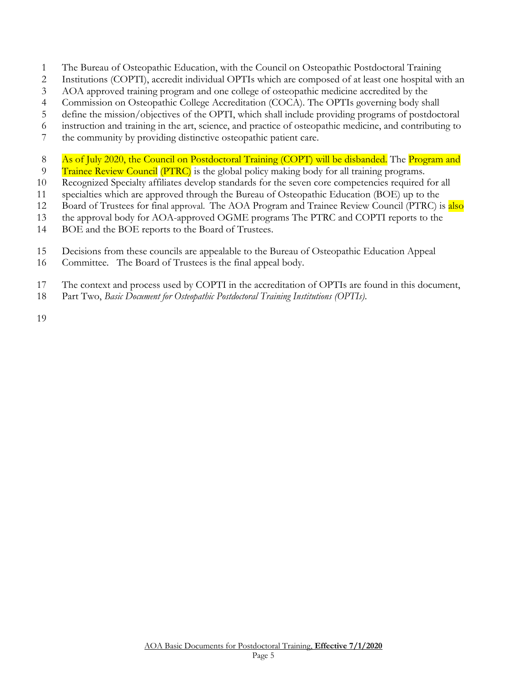- The Bureau of Osteopathic Education, with the Council on Osteopathic Postdoctoral Training
- Institutions (COPTI), accredit individual OPTIs which are composed of at least one hospital with an
- AOA approved training program and one college of osteopathic medicine accredited by the
- Commission on Osteopathic College Accreditation (COCA). The OPTIs governing body shall
- define the mission/objectives of the OPTI, which shall include providing programs of postdoctoral
- instruction and training in the art, science, and practice of osteopathic medicine, and contributing to
- the community by providing distinctive osteopathic patient care.
- 8 As of July 2020, the Council on Postdoctoral Training (COPT) will be disbanded. The Program and
- 9 Trainee Review Council (PTRC) is the global policy making body for all training programs.
- Recognized Specialty affiliates develop standards for the seven core competencies required for all
- specialties which are approved through the Bureau of Osteopathic Education (BOE) up to the
- 12 Board of Trustees for final approval. The AOA Program and Trainee Review Council (PTRC) is also
- the approval body for AOA-approved OGME programs The PTRC and COPTI reports to the
- BOE and the BOE reports to the Board of Trustees.
- Decisions from these councils are appealable to the Bureau of Osteopathic Education Appeal
- Committee. The Board of Trustees is the final appeal body.
- The context and process used by COPTI in the accreditation of OPTIs are found in this document,
- Part Two, *Basic Document for Osteopathic Postdoctoral Training Institutions (OPTIs)*.
-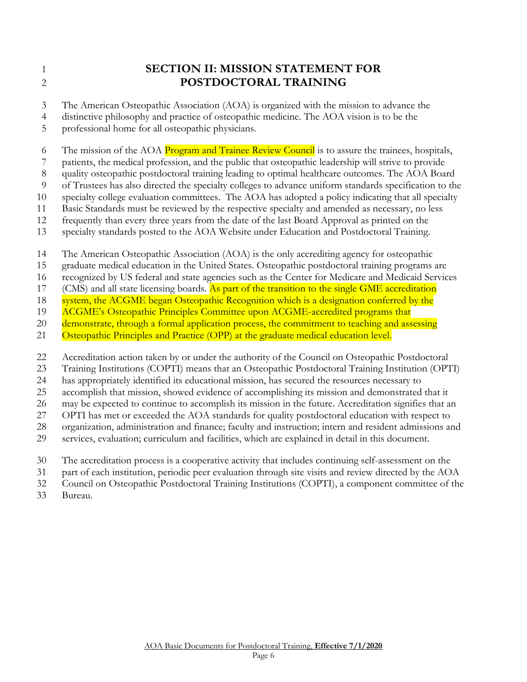# <span id="page-5-0"></span> **SECTION II: MISSION STATEMENT FOR POSTDOCTORAL TRAINING**

The American Osteopathic Association (AOA) is organized with the mission to advance the

distinctive philosophy and practice of osteopathic medicine. The AOA vision is to be the

professional home for all osteopathic physicians.

6 The mission of the AOA Program and Trainee Review Council is to assure the trainees, hospitals,

patients, the medical profession, and the public that osteopathic leadership will strive to provide

quality osteopathic postdoctoral training leading to optimal healthcare outcomes. The AOA Board

of Trustees has also directed the specialty colleges to advance uniform standards specification to the

specialty college evaluation committees. The AOA has adopted a policy indicating that all specialty

Basic Standards must be reviewed by the respective specialty and amended as necessary, no less

frequently than every three years from the date of the last Board Approval as printed on the

specialty standards posted to the AOA Website under Education and Postdoctoral Training.

The American Osteopathic Association (AOA) is the only accrediting agency for osteopathic

graduate medical education in the United States. Osteopathic postdoctoral training programs are

recognized by US federal and state agencies such as the Center for Medicare and Medicaid Services

17 (CMS) and all state licensing boards. As part of the transition to the single GME accreditation

18 system, the ACGME began Osteopathic Recognition which is a designation conferred by the

19 ACGME's Osteopathic Principles Committee upon ACGME-accredited programs that

20 demonstrate, through a formal application process, the commitment to teaching and assessing

21 Osteopathic Principles and Practice (OPP) at the graduate medical education level.

Accreditation action taken by or under the authority of the Council on Osteopathic Postdoctoral

Training Institutions (COPTI) means that an Osteopathic Postdoctoral Training Institution (OPTI)

has appropriately identified its educational mission, has secured the resources necessary to

accomplish that mission, showed evidence of accomplishing its mission and demonstrated that it

may be expected to continue to accomplish its mission in the future. Accreditation signifies that an

 OPTI has met or exceeded the AOA standards for quality postdoctoral education with respect to organization, administration and finance; faculty and instruction; intern and resident admissions and

services, evaluation; curriculum and facilities, which are explained in detail in this document.

The accreditation process is a cooperative activity that includes continuing self-assessment on the

part of each institution, periodic peer evaluation through site visits and review directed by the AOA

Council on Osteopathic Postdoctoral Training Institutions (COPTI), a component committee of the

Bureau.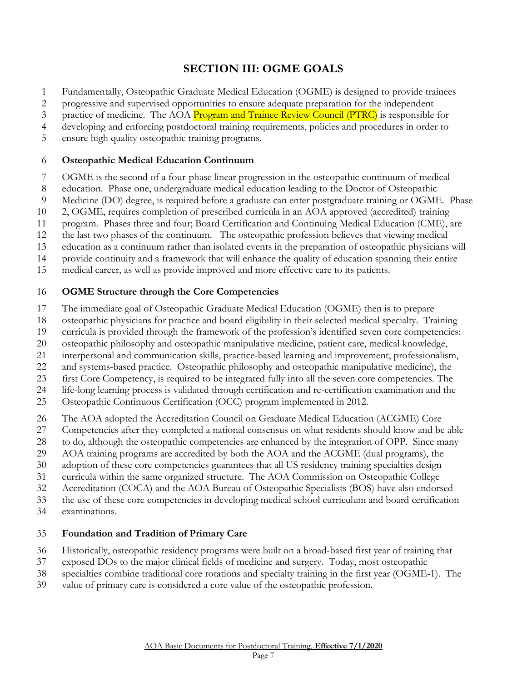# **SECTION III: OGME GOALS**

- <span id="page-6-0"></span>Fundamentally, Osteopathic Graduate Medical Education (OGME) is designed to provide trainees
- progressive and supervised opportunities to ensure adequate preparation for the independent
- 3 practice of medicine. The AOA Program and Trainee Review Council (PTRC) is responsible for
- developing and enforcing postdoctoral training requirements, policies and procedures in order to
- ensure high quality osteopathic training programs.

#### **Osteopathic Medical Education Continuum**

- OGME is the second of a four-phase linear progression in the osteopathic continuum of medical
- education. Phase one, undergraduate medical education leading to the Doctor of Osteopathic
- Medicine (DO) degree, is required before a graduate can enter postgraduate training or OGME. Phase
- 2, OGME, requires completion of prescribed curricula in an AOA approved (accredited) training
- program. Phases three and four; Board Certification and Continuing Medical Education (CME), are
- the last two phases of the continuum. The osteopathic profession believes that viewing medical
- education as a continuum rather than isolated events in the preparation of osteopathic physicians will
- provide continuity and a framework that will enhance the quality of education spanning their entire
- medical career, as well as provide improved and more effective care to its patients.

#### **OGME Structure through the Core Competencies**

- The immediate goal of Osteopathic Graduate Medical Education (OGME) then is to prepare
- osteopathic physicians for practice and board eligibility in their selected medical specialty. Training
- curricula is provided through the framework of the profession's identified seven core competencies:
- osteopathic philosophy and osteopathic manipulative medicine, patient care, medical knowledge,
- interpersonal and communication skills, practice-based learning and improvement, professionalism,
- and systems-based practice. Osteopathic philosophy and osteopathic manipulative medicine), the
- first Core Competency, is required to be integrated fully into all the seven core competencies. The
- life-long learning process is validated through certification and re-certification examination and the
- Osteopathic Continuous Certification (OCC) program implemented in 2012.
- The AOA adopted the Accreditation Council on Graduate Medical Education (ACGME) Core
- Competencies after they completed a national consensus on what residents should know and be able
- to do, although the osteopathic competencies are enhanced by the integration of OPP. Since many
- AOA training programs are accredited by both the AOA and the ACGME (dual programs), the
- adoption of these core competencies guarantees that all US residency training specialties design
- curricula within the same organized structure. The AOA Commission on Osteopathic College
- Accreditation (COCA) and the AOA Bureau of Osteopathic Specialists (BOS) have also endorsed
- the use of these core competencies in developing medical school curriculum and board certification
- examinations.

### **Foundation and Tradition of Primary Care**

- Historically, osteopathic residency programs were built on a broad-based first year of training that
- exposed DOs to the major clinical fields of medicine and surgery. Today, most osteopathic
- specialties combine traditional core rotations and specialty training in the first year (OGME-1). The
- value of primary care is considered a core value of the osteopathic profession.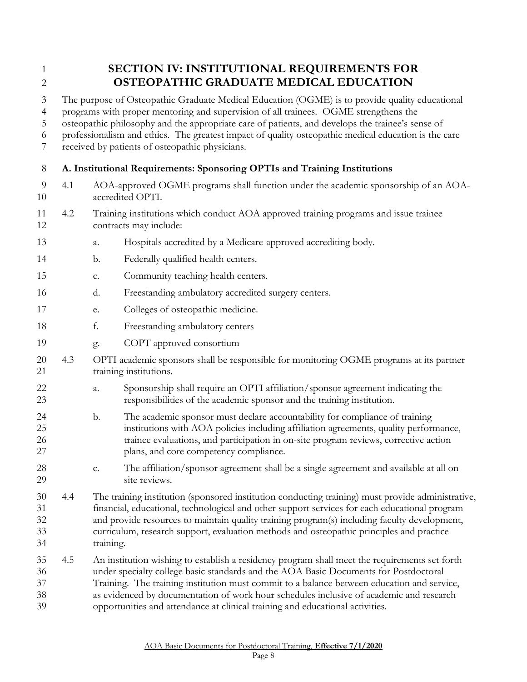# <span id="page-7-0"></span> **SECTION IV: INSTITUTIONAL REQUIREMENTS FOR OSTEOPATHIC GRADUATE MEDICAL EDUCATION**

The purpose of Osteopathic Graduate Medical Education (OGME) is to provide quality educational

programs with proper mentoring and supervision of all trainees. OGME strengthens the

osteopathic philosophy and the appropriate care of patients, and develops the trainee's sense of

professionalism and ethics. The greatest impact of quality osteopathic medical education is the care

received by patients of osteopathic physicians.

# <span id="page-7-1"></span>**A. Institutional Requirements: Sponsoring OPTIs and Training Institutions**

- 4.1 AOA-approved OGME programs shall function under the academic sponsorship of an AOA-accredited OPTI.
- 4.2 Training institutions which conduct AOA approved training programs and issue trainee contracts may include:
- a. Hospitals accredited by a Medicare-approved accrediting body.
- b. Federally qualified health centers.
- c. Community teaching health centers.
- d. Freestanding ambulatory accredited surgery centers.
- e. Colleges of osteopathic medicine.
- f. Freestanding ambulatory centers
- g. COPT approved consortium
- 4.3 OPTI academic sponsors shall be responsible for monitoring OGME programs at its partner 21 training institutions.
- a. Sponsorship shall require an OPTI affiliation/sponsor agreement indicating the responsibilities of the academic sponsor and the training institution.
- b. The academic sponsor must declare accountability for compliance of training institutions with AOA policies including affiliation agreements, quality performance, trainee evaluations, and participation in on-site program reviews, corrective action plans, and core competency compliance.
- c. The affiliation/sponsor agreement shall be a single agreement and available at all on-site reviews.
- 4.4 The training institution (sponsored institution conducting training) must provide administrative, financial, educational, technological and other support services for each educational program and provide resources to maintain quality training program(s) including faculty development, curriculum, research support, evaluation methods and osteopathic principles and practice training.
- 4.5 An institution wishing to establish a residency program shall meet the requirements set forth under specialty college basic standards and the AOA Basic Documents for Postdoctoral Training. The training institution must commit to a balance between education and service, as evidenced by documentation of work hour schedules inclusive of academic and research opportunities and attendance at clinical training and educational activities.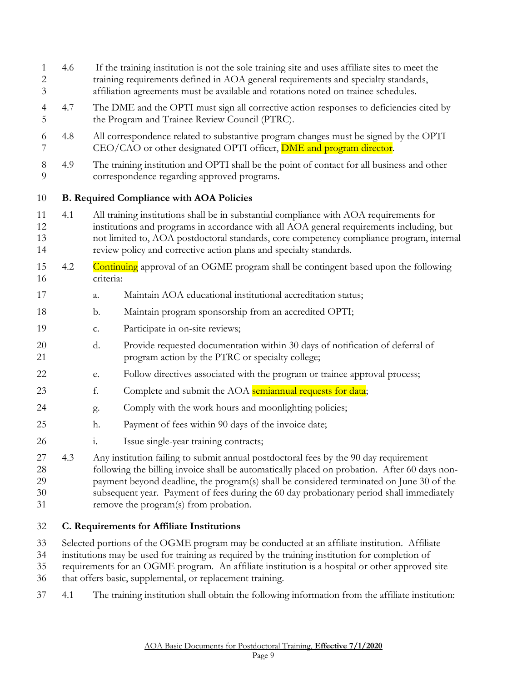<span id="page-8-0"></span> 4.6 If the training institution is not the sole training site and uses affiliate sites to meet the training requirements defined in AOA general requirements and specialty standards, affiliation agreements must be available and rotations noted on trainee schedules. 4.7 The DME and the OPTI must sign all corrective action responses to deficiencies cited by the Program and Trainee Review Council (PTRC). 4.8 All correspondence related to substantive program changes must be signed by the OPTI 7 CEO/CAO or other designated OPTI officer, **DME** and program director. 4.9 The training institution and OPTI shall be the point of contact for all business and other correspondence regarding approved programs. **B. Required Compliance with AOA Policies** 4.1 All training institutions shall be in substantial compliance with AOA requirements for institutions and programs in accordance with all AOA general requirements including, but not limited to, AOA postdoctoral standards, core competency compliance program, internal review policy and corrective action plans and specialty standards. 4.2 Continuing approval of an OGME program shall be contingent based upon the following criteria: a. Maintain AOA educational institutional accreditation status; b. Maintain program sponsorship from an accredited OPTI; c. Participate in on-site reviews; d. Provide requested documentation within 30 days of notification of deferral of program action by the PTRC or specialty college; e. Follow directives associated with the program or trainee approval process; 23 f. Complete and submit the AOA semiannual requests for data; g. Comply with the work hours and moonlighting policies; h. Payment of fees within 90 days of the invoice date; i. Issue single-year training contracts; 4.3 Any institution failing to submit annual postdoctoral fees by the 90 day requirement following the billing invoice shall be automatically placed on probation. After 60 days non- payment beyond deadline, the program(s) shall be considered terminated on June 30 of the subsequent year. Payment of fees during the 60 day probationary period shall immediately remove the program(s) from probation.

### <span id="page-8-1"></span>**C. Requirements for Affiliate Institutions**

Selected portions of the OGME program may be conducted at an affiliate institution. Affiliate

- institutions may be used for training as required by the training institution for completion of
- requirements for an OGME program. An affiliate institution is a hospital or other approved site
- that offers basic, supplemental, or replacement training.
- 4.1 The training institution shall obtain the following information from the affiliate institution: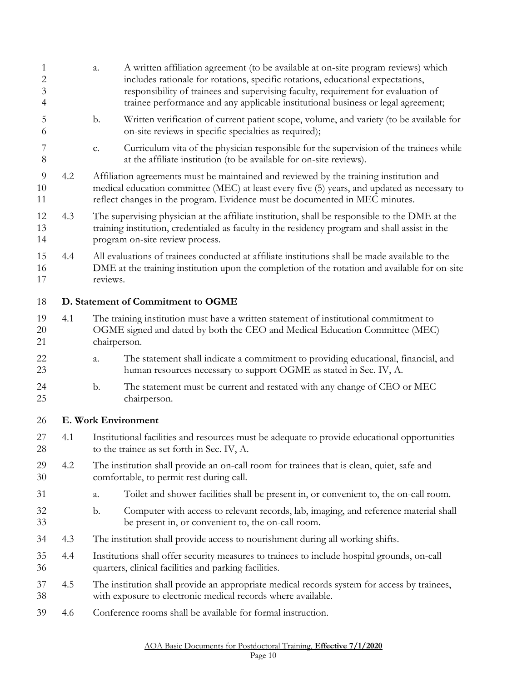<span id="page-9-1"></span><span id="page-9-0"></span>

| $\mathbf{1}$<br>2<br>3<br>4 |     | a.             | A written affiliation agreement (to be available at on-site program reviews) which<br>includes rationale for rotations, specific rotations, educational expectations,<br>responsibility of trainees and supervising faculty, requirement for evaluation of<br>trainee performance and any applicable institutional business or legal agreement; |
|-----------------------------|-----|----------------|-------------------------------------------------------------------------------------------------------------------------------------------------------------------------------------------------------------------------------------------------------------------------------------------------------------------------------------------------|
| 5<br>6                      |     | $\mathbf{b}$ . | Written verification of current patient scope, volume, and variety (to be available for<br>on-site reviews in specific specialties as required);                                                                                                                                                                                                |
| 7<br>8                      |     | c.             | Curriculum vita of the physician responsible for the supervision of the trainees while<br>at the affiliate institution (to be available for on-site reviews).                                                                                                                                                                                   |
| 9<br>10<br>11               | 4.2 |                | Affiliation agreements must be maintained and reviewed by the training institution and<br>medical education committee (MEC) at least every five (5) years, and updated as necessary to<br>reflect changes in the program. Evidence must be documented in MEC minutes.                                                                           |
| 12<br>13<br>14              | 4.3 |                | The supervising physician at the affiliate institution, shall be responsible to the DME at the<br>training institution, credentialed as faculty in the residency program and shall assist in the<br>program on-site review process.                                                                                                             |
| 15<br>16<br>17              | 4.4 | reviews.       | All evaluations of trainees conducted at affiliate institutions shall be made available to the<br>DME at the training institution upon the completion of the rotation and available for on-site                                                                                                                                                 |
| 18                          |     |                | D. Statement of Commitment to OGME                                                                                                                                                                                                                                                                                                              |
| 19<br>20<br>21              | 4.1 | chairperson.   | The training institution must have a written statement of institutional commitment to<br>OGME signed and dated by both the CEO and Medical Education Committee (MEC)                                                                                                                                                                            |
| 22<br>23                    |     | a.             | The statement shall indicate a commitment to providing educational, financial, and<br>human resources necessary to support OGME as stated in Sec. IV, A.                                                                                                                                                                                        |
| 24<br>25                    |     | b.             | The statement must be current and restated with any change of CEO or MEC<br>chairperson.                                                                                                                                                                                                                                                        |
| 26                          |     |                | E. Work Environment                                                                                                                                                                                                                                                                                                                             |
| 27<br>28                    | 4.1 |                | Institutional facilities and resources must be adequate to provide educational opportunities<br>to the trainee as set forth in Sec. IV, A.                                                                                                                                                                                                      |
| 29<br>30                    | 4.2 |                | The institution shall provide an on-call room for trainees that is clean, quiet, safe and<br>comfortable, to permit rest during call.                                                                                                                                                                                                           |
| 31                          |     | a.             | Toilet and shower facilities shall be present in, or convenient to, the on-call room.                                                                                                                                                                                                                                                           |
| 32<br>33                    |     | $\mathbf b$ .  | Computer with access to relevant records, lab, imaging, and reference material shall<br>be present in, or convenient to, the on-call room.                                                                                                                                                                                                      |
| 34                          | 4.3 |                | The institution shall provide access to nourishment during all working shifts.                                                                                                                                                                                                                                                                  |
| 35<br>36                    | 4.4 |                | Institutions shall offer security measures to trainees to include hospital grounds, on-call<br>quarters, clinical facilities and parking facilities.                                                                                                                                                                                            |
| 37<br>38                    | 4.5 |                | The institution shall provide an appropriate medical records system for access by trainees,<br>with exposure to electronic medical records where available.                                                                                                                                                                                     |
| 39                          | 4.6 |                | Conference rooms shall be available for formal instruction.                                                                                                                                                                                                                                                                                     |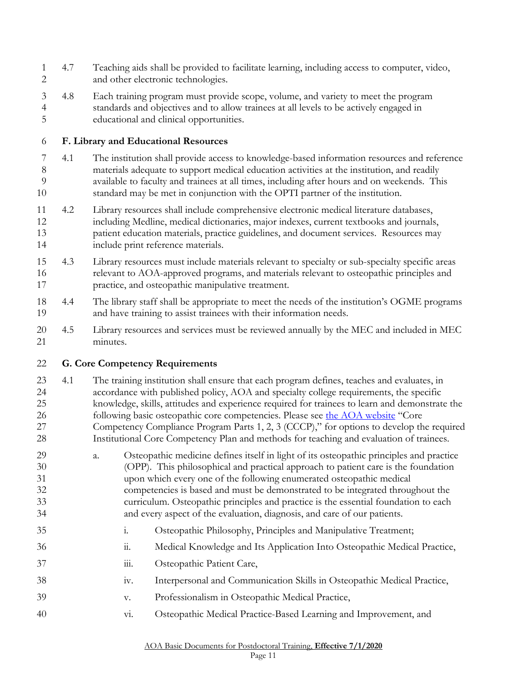<span id="page-10-1"></span><span id="page-10-0"></span>

| $\mathbf{1}$<br>$\overline{c}$   | 4.7 | Teaching aids shall be provided to facilitate learning, including access to computer, video,<br>and other electronic technologies.                                                                                                                                                                                                                                                                                                                                                                                                                               |
|----------------------------------|-----|------------------------------------------------------------------------------------------------------------------------------------------------------------------------------------------------------------------------------------------------------------------------------------------------------------------------------------------------------------------------------------------------------------------------------------------------------------------------------------------------------------------------------------------------------------------|
| 3<br>$\overline{4}$<br>5         | 4.8 | Each training program must provide scope, volume, and variety to meet the program<br>standards and objectives and to allow trainees at all levels to be actively engaged in<br>educational and clinical opportunities.                                                                                                                                                                                                                                                                                                                                           |
| 6                                |     | F. Library and Educational Resources                                                                                                                                                                                                                                                                                                                                                                                                                                                                                                                             |
| 7<br>8<br>9<br>10                | 4.1 | The institution shall provide access to knowledge-based information resources and reference<br>materials adequate to support medical education activities at the institution, and readily<br>available to faculty and trainees at all times, including after hours and on weekends. This<br>standard may be met in conjunction with the OPTI partner of the institution.                                                                                                                                                                                         |
| 11<br>12<br>13<br>14             | 4.2 | Library resources shall include comprehensive electronic medical literature databases,<br>including Medline, medical dictionaries, major indexes, current textbooks and journals,<br>patient education materials, practice guidelines, and document services. Resources may<br>include print reference materials.                                                                                                                                                                                                                                                |
| 15<br>16<br>17                   | 4.3 | Library resources must include materials relevant to specialty or sub-specialty specific areas<br>relevant to AOA-approved programs, and materials relevant to osteopathic principles and<br>practice, and osteopathic manipulative treatment.                                                                                                                                                                                                                                                                                                                   |
| 18<br>19                         | 4.4 | The library staff shall be appropriate to meet the needs of the institution's OGME programs<br>and have training to assist trainees with their information needs.                                                                                                                                                                                                                                                                                                                                                                                                |
| 20<br>21                         | 4.5 | Library resources and services must be reviewed annually by the MEC and included in MEC<br>minutes.                                                                                                                                                                                                                                                                                                                                                                                                                                                              |
| 22                               |     | <b>G. Core Competency Requirements</b>                                                                                                                                                                                                                                                                                                                                                                                                                                                                                                                           |
| 23<br>24<br>25<br>26<br>27<br>28 | 4.1 | The training institution shall ensure that each program defines, teaches and evaluates, in<br>accordance with published policy, AOA and specialty college requirements, the specific<br>knowledge, skills, attitudes and experience required for trainees to learn and demonstrate the<br>following basic osteopathic core competencies. Please see the AOA website "Core<br>Competency Compliance Program Parts 1, 2, 3 (CCCP)," for options to develop the required<br>Institutional Core Competency Plan and methods for teaching and evaluation of trainees. |
| 29<br>30<br>31<br>32<br>33<br>34 |     | Osteopathic medicine defines itself in light of its osteopathic principles and practice<br>a.<br>(OPP). This philosophical and practical approach to patient care is the foundation<br>upon which every one of the following enumerated osteopathic medical<br>competencies is based and must be demonstrated to be integrated throughout the<br>curriculum. Osteopathic principles and practice is the essential foundation to each<br>and every aspect of the evaluation, diagnosis, and care of our patients.                                                 |
|                                  |     |                                                                                                                                                                                                                                                                                                                                                                                                                                                                                                                                                                  |
| 35                               |     | Osteopathic Philosophy, Principles and Manipulative Treatment;<br>$\mathbf{i}$ .                                                                                                                                                                                                                                                                                                                                                                                                                                                                                 |
| 36                               |     | $\dddot{\mathbf{1}}$ .<br>Medical Knowledge and Its Application Into Osteopathic Medical Practice,                                                                                                                                                                                                                                                                                                                                                                                                                                                               |
| 37                               |     | Osteopathic Patient Care,<br>111.                                                                                                                                                                                                                                                                                                                                                                                                                                                                                                                                |
| 38                               |     | Interpersonal and Communication Skills in Osteopathic Medical Practice,<br>iv.                                                                                                                                                                                                                                                                                                                                                                                                                                                                                   |
| 39                               |     | Professionalism in Osteopathic Medical Practice,<br>V.                                                                                                                                                                                                                                                                                                                                                                                                                                                                                                           |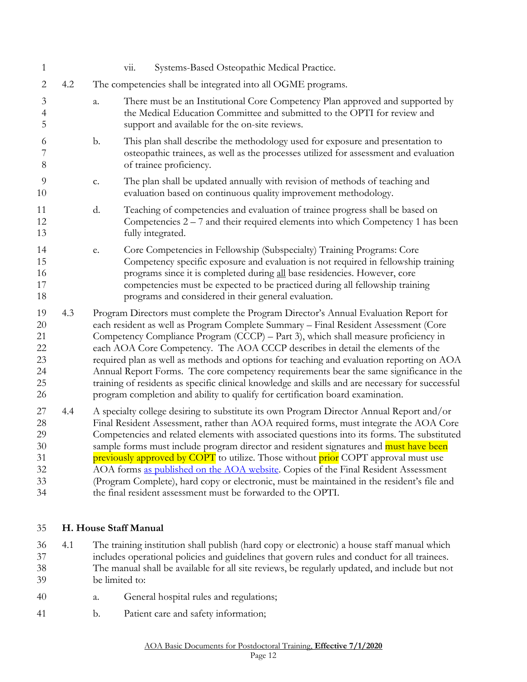| 1                                                |     | Systems-Based Osteopathic Medical Practice.<br>vii.                                                                                                                                                                                                                                                                                                                                                                                                                                                                                                                                                                                                                                                                              |
|--------------------------------------------------|-----|----------------------------------------------------------------------------------------------------------------------------------------------------------------------------------------------------------------------------------------------------------------------------------------------------------------------------------------------------------------------------------------------------------------------------------------------------------------------------------------------------------------------------------------------------------------------------------------------------------------------------------------------------------------------------------------------------------------------------------|
| $\overline{2}$                                   | 4.2 | The competencies shall be integrated into all OGME programs.                                                                                                                                                                                                                                                                                                                                                                                                                                                                                                                                                                                                                                                                     |
| $\mathfrak{Z}$<br>$\overline{4}$<br>5            |     | There must be an Institutional Core Competency Plan approved and supported by<br>a.<br>the Medical Education Committee and submitted to the OPTI for review and<br>support and available for the on-site reviews.                                                                                                                                                                                                                                                                                                                                                                                                                                                                                                                |
| 6<br>7<br>8                                      |     | This plan shall describe the methodology used for exposure and presentation to<br>b.<br>osteopathic trainees, as well as the processes utilized for assessment and evaluation<br>of trainee proficiency.                                                                                                                                                                                                                                                                                                                                                                                                                                                                                                                         |
| 9<br>10                                          |     | The plan shall be updated annually with revision of methods of teaching and<br>c.<br>evaluation based on continuous quality improvement methodology.                                                                                                                                                                                                                                                                                                                                                                                                                                                                                                                                                                             |
| 11<br>12<br>13                                   |     | Teaching of competencies and evaluation of trainee progress shall be based on<br>d.<br>Competencies $2 - 7$ and their required elements into which Competency 1 has been<br>fully integrated.                                                                                                                                                                                                                                                                                                                                                                                                                                                                                                                                    |
| 14<br>15<br>16<br>17<br>18                       |     | Core Competencies in Fellowship (Subspecialty) Training Programs: Core<br>e.<br>Competency specific exposure and evaluation is not required in fellowship training<br>programs since it is completed during all base residencies. However, core<br>competencies must be expected to be practiced during all fellowship training<br>programs and considered in their general evaluation.                                                                                                                                                                                                                                                                                                                                          |
| 19<br>20<br>21<br>22<br>23<br>24<br>25<br>26     | 4.3 | Program Directors must complete the Program Director's Annual Evaluation Report for<br>each resident as well as Program Complete Summary - Final Resident Assessment (Core<br>Competency Compliance Program (CCCP) - Part 3), which shall measure proficiency in<br>each AOA Core Competency. The AOA CCCP describes in detail the elements of the<br>required plan as well as methods and options for teaching and evaluation reporting on AOA<br>Annual Report Forms. The core competency requirements bear the same significance in the<br>training of residents as specific clinical knowledge and skills and are necessary for successful<br>program completion and ability to qualify for certification board examination. |
| 27<br>28<br>29<br>$30\,$<br>31<br>32<br>33<br>34 | 4.4 | A specialty college desiring to substitute its own Program Director Annual Report and/or<br>Final Resident Assessment, rather than AOA required forms, must integrate the AOA Core<br>Competencies and related elements with associated questions into its forms. The substituted<br>sample forms must include program director and resident signatures and must have been<br>previously approved by COPT to utilize. Those without prior COPT approval must use<br>AOA forms as published on the AOA website. Copies of the Final Resident Assessment<br>(Program Complete), hard copy or electronic, must be maintained in the resident's file and<br>the final resident assessment must be forwarded to the OPTI.             |

#### <span id="page-11-0"></span>**H. House Staff Manual**

- 4.1 The training institution shall publish (hard copy or electronic) a house staff manual which includes operational policies and guidelines that govern rules and conduct for all trainees. The manual shall be available for all site reviews, be regularly updated, and include but not be limited to:
- a. General hospital rules and regulations;
- b. Patient care and safety information;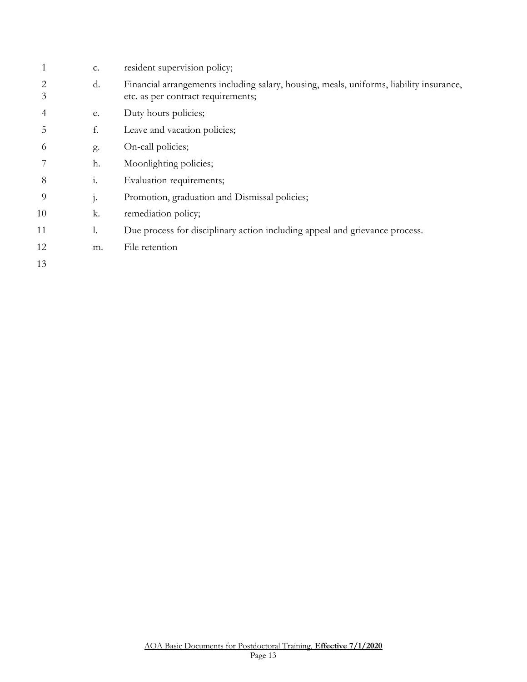|    | c.             | resident supervision policy;                                                                                                  |
|----|----------------|-------------------------------------------------------------------------------------------------------------------------------|
| 3  | d.             | Financial arrangements including salary, housing, meals, uniforms, liability insurance,<br>etc. as per contract requirements; |
| 4  | e.             | Duty hours policies;                                                                                                          |
| 5  | f.             | Leave and vacation policies;                                                                                                  |
| 6  | g.             | On-call policies;                                                                                                             |
|    | h.             | Moonlighting policies;                                                                                                        |
| 8  | $\mathbf{i}$ . | Evaluation requirements;                                                                                                      |
| 9  | j.             | Promotion, graduation and Dismissal policies;                                                                                 |
| 10 | k.             | remediation policy;                                                                                                           |
| 11 | 1.             | Due process for disciplinary action including appeal and grievance process.                                                   |
| 12 | m.             | File retention                                                                                                                |
| 13 |                |                                                                                                                               |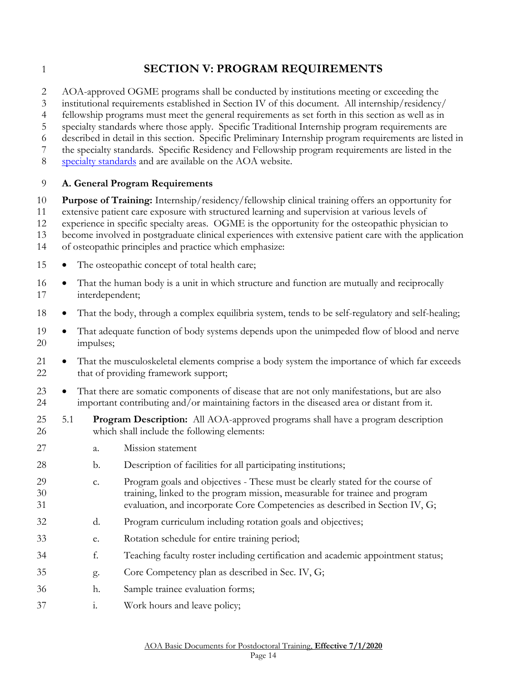# <span id="page-13-0"></span>**SECTION V: PROGRAM REQUIREMENTS**

2 AOA-approved OGME programs shall be conducted by institutions meeting or exceeding the institutional requirements established in Section IV of this document. All internship/residency/

fellowship programs must meet the general requirements as set forth in this section as well as in

specialty standards where those apply. Specific Traditional Internship program requirements are

described in detail in this section. Specific Preliminary Internship program requirements are listed in

the specialty standards. Specific Residency and Fellowship program requirements are listed in the

[specialty standards](http://www.osteopathic.org/inside-aoa/accreditation/postdoctoral-training-approval/postdoctoral-training-standards/Pages/default.aspx) and are available on the AOA website.

#### <span id="page-13-1"></span>**A. General Program Requirements**

**Purpose of Training:** Internship/residency/fellowship clinical training offers an opportunity for

extensive patient care exposure with structured learning and supervision at various levels of

experience in specific specialty areas. OGME is the opportunity for the osteopathic physician to

become involved in postgraduate clinical experiences with extensive patient care with the application

- of osteopathic principles and practice which emphasize:
- 15 The osteopathic concept of total health care;
- That the human body is a unit in which structure and function are mutually and reciprocally interdependent;
- That the body, through a complex equilibria system, tends to be self-regulatory and self-healing;
- 19 That adequate function of body systems depends upon the unimpeded flow of blood and nerve impulses;
- That the musculoskeletal elements comprise a body system the importance of which far exceeds 22 that of providing framework support;
- 23 That there are somatic components of disease that are not only manifestations, but are also important contributing and/or maintaining factors in the diseased area or distant from it.
- 5.1 **Program Description:** All AOA-approved programs shall have a program description which shall include the following elements:
- a. Mission statement
- b. Description of facilities for all participating institutions;
- c. Program goals and objectives These must be clearly stated for the course of training, linked to the program mission, measurable for trainee and program evaluation, and incorporate Core Competencies as described in Section IV, G;
- d. Program curriculum including rotation goals and objectives;
- e. Rotation schedule for entire training period;
- f. Teaching faculty roster including certification and academic appointment status;
- g. Core Competency plan as described in Sec. IV, G;
- h. Sample trainee evaluation forms;
- i. Work hours and leave policy;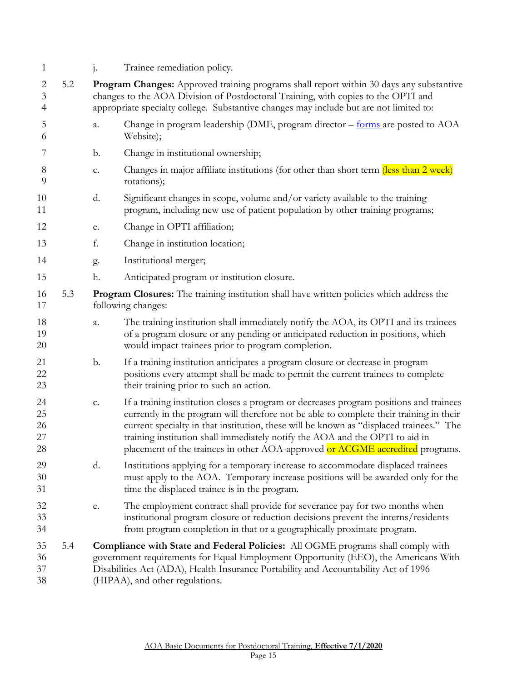| 1                                                  |     |    | Trainee remediation policy.                                                                                                                                                                                                                                                                                                                                                                                                                   |
|----------------------------------------------------|-----|----|-----------------------------------------------------------------------------------------------------------------------------------------------------------------------------------------------------------------------------------------------------------------------------------------------------------------------------------------------------------------------------------------------------------------------------------------------|
| $\overline{c}$<br>$\mathfrak{Z}$<br>$\overline{4}$ | 5.2 |    | Program Changes: Approved training programs shall report within 30 days any substantive<br>changes to the AOA Division of Postdoctoral Training, with copies to the OPTI and<br>appropriate specialty college. Substantive changes may include but are not limited to:                                                                                                                                                                        |
| 5<br>6                                             |     | a. | Change in program leadership (DME, program director – forms are posted to AOA<br>Website);                                                                                                                                                                                                                                                                                                                                                    |
| 7                                                  |     | b. | Change in institutional ownership;                                                                                                                                                                                                                                                                                                                                                                                                            |
| 8<br>9                                             |     | c. | Changes in major affiliate institutions (for other than short term (less than 2 week)<br>rotations);                                                                                                                                                                                                                                                                                                                                          |
| 10<br>11                                           |     | d. | Significant changes in scope, volume and/or variety available to the training<br>program, including new use of patient population by other training programs;                                                                                                                                                                                                                                                                                 |
| 12                                                 |     | e. | Change in OPTI affiliation;                                                                                                                                                                                                                                                                                                                                                                                                                   |
| 13                                                 |     | f. | Change in institution location;                                                                                                                                                                                                                                                                                                                                                                                                               |
| 14                                                 |     | g. | Institutional merger;                                                                                                                                                                                                                                                                                                                                                                                                                         |
| 15                                                 |     | h. | Anticipated program or institution closure.                                                                                                                                                                                                                                                                                                                                                                                                   |
| 16<br>17                                           | 5.3 |    | <b>Program Closures:</b> The training institution shall have written policies which address the<br>following changes:                                                                                                                                                                                                                                                                                                                         |
| 18<br>19<br>20                                     |     | a. | The training institution shall immediately notify the AOA, its OPTI and its trainees<br>of a program closure or any pending or anticipated reduction in positions, which<br>would impact trainees prior to program completion.                                                                                                                                                                                                                |
| 21<br>22<br>23                                     |     | b. | If a training institution anticipates a program closure or decrease in program<br>positions every attempt shall be made to permit the current trainees to complete<br>their training prior to such an action.                                                                                                                                                                                                                                 |
| 24<br>25<br>26<br>27<br>28                         |     | c. | If a training institution closes a program or decreases program positions and trainees<br>currently in the program will therefore not be able to complete their training in their<br>current specialty in that institution, these will be known as "displaced trainees." The<br>training institution shall immediately notify the AOA and the OPTI to aid in<br>placement of the trainees in other AOA-approved or ACGME accredited programs. |
| 29<br>30<br>31                                     |     | d. | Institutions applying for a temporary increase to accommodate displaced trainees<br>must apply to the AOA. Temporary increase positions will be awarded only for the<br>time the displaced trainee is in the program.                                                                                                                                                                                                                         |
| 32<br>33<br>34                                     |     | e. | The employment contract shall provide for severance pay for two months when<br>institutional program closure or reduction decisions prevent the interns/residents<br>from program completion in that or a geographically proximate program.                                                                                                                                                                                                   |
| 35<br>36<br>37<br>38                               | 5.4 |    | Compliance with State and Federal Policies: All OGME programs shall comply with<br>government requirements for Equal Employment Opportunity (EEO), the Americans With<br>Disabilities Act (ADA), Health Insurance Portability and Accountability Act of 1996<br>(HIPAA), and other regulations.                                                                                                                                               |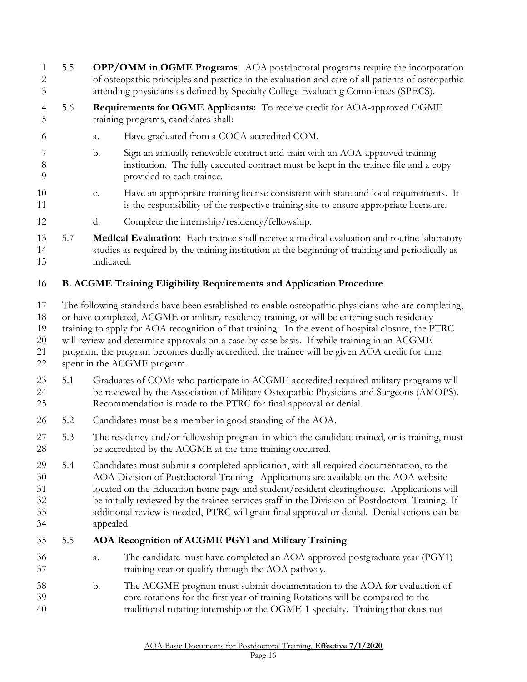- 5.5 **OPP/OMM in OGME Programs**: AOA postdoctoral programs require the incorporation of osteopathic principles and practice in the evaluation and care of all patients of osteopathic attending physicians as defined by Specialty College Evaluating Committees (SPECS).
- 5.6 **Requirements for OGME Applicants:** To receive credit for AOA-approved OGME training programs, candidates shall:
- a. Have graduated from a COCA-accredited COM.
- b. Sign an annually renewable contract and train with an AOA-approved training institution. The fully executed contract must be kept in the trainee file and a copy provided to each trainee.
- c. Have an appropriate training license consistent with state and local requirements. It is the responsibility of the respective training site to ensure appropriate licensure.
- d. Complete the internship/residency/fellowship.
- 5.7 **Medical Evaluation:** Each trainee shall receive a medical evaluation and routine laboratory studies as required by the training institution at the beginning of training and periodically as indicated.

# <span id="page-15-0"></span>**B. ACGME Training Eligibility Requirements and Application Procedure**

- The following standards have been established to enable osteopathic physicians who are completing,
- or have completed, ACGME or military residency training, or will be entering such residency
- training to apply for AOA recognition of that training. In the event of hospital closure, the PTRC
- will review and determine approvals on a case-by-case basis. If while training in an ACGME
- program, the program becomes dually accredited, the trainee will be given AOA credit for time
- spent in the ACGME program.
- 5.1 Graduates of COMs who participate in ACGME-accredited required military programs will be reviewed by the Association of Military Osteopathic Physicians and Surgeons (AMOPS). Recommendation is made to the PTRC for final approval or denial.
- 5.2 Candidates must be a member in good standing of the AOA.
- 27 5.3 The residency and/or fellowship program in which the candidate trained, or is training, must be accredited by the ACGME at the time training occurred.
- 5.4 Candidates must submit a completed application, with all required documentation, to the AOA Division of Postdoctoral Training. Applications are available on the AOA website located on the Education home page and student/resident clearinghouse. Applications will be initially reviewed by the trainee services staff in the Division of Postdoctoral Training. If additional review is needed, PTRC will grant final approval or denial. Denial actions can be appealed.

### 5.5 **AOA Recognition of ACGME PGY1 and Military Training**

- a. The candidate must have completed an AOA-approved postgraduate year (PGY1) training year or qualify through the AOA pathway.
- b. The ACGME program must submit documentation to the AOA for evaluation of core rotations for the first year of training Rotations will be compared to the traditional rotating internship or the OGME-1 specialty. Training that does not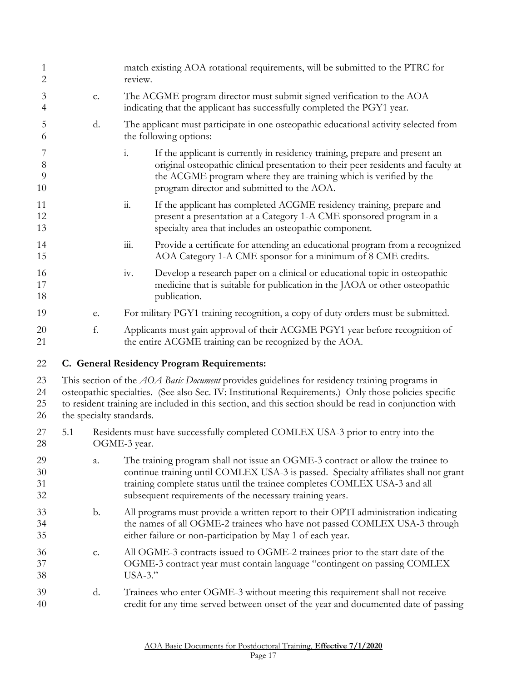<span id="page-16-0"></span>

| 1<br>2               |     |    | match existing AOA rotational requirements, will be submitted to the PTRC for<br>review.                                                                                                                                                                                                                                                            |
|----------------------|-----|----|-----------------------------------------------------------------------------------------------------------------------------------------------------------------------------------------------------------------------------------------------------------------------------------------------------------------------------------------------------|
| 3<br>4               |     | c. | The ACGME program director must submit signed verification to the AOA<br>indicating that the applicant has successfully completed the PGY1 year.                                                                                                                                                                                                    |
| 5<br>6               |     | d. | The applicant must participate in one osteopathic educational activity selected from<br>the following options:                                                                                                                                                                                                                                      |
| 7<br>8<br>9<br>10    |     |    | If the applicant is currently in residency training, prepare and present an<br>$\mathbf{i}$ .<br>original osteopathic clinical presentation to their peer residents and faculty at<br>the ACGME program where they are training which is verified by the<br>program director and submitted to the AOA.                                              |
| 11<br>12<br>13       |     |    | $\dddot{11}$ .<br>If the applicant has completed ACGME residency training, prepare and<br>present a presentation at a Category 1-A CME sponsored program in a<br>specialty area that includes an osteopathic component.                                                                                                                             |
| 14<br>15             |     |    | $\dddot{\mathbf{m}}$ .<br>Provide a certificate for attending an educational program from a recognized<br>AOA Category 1-A CME sponsor for a minimum of 8 CME credits.                                                                                                                                                                              |
| 16<br>17<br>18       |     |    | Develop a research paper on a clinical or educational topic in osteopathic<br>iv.<br>medicine that is suitable for publication in the JAOA or other osteopathic<br>publication.                                                                                                                                                                     |
| 19                   |     | e. | For military PGY1 training recognition, a copy of duty orders must be submitted.                                                                                                                                                                                                                                                                    |
| 20<br>21             |     | f. | Applicants must gain approval of their ACGME PGY1 year before recognition of<br>the entire ACGME training can be recognized by the AOA.                                                                                                                                                                                                             |
| 22                   |     |    | C. General Residency Program Requirements:                                                                                                                                                                                                                                                                                                          |
| 23<br>24<br>25<br>26 |     |    | This section of the <i>AOA Basic Document</i> provides guidelines for residency training programs in<br>osteopathic specialties. (See also Sec. IV: Institutional Requirements.) Only those policies specific<br>to resident training are included in this section, and this section should be read in conjunction with<br>the specialty standards. |
| 27<br>28             | 5.1 |    | Residents must have successfully completed COMLEX USA-3 prior to entry into the<br>OGME-3 year.                                                                                                                                                                                                                                                     |
| 29<br>30<br>31<br>32 |     | a. | The training program shall not issue an OGME-3 contract or allow the trainee to<br>continue training until COMLEX USA-3 is passed. Specialty affiliates shall not grant<br>training complete status until the trainee completes COMLEX USA-3 and all<br>subsequent requirements of the necessary training years.                                    |
| 33<br>34<br>35       |     | b. | All programs must provide a written report to their OPTI administration indicating<br>the names of all OGME-2 trainees who have not passed COMLEX USA-3 through<br>either failure or non-participation by May 1 of each year.                                                                                                                       |
| 36<br>37<br>38       |     | c. | All OGME-3 contracts issued to OGME-2 trainees prior to the start date of the<br>OGME-3 contract year must contain language "contingent on passing COMLEX<br>$USA-3."$                                                                                                                                                                              |
| 39<br>40             |     | d. | Trainees who enter OGME-3 without meeting this requirement shall not receive<br>credit for any time served between onset of the year and documented date of passing                                                                                                                                                                                 |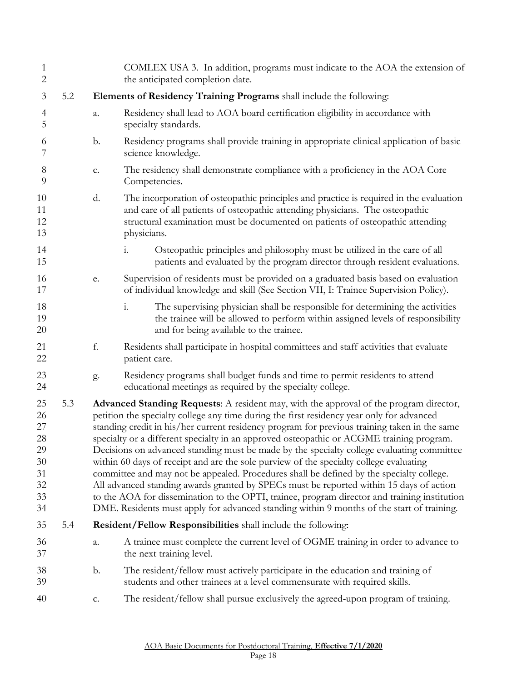| $\mathbf{1}$<br>$\overline{2}$                           |     |    |                                                                      | COMLEX USA 3. In addition, programs must indicate to the AOA the extension of<br>the anticipated completion date.                                                                                                                                                                                                                                                                                                                                                                                                                                                                                                                                                                                                                                                                                                                                                                                                                                          |  |
|----------------------------------------------------------|-----|----|----------------------------------------------------------------------|------------------------------------------------------------------------------------------------------------------------------------------------------------------------------------------------------------------------------------------------------------------------------------------------------------------------------------------------------------------------------------------------------------------------------------------------------------------------------------------------------------------------------------------------------------------------------------------------------------------------------------------------------------------------------------------------------------------------------------------------------------------------------------------------------------------------------------------------------------------------------------------------------------------------------------------------------------|--|
| 3                                                        | 5.2 |    | Elements of Residency Training Programs shall include the following: |                                                                                                                                                                                                                                                                                                                                                                                                                                                                                                                                                                                                                                                                                                                                                                                                                                                                                                                                                            |  |
| $\overline{4}$<br>5                                      |     | a. | specialty standards.                                                 | Residency shall lead to AOA board certification eligibility in accordance with                                                                                                                                                                                                                                                                                                                                                                                                                                                                                                                                                                                                                                                                                                                                                                                                                                                                             |  |
| 6<br>7                                                   |     | b. | science knowledge.                                                   | Residency programs shall provide training in appropriate clinical application of basic                                                                                                                                                                                                                                                                                                                                                                                                                                                                                                                                                                                                                                                                                                                                                                                                                                                                     |  |
| $\,8\,$<br>9                                             |     | c. | Competencies.                                                        | The residency shall demonstrate compliance with a proficiency in the AOA Core                                                                                                                                                                                                                                                                                                                                                                                                                                                                                                                                                                                                                                                                                                                                                                                                                                                                              |  |
| 10<br>11<br>12<br>13                                     |     | d. | physicians.                                                          | The incorporation of osteopathic principles and practice is required in the evaluation<br>and care of all patients of osteopathic attending physicians. The osteopathic<br>structural examination must be documented on patients of osteopathic attending                                                                                                                                                                                                                                                                                                                                                                                                                                                                                                                                                                                                                                                                                                  |  |
| 14<br>15                                                 |     |    | $\mathbf{i}$ .                                                       | Osteopathic principles and philosophy must be utilized in the care of all<br>patients and evaluated by the program director through resident evaluations.                                                                                                                                                                                                                                                                                                                                                                                                                                                                                                                                                                                                                                                                                                                                                                                                  |  |
| 16<br>17                                                 |     | e. |                                                                      | Supervision of residents must be provided on a graduated basis based on evaluation<br>of individual knowledge and skill (See Section VII, I: Trainee Supervision Policy).                                                                                                                                                                                                                                                                                                                                                                                                                                                                                                                                                                                                                                                                                                                                                                                  |  |
| 18<br>19<br>20                                           |     |    | $\mathbf{i}$ .                                                       | The supervising physician shall be responsible for determining the activities<br>the trainee will be allowed to perform within assigned levels of responsibility<br>and for being available to the trainee.                                                                                                                                                                                                                                                                                                                                                                                                                                                                                                                                                                                                                                                                                                                                                |  |
| 21<br>22                                                 |     | f. | patient care.                                                        | Residents shall participate in hospital committees and staff activities that evaluate                                                                                                                                                                                                                                                                                                                                                                                                                                                                                                                                                                                                                                                                                                                                                                                                                                                                      |  |
| 23<br>24                                                 |     | g. |                                                                      | Residency programs shall budget funds and time to permit residents to attend<br>educational meetings as required by the specialty college.                                                                                                                                                                                                                                                                                                                                                                                                                                                                                                                                                                                                                                                                                                                                                                                                                 |  |
| 25<br>26<br>27<br>28<br>29<br>30<br>31<br>32<br>33<br>34 | 5.3 |    |                                                                      | Advanced Standing Requests: A resident may, with the approval of the program director,<br>petition the specialty college any time during the first residency year only for advanced<br>standing credit in his/her current residency program for previous training taken in the same<br>specialty or a different specialty in an approved osteopathic or ACGME training program.<br>Decisions on advanced standing must be made by the specialty college evaluating committee<br>within 60 days of receipt and are the sole purview of the specialty college evaluating<br>committee and may not be appealed. Procedures shall be defined by the specialty college.<br>All advanced standing awards granted by SPECs must be reported within 15 days of action<br>to the AOA for dissemination to the OPTI, trainee, program director and training institution<br>DME. Residents must apply for advanced standing within 9 months of the start of training. |  |
| 35                                                       | 5.4 |    |                                                                      | Resident/Fellow Responsibilities shall include the following:                                                                                                                                                                                                                                                                                                                                                                                                                                                                                                                                                                                                                                                                                                                                                                                                                                                                                              |  |
| 36<br>37                                                 |     | a. | the next training level.                                             | A trainee must complete the current level of OGME training in order to advance to                                                                                                                                                                                                                                                                                                                                                                                                                                                                                                                                                                                                                                                                                                                                                                                                                                                                          |  |
| 38<br>39                                                 |     | b. |                                                                      | The resident/fellow must actively participate in the education and training of<br>students and other trainees at a level commensurate with required skills.                                                                                                                                                                                                                                                                                                                                                                                                                                                                                                                                                                                                                                                                                                                                                                                                |  |
| 40                                                       |     | c. |                                                                      | The resident/fellow shall pursue exclusively the agreed-upon program of training.                                                                                                                                                                                                                                                                                                                                                                                                                                                                                                                                                                                                                                                                                                                                                                                                                                                                          |  |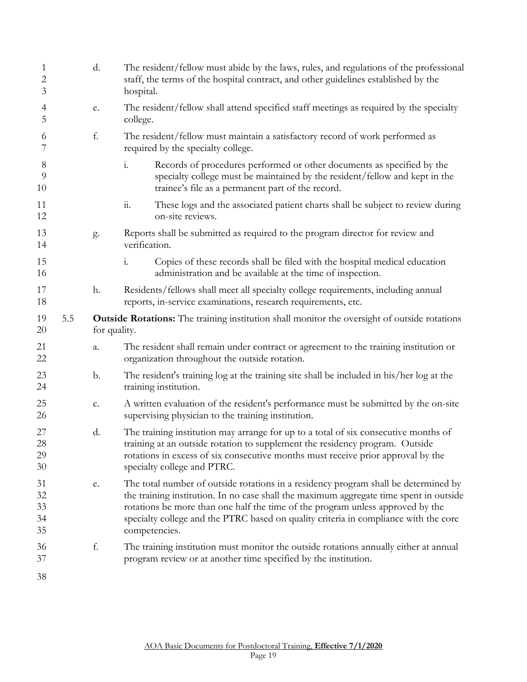| $\mathbf{1}$<br>2<br>3     |     | d.            | The resident/fellow must abide by the laws, rules, and regulations of the professional<br>staff, the terms of the hospital contract, and other guidelines established by the<br>hospital.                                                                                                                                                                                |
|----------------------------|-----|---------------|--------------------------------------------------------------------------------------------------------------------------------------------------------------------------------------------------------------------------------------------------------------------------------------------------------------------------------------------------------------------------|
| $\overline{4}$<br>5        |     | ${\bf e}.$    | The resident/fellow shall attend specified staff meetings as required by the specialty<br>college.                                                                                                                                                                                                                                                                       |
| 6<br>7                     |     | f.            | The resident/fellow must maintain a satisfactory record of work performed as<br>required by the specialty college.                                                                                                                                                                                                                                                       |
| $8\phantom{1}$<br>9<br>10  |     |               | Records of procedures performed or other documents as specified by the<br>$\mathbf{i}$ .<br>specialty college must be maintained by the resident/fellow and kept in the<br>trainee's file as a permanent part of the record.                                                                                                                                             |
| 11<br>12                   |     |               | $\dddot{\mathbf{1}}$<br>These logs and the associated patient charts shall be subject to review during<br>on-site reviews.                                                                                                                                                                                                                                               |
| 13<br>14                   |     | g.            | Reports shall be submitted as required to the program director for review and<br>verification.                                                                                                                                                                                                                                                                           |
| 15<br>16                   |     |               | $\mathbf{i}$ .<br>Copies of these records shall be filed with the hospital medical education<br>administration and be available at the time of inspection.                                                                                                                                                                                                               |
| 17<br>18                   |     | h.            | Residents/fellows shall meet all specialty college requirements, including annual<br>reports, in-service examinations, research requirements, etc.                                                                                                                                                                                                                       |
| 19<br>20                   | 5.5 | for quality.  | <b>Outside Rotations:</b> The training institution shall monitor the oversight of outside rotations                                                                                                                                                                                                                                                                      |
| 21<br>22                   |     | a.            | The resident shall remain under contract or agreement to the training institution or<br>organization throughout the outside rotation.                                                                                                                                                                                                                                    |
| 23<br>24                   |     | $\mathbf b$ . | The resident's training log at the training site shall be included in his/her log at the<br>training institution.                                                                                                                                                                                                                                                        |
| 25<br>26                   |     | c.            | A written evaluation of the resident's performance must be submitted by the on-site<br>supervising physician to the training institution.                                                                                                                                                                                                                                |
| 27<br>28<br>29<br>30       |     | d.            | The training institution may arrange for up to a total of six consecutive months of<br>training at an outside rotation to supplement the residency program. Outside<br>rotations in excess of six consecutive months must receive prior approval by the<br>specialty college and PTRC.                                                                                   |
| 31<br>32<br>33<br>34<br>35 |     | ${\bf e}.$    | The total number of outside rotations in a residency program shall be determined by<br>the training institution. In no case shall the maximum aggregate time spent in outside<br>rotations be more than one half the time of the program unless approved by the<br>specialty college and the PTRC based on quality criteria in compliance with the core<br>competencies. |
| 36<br>37                   |     | f.            | The training institution must monitor the outside rotations annually either at annual<br>program review or at another time specified by the institution.                                                                                                                                                                                                                 |
| 38                         |     |               |                                                                                                                                                                                                                                                                                                                                                                          |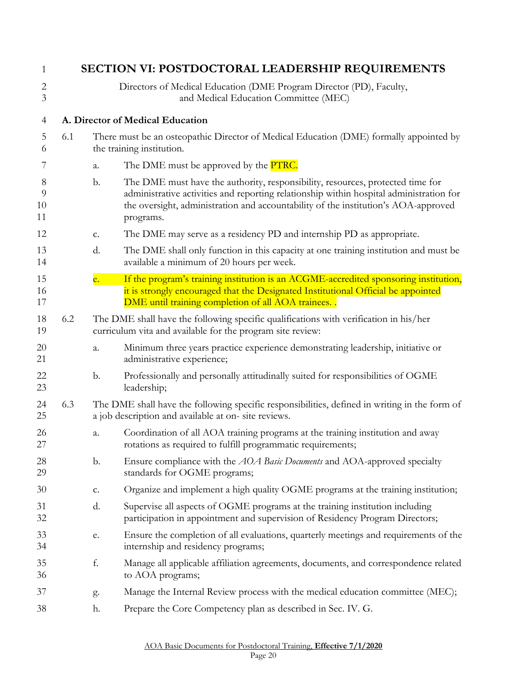<span id="page-19-1"></span><span id="page-19-0"></span>

| 1                                |     |                | <b>SECTION VI: POSTDOCTORAL LEADERSHIP REQUIREMENTS</b>                                                                                                                                                                                                                      |
|----------------------------------|-----|----------------|------------------------------------------------------------------------------------------------------------------------------------------------------------------------------------------------------------------------------------------------------------------------------|
| $\overline{2}$<br>$\mathfrak{Z}$ |     |                | Directors of Medical Education (DME Program Director (PD), Faculty,<br>and Medical Education Committee (MEC)                                                                                                                                                                 |
| $\overline{4}$                   |     |                | A. Director of Medical Education                                                                                                                                                                                                                                             |
| 5<br>6                           | 6.1 |                | There must be an osteopathic Director of Medical Education (DME) formally appointed by<br>the training institution.                                                                                                                                                          |
| 7                                |     | a.             | The DME must be approved by the <b>PTRC</b> .                                                                                                                                                                                                                                |
| 8<br>9<br>10<br>11               |     | b.             | The DME must have the authority, responsibility, resources, protected time for<br>administrative activities and reporting relationship within hospital administration for<br>the oversight, administration and accountability of the institution's AOA-approved<br>programs. |
| 12                               |     | c.             | The DME may serve as a residency PD and internship PD as appropriate.                                                                                                                                                                                                        |
| 13<br>14                         |     | d.             | The DME shall only function in this capacity at one training institution and must be<br>available a minimum of 20 hours per week.                                                                                                                                            |
| 15<br>16<br>17                   |     | e.             | If the program's training institution is an ACGME-accredited sponsoring institution,<br>it is strongly encouraged that the Designated Institutional Official be appointed<br>DME until training completion of all AOA trainees                                               |
| 18<br>19                         | 6.2 |                | The DME shall have the following specific qualifications with verification in his/her<br>curriculum vita and available for the program site review:                                                                                                                          |
| 20<br>21                         |     | a.             | Minimum three years practice experience demonstrating leadership, initiative or<br>administrative experience;                                                                                                                                                                |
| 22<br>23                         |     | $\mathbf{b}$ . | Professionally and personally attitudinally suited for responsibilities of OGME<br>leadership;                                                                                                                                                                               |
| 24<br>25                         | 6.3 |                | The DME shall have the following specific responsibilities, defined in writing in the form of<br>a job description and available at on-site reviews.                                                                                                                         |
| 26<br>27                         |     | a.             | Coordination of all AOA training programs at the training institution and away<br>rotations as required to fulfill programmatic requirements;                                                                                                                                |
| 28<br>29                         |     | $\mathbf{b}$ . | Ensure compliance with the <i>AOA Basic Documents</i> and AOA-approved specialty<br>standards for OGME programs;                                                                                                                                                             |
| 30                               |     | c.             | Organize and implement a high quality OGME programs at the training institution;                                                                                                                                                                                             |
| 31<br>32                         |     | d.             | Supervise all aspects of OGME programs at the training institution including<br>participation in appointment and supervision of Residency Program Directors;                                                                                                                 |
| 33<br>34                         |     | e.             | Ensure the completion of all evaluations, quarterly meetings and requirements of the<br>internship and residency programs;                                                                                                                                                   |
| 35<br>36                         |     | f.             | Manage all applicable affiliation agreements, documents, and correspondence related<br>to AOA programs;                                                                                                                                                                      |
| 37                               |     | g.             | Manage the Internal Review process with the medical education committee (MEC);                                                                                                                                                                                               |
| 38                               |     | h.             | Prepare the Core Competency plan as described in Sec. IV. G.                                                                                                                                                                                                                 |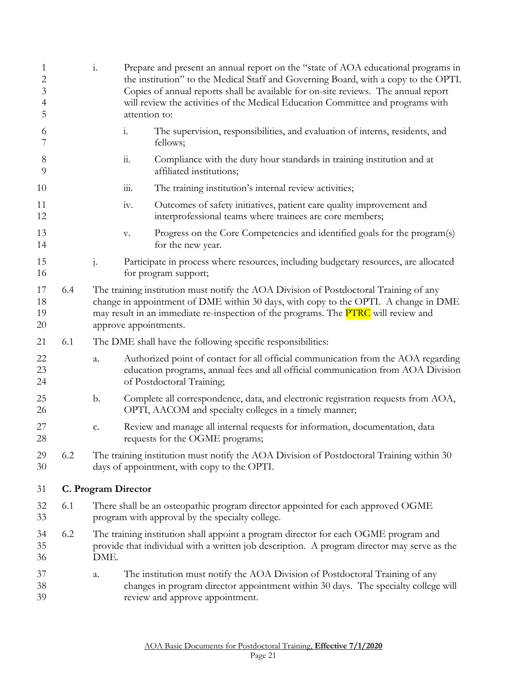<span id="page-20-0"></span>

| 1<br>2<br>3<br>4<br>5 |     | $\mathbf{i}$ .                                                                                                                     | Prepare and present an annual report on the "state of AOA educational programs in<br>the institution" to the Medical Staff and Governing Board, with a copy to the OPTI.<br>Copies of annual reports shall be available for on-site reviews. The annual report<br>will review the activities of the Medical Education Committee and programs with<br>attention to: |  |
|-----------------------|-----|------------------------------------------------------------------------------------------------------------------------------------|--------------------------------------------------------------------------------------------------------------------------------------------------------------------------------------------------------------------------------------------------------------------------------------------------------------------------------------------------------------------|--|
| 6<br>7                |     |                                                                                                                                    | $\mathbf{i}$ .<br>The supervision, responsibilities, and evaluation of interns, residents, and<br>fellows;                                                                                                                                                                                                                                                         |  |
| $8\phantom{1}$<br>9   |     |                                                                                                                                    | $\dddot{a}$ .<br>Compliance with the duty hour standards in training institution and at<br>affiliated institutions;                                                                                                                                                                                                                                                |  |
| 10                    |     |                                                                                                                                    | $\dddot{111}$ .<br>The training institution's internal review activities;                                                                                                                                                                                                                                                                                          |  |
| 11<br>12              |     |                                                                                                                                    | Outcomes of safety initiatives, patient care quality improvement and<br>iv.<br>interprofessional teams where trainees are core members;                                                                                                                                                                                                                            |  |
| 13<br>14              |     |                                                                                                                                    | Progress on the Core Competencies and identified goals for the program(s)<br>v.<br>for the new year.                                                                                                                                                                                                                                                               |  |
| 15<br>16              |     | $\mathbf{j}$ .                                                                                                                     | Participate in process where resources, including budgetary resources, are allocated<br>for program support;                                                                                                                                                                                                                                                       |  |
| 17<br>18<br>19<br>20  | 6.4 |                                                                                                                                    | The training institution must notify the AOA Division of Postdoctoral Training of any<br>change in appointment of DME within 30 days, with copy to the OPTI. A change in DME<br>may result in an immediate re-inspection of the programs. The PTRC will review and<br>approve appointments.                                                                        |  |
| 21                    | 6.1 |                                                                                                                                    | The DME shall have the following specific responsibilities:                                                                                                                                                                                                                                                                                                        |  |
| 22<br>23<br>24        |     | a.                                                                                                                                 | Authorized point of contact for all official communication from the AOA regarding<br>education programs, annual fees and all official communication from AOA Division<br>of Postdoctoral Training;                                                                                                                                                                 |  |
| 25<br>26              |     | b.                                                                                                                                 | Complete all correspondence, data, and electronic registration requests from AOA,<br>OPTI, AACOM and specialty colleges in a timely manner;                                                                                                                                                                                                                        |  |
| 27<br>28              |     | c.                                                                                                                                 | Review and manage all internal requests for information, documentation, data<br>requests for the OGME programs;                                                                                                                                                                                                                                                    |  |
| 29<br>30              | 6.2 |                                                                                                                                    | The training institution must notify the AOA Division of Postdoctoral Training within 30<br>days of appointment, with copy to the OPTI.                                                                                                                                                                                                                            |  |
| 31                    |     |                                                                                                                                    | C. Program Director                                                                                                                                                                                                                                                                                                                                                |  |
| 32<br>33              | 6.1 | There shall be an osteopathic program director appointed for each approved OGME<br>program with approval by the specialty college. |                                                                                                                                                                                                                                                                                                                                                                    |  |
| 34<br>35<br>36        | 6.2 | DME.                                                                                                                               | The training institution shall appoint a program director for each OGME program and<br>provide that individual with a written job description. A program director may serve as the                                                                                                                                                                                 |  |
| 37<br>38<br>39        |     | a.                                                                                                                                 | The institution must notify the AOA Division of Postdoctoral Training of any<br>changes in program director appointment within 30 days. The specialty college will<br>review and approve appointment.                                                                                                                                                              |  |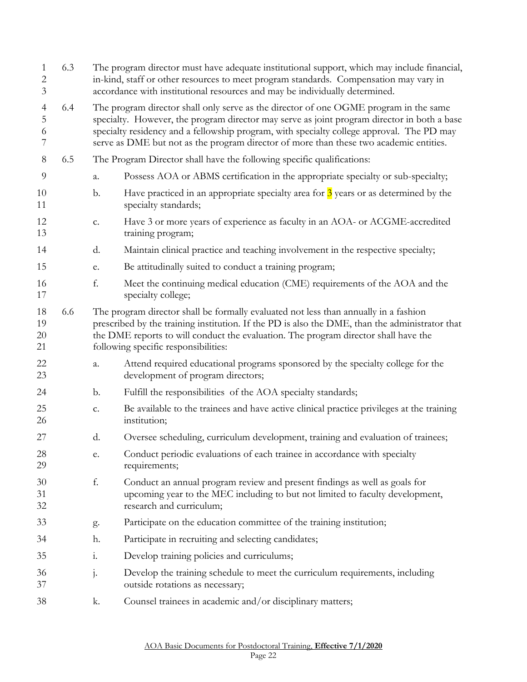| $\mathbf{1}$<br>$\overline{c}$<br>3 | 6.3 |                | The program director must have adequate institutional support, which may include financial,<br>in-kind, staff or other resources to meet program standards. Compensation may vary in<br>accordance with institutional resources and may be individually determined.                                                                                                         |  |
|-------------------------------------|-----|----------------|-----------------------------------------------------------------------------------------------------------------------------------------------------------------------------------------------------------------------------------------------------------------------------------------------------------------------------------------------------------------------------|--|
| $\overline{4}$<br>5<br>6<br>7       | 6.4 |                | The program director shall only serve as the director of one OGME program in the same<br>specialty. However, the program director may serve as joint program director in both a base<br>specialty residency and a fellowship program, with specialty college approval. The PD may<br>serve as DME but not as the program director of more than these two academic entities. |  |
| 8                                   | 6.5 |                | The Program Director shall have the following specific qualifications:                                                                                                                                                                                                                                                                                                      |  |
| 9                                   |     | a.             | Possess AOA or ABMS certification in the appropriate specialty or sub-specialty;                                                                                                                                                                                                                                                                                            |  |
| 10<br>11                            |     | $\mathbf{b}$ . | Have practiced in an appropriate specialty area for $\frac{3}{2}$ years or as determined by the<br>specialty standards;                                                                                                                                                                                                                                                     |  |
| 12<br>13                            |     | c.             | Have 3 or more years of experience as faculty in an AOA- or ACGME-accredited<br>training program;                                                                                                                                                                                                                                                                           |  |
| 14                                  |     | d.             | Maintain clinical practice and teaching involvement in the respective specialty;                                                                                                                                                                                                                                                                                            |  |
| 15                                  |     | e.             | Be attitudinally suited to conduct a training program;                                                                                                                                                                                                                                                                                                                      |  |
| 16<br>17                            |     | f.             | Meet the continuing medical education (CME) requirements of the AOA and the<br>specialty college;                                                                                                                                                                                                                                                                           |  |
| 18<br>19<br>$20\,$<br>21            | 6.6 |                | The program director shall be formally evaluated not less than annually in a fashion<br>prescribed by the training institution. If the PD is also the DME, than the administrator that<br>the DME reports to will conduct the evaluation. The program director shall have the<br>following specific responsibilities:                                                       |  |
| 22<br>23                            |     | a.             | Attend required educational programs sponsored by the specialty college for the<br>development of program directors;                                                                                                                                                                                                                                                        |  |
| 24                                  |     | b.             | Fulfill the responsibilities of the AOA specialty standards;                                                                                                                                                                                                                                                                                                                |  |
| 25<br>26                            |     | c.             | Be available to the trainees and have active clinical practice privileges at the training<br>institution;                                                                                                                                                                                                                                                                   |  |
| 27                                  |     | d.             | Oversee scheduling, curriculum development, training and evaluation of trainees;                                                                                                                                                                                                                                                                                            |  |
| 28<br>29                            |     | e.             | Conduct periodic evaluations of each trainee in accordance with specialty<br>requirements;                                                                                                                                                                                                                                                                                  |  |
| 30<br>31<br>32                      |     | f.             | Conduct an annual program review and present findings as well as goals for<br>upcoming year to the MEC including to but not limited to faculty development,<br>research and curriculum;                                                                                                                                                                                     |  |
| 33                                  |     | g.             | Participate on the education committee of the training institution;                                                                                                                                                                                                                                                                                                         |  |
| 34                                  |     | h.             | Participate in recruiting and selecting candidates;                                                                                                                                                                                                                                                                                                                         |  |
| 35                                  |     | $\mathbf{i}$ . | Develop training policies and curriculums;                                                                                                                                                                                                                                                                                                                                  |  |
| 36<br>37                            |     | j.             | Develop the training schedule to meet the curriculum requirements, including<br>outside rotations as necessary;                                                                                                                                                                                                                                                             |  |
| 38                                  |     | k.             | Counsel trainees in academic and/or disciplinary matters;                                                                                                                                                                                                                                                                                                                   |  |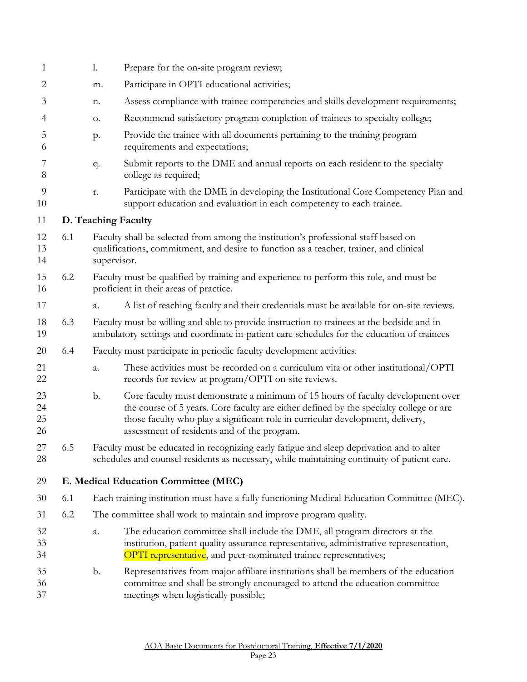<span id="page-22-1"></span><span id="page-22-0"></span>

| 1                    |     | 1.          | Prepare for the on-site program review;                                                                                                                                                                                                                                                                    |
|----------------------|-----|-------------|------------------------------------------------------------------------------------------------------------------------------------------------------------------------------------------------------------------------------------------------------------------------------------------------------------|
| 2                    |     | m.          | Participate in OPTI educational activities;                                                                                                                                                                                                                                                                |
| 3                    |     | n.          | Assess compliance with trainee competencies and skills development requirements;                                                                                                                                                                                                                           |
| 4                    |     | О.          | Recommend satisfactory program completion of trainees to specialty college;                                                                                                                                                                                                                                |
| 5<br>6               |     | p.          | Provide the trainee with all documents pertaining to the training program<br>requirements and expectations;                                                                                                                                                                                                |
| 7<br>$8\,$           |     | q.          | Submit reports to the DME and annual reports on each resident to the specialty<br>college as required;                                                                                                                                                                                                     |
| 9<br>10              |     | r.          | Participate with the DME in developing the Institutional Core Competency Plan and<br>support education and evaluation in each competency to each trainee.                                                                                                                                                  |
| 11                   |     |             | D. Teaching Faculty                                                                                                                                                                                                                                                                                        |
| 12<br>13<br>14       | 6.1 | supervisor. | Faculty shall be selected from among the institution's professional staff based on<br>qualifications, commitment, and desire to function as a teacher, trainer, and clinical                                                                                                                               |
| 15<br>16             | 6.2 |             | Faculty must be qualified by training and experience to perform this role, and must be<br>proficient in their areas of practice.                                                                                                                                                                           |
| 17                   |     | a.          | A list of teaching faculty and their credentials must be available for on-site reviews.                                                                                                                                                                                                                    |
| 18<br>19             | 6.3 |             | Faculty must be willing and able to provide instruction to trainees at the bedside and in<br>ambulatory settings and coordinate in-patient care schedules for the education of trainees                                                                                                                    |
| 20                   | 6.4 |             | Faculty must participate in periodic faculty development activities.                                                                                                                                                                                                                                       |
| 21<br>22             |     | a.          | These activities must be recorded on a curriculum vita or other institutional/OPTI<br>records for review at program/OPTI on-site reviews.                                                                                                                                                                  |
| 23<br>24<br>25<br>26 |     | b.          | Core faculty must demonstrate a minimum of 15 hours of faculty development over<br>the course of 5 years. Core faculty are either defined by the specialty college or are<br>those faculty who play a significant role in curricular development, delivery,<br>assessment of residents and of the program. |
| 27<br>28             | 6.5 |             | Faculty must be educated in recognizing early fatigue and sleep deprivation and to alter<br>schedules and counsel residents as necessary, while maintaining continuity of patient care.                                                                                                                    |
| 29                   |     |             | E. Medical Education Committee (MEC)                                                                                                                                                                                                                                                                       |
| 30                   | 6.1 |             | Each training institution must have a fully functioning Medical Education Committee (MEC).                                                                                                                                                                                                                 |
| 31                   | 6.2 |             | The committee shall work to maintain and improve program quality.                                                                                                                                                                                                                                          |
| 32<br>33<br>34       |     | a.          | The education committee shall include the DME, all program directors at the<br>institution, patient quality assurance representative, administrative representation,<br>OPTI representative, and peer-nominated trainee representatives;                                                                   |
| 35<br>36<br>37       |     | b.          | Representatives from major affiliate institutions shall be members of the education<br>committee and shall be strongly encouraged to attend the education committee<br>meetings when logistically possible;                                                                                                |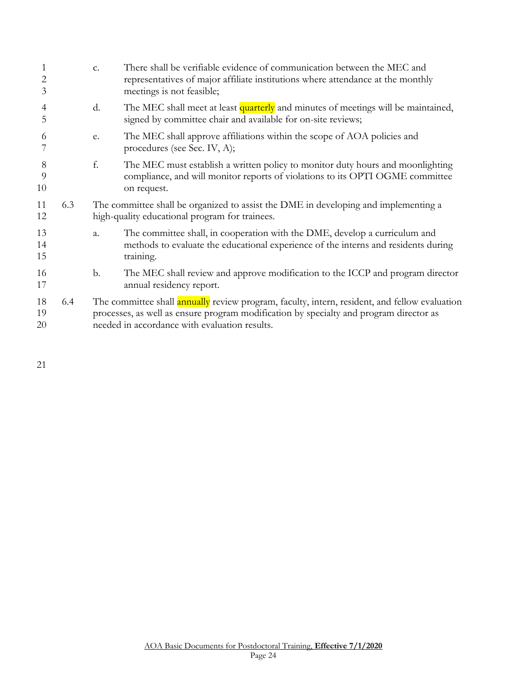| 1<br>$\overline{2}$<br>3 |     | $\mathbf{C}$ . | There shall be verifiable evidence of communication between the MEC and<br>representatives of major affiliate institutions where attendance at the monthly<br>meetings is not feasible;                                                  |
|--------------------------|-----|----------------|------------------------------------------------------------------------------------------------------------------------------------------------------------------------------------------------------------------------------------------|
| $\overline{4}$<br>5      |     | d.             | The MEC shall meet at least quarterly and minutes of meetings will be maintained,<br>signed by committee chair and available for on-site reviews;                                                                                        |
| 6                        |     | e.             | The MEC shall approve affiliations within the scope of AOA policies and<br>procedures (see Sec. IV, A);                                                                                                                                  |
| 8<br>9<br>10             |     | f.             | The MEC must establish a written policy to monitor duty hours and moonlighting<br>compliance, and will monitor reports of violations to its OPTI OGME committee<br>on request.                                                           |
| 11<br>12                 | 6.3 |                | The committee shall be organized to assist the DME in developing and implementing a<br>high-quality educational program for trainees.                                                                                                    |
| 13<br>14<br>15           |     | a.             | The committee shall, in cooperation with the DME, develop a curriculum and<br>methods to evaluate the educational experience of the interns and residents during<br>training.                                                            |
| 16<br>17                 |     | b.             | The MEC shall review and approve modification to the ICCP and program director<br>annual residency report.                                                                                                                               |
| 18<br>19<br>20           | 6.4 |                | The committee shall annually review program, faculty, intern, resident, and fellow evaluation<br>processes, as well as ensure program modification by specialty and program director as<br>needed in accordance with evaluation results. |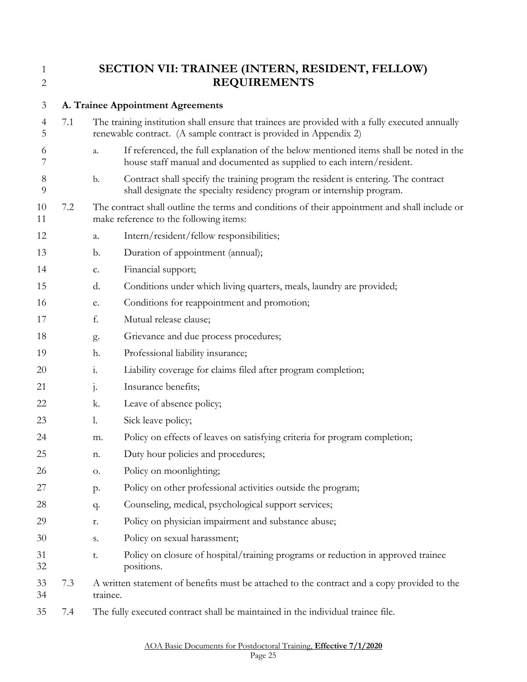<span id="page-24-0"></span>

# 1 **SECTION VII: TRAINEE (INTERN, RESIDENT, FELLOW)**<br>REQUIREMENTS **REQUIREMENTS**

<span id="page-24-1"></span>

| 3                   |     | A. Trainee Appointment Agreements                                                                       |                                                                                                                                                                      |  |
|---------------------|-----|---------------------------------------------------------------------------------------------------------|----------------------------------------------------------------------------------------------------------------------------------------------------------------------|--|
| $\overline{4}$<br>5 | 7.1 |                                                                                                         | The training institution shall ensure that trainees are provided with a fully executed annually<br>renewable contract. (A sample contract is provided in Appendix 2) |  |
| 6<br>7              |     | a.                                                                                                      | If referenced, the full explanation of the below mentioned items shall be noted in the<br>house staff manual and documented as supplied to each intern/resident.     |  |
| 8<br>9              |     | b.                                                                                                      | Contract shall specify the training program the resident is entering. The contract<br>shall designate the specialty residency program or internship program.         |  |
| 10<br>11            | 7.2 |                                                                                                         | The contract shall outline the terms and conditions of their appointment and shall include or<br>make reference to the following items:                              |  |
| 12                  |     | a.                                                                                                      | Intern/resident/fellow responsibilities;                                                                                                                             |  |
| 13                  |     | b.                                                                                                      | Duration of appointment (annual);                                                                                                                                    |  |
| 14                  |     | c.                                                                                                      | Financial support;                                                                                                                                                   |  |
| 15                  |     | d.                                                                                                      | Conditions under which living quarters, meals, laundry are provided;                                                                                                 |  |
| 16                  |     | e.                                                                                                      | Conditions for reappointment and promotion;                                                                                                                          |  |
| 17                  |     | f.                                                                                                      | Mutual release clause;                                                                                                                                               |  |
| 18                  |     | g.                                                                                                      | Grievance and due process procedures;                                                                                                                                |  |
| 19                  |     | h.                                                                                                      | Professional liability insurance;                                                                                                                                    |  |
| 20                  |     | $\ddot{1}$ .                                                                                            | Liability coverage for claims filed after program completion;                                                                                                        |  |
| 21                  |     | $\mathbf{j}$ .                                                                                          | Insurance benefits;                                                                                                                                                  |  |
| 22                  |     | k.                                                                                                      | Leave of absence policy;                                                                                                                                             |  |
| 23                  |     | $\mathbf{l}$ .                                                                                          | Sick leave policy;                                                                                                                                                   |  |
| 24                  |     | m.                                                                                                      | Policy on effects of leaves on satisfying criteria for program completion;                                                                                           |  |
| 25                  |     | n.                                                                                                      | Duty hour policies and procedures;                                                                                                                                   |  |
| 26                  |     | О.                                                                                                      | Policy on moonlighting;                                                                                                                                              |  |
| 27                  |     | p.                                                                                                      | Policy on other professional activities outside the program;                                                                                                         |  |
| 28                  |     | q.                                                                                                      | Counseling, medical, psychological support services;                                                                                                                 |  |
| 29                  |     | r.                                                                                                      | Policy on physician impairment and substance abuse;                                                                                                                  |  |
| 30                  |     | ${\bf S}$ .                                                                                             | Policy on sexual harassment;                                                                                                                                         |  |
| 31<br>32            |     | t.                                                                                                      | Policy on closure of hospital/training programs or reduction in approved trainee<br>positions.                                                                       |  |
| 33<br>34            | 7.3 | A written statement of benefits must be attached to the contract and a copy provided to the<br>trainee. |                                                                                                                                                                      |  |
| 35                  | 7.4 |                                                                                                         | The fully executed contract shall be maintained in the individual trainee file.                                                                                      |  |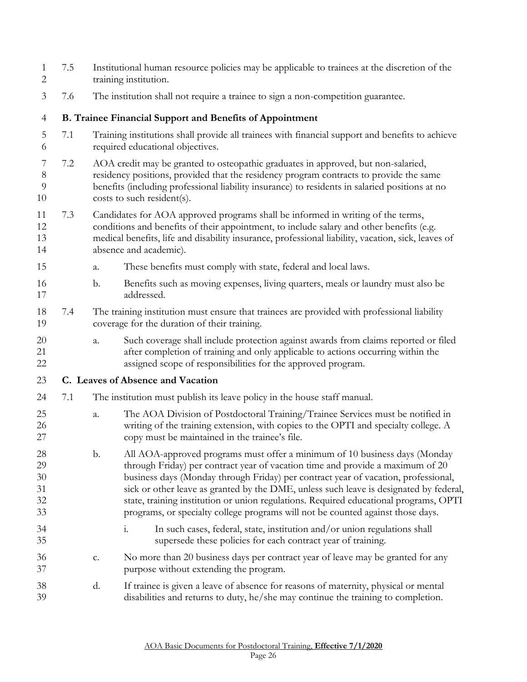<span id="page-25-1"></span><span id="page-25-0"></span>

| $\mathbf{1}$<br>$\mathbf{2}$     | 7.5 | Institutional human resource policies may be applicable to trainees at the discretion of the<br>training institution. |                                                                                                                                                                                                                                                                                                                                                                                                                                                                                                                          |  |
|----------------------------------|-----|-----------------------------------------------------------------------------------------------------------------------|--------------------------------------------------------------------------------------------------------------------------------------------------------------------------------------------------------------------------------------------------------------------------------------------------------------------------------------------------------------------------------------------------------------------------------------------------------------------------------------------------------------------------|--|
| 3                                | 7.6 |                                                                                                                       | The institution shall not require a trainee to sign a non-competition guarantee.                                                                                                                                                                                                                                                                                                                                                                                                                                         |  |
| $\overline{4}$                   |     |                                                                                                                       | <b>B. Trainee Financial Support and Benefits of Appointment</b>                                                                                                                                                                                                                                                                                                                                                                                                                                                          |  |
| 5<br>6                           | 7.1 |                                                                                                                       | Training institutions shall provide all trainees with financial support and benefits to achieve<br>required educational objectives.                                                                                                                                                                                                                                                                                                                                                                                      |  |
| 7<br>8<br>9<br>10                | 7.2 |                                                                                                                       | AOA credit may be granted to osteopathic graduates in approved, but non-salaried,<br>residency positions, provided that the residency program contracts to provide the same<br>benefits (including professional liability insurance) to residents in salaried positions at no<br>costs to such resident(s).                                                                                                                                                                                                              |  |
| 11<br>12<br>13<br>14             | 7.3 |                                                                                                                       | Candidates for AOA approved programs shall be informed in writing of the terms,<br>conditions and benefits of their appointment, to include salary and other benefits (e.g.<br>medical benefits, life and disability insurance, professional liability, vacation, sick, leaves of<br>absence and academic).                                                                                                                                                                                                              |  |
| 15                               |     | a.                                                                                                                    | These benefits must comply with state, federal and local laws.                                                                                                                                                                                                                                                                                                                                                                                                                                                           |  |
| 16<br>17                         |     | $\mathbf b$ .                                                                                                         | Benefits such as moving expenses, living quarters, meals or laundry must also be<br>addressed.                                                                                                                                                                                                                                                                                                                                                                                                                           |  |
| 18<br>19                         | 7.4 |                                                                                                                       | The training institution must ensure that trainees are provided with professional liability<br>coverage for the duration of their training.                                                                                                                                                                                                                                                                                                                                                                              |  |
| 20<br>21<br>22                   |     | a.                                                                                                                    | Such coverage shall include protection against awards from claims reported or filed<br>after completion of training and only applicable to actions occurring within the<br>assigned scope of responsibilities for the approved program.                                                                                                                                                                                                                                                                                  |  |
| 23                               |     |                                                                                                                       | C. Leaves of Absence and Vacation                                                                                                                                                                                                                                                                                                                                                                                                                                                                                        |  |
| 24                               | 7.1 |                                                                                                                       | The institution must publish its leave policy in the house staff manual.                                                                                                                                                                                                                                                                                                                                                                                                                                                 |  |
| 25<br>26<br>27                   |     | a.                                                                                                                    | The AOA Division of Postdoctoral Training/Trainee Services must be notified in<br>writing of the training extension, with copies to the OPTI and specialty college. A<br>copy must be maintained in the trainee's file.                                                                                                                                                                                                                                                                                                  |  |
| 28<br>29<br>30<br>31<br>32<br>33 |     | b.                                                                                                                    | All AOA-approved programs must offer a minimum of 10 business days (Monday<br>through Friday) per contract year of vacation time and provide a maximum of 20<br>business days (Monday through Friday) per contract year of vacation, professional,<br>sick or other leave as granted by the DME, unless such leave is designated by federal,<br>state, training institution or union regulations. Required educational programs, OPTI<br>programs, or specialty college programs will not be counted against those days. |  |
| 34<br>35                         |     |                                                                                                                       | In such cases, federal, state, institution and/or union regulations shall<br>$\mathbf{i}$ .<br>supersede these policies for each contract year of training.                                                                                                                                                                                                                                                                                                                                                              |  |
| 36<br>37                         |     | c.                                                                                                                    | No more than 20 business days per contract year of leave may be granted for any<br>purpose without extending the program.                                                                                                                                                                                                                                                                                                                                                                                                |  |
| 38<br>39                         |     | d.                                                                                                                    | If trainee is given a leave of absence for reasons of maternity, physical or mental<br>disabilities and returns to duty, he/she may continue the training to completion.                                                                                                                                                                                                                                                                                                                                                 |  |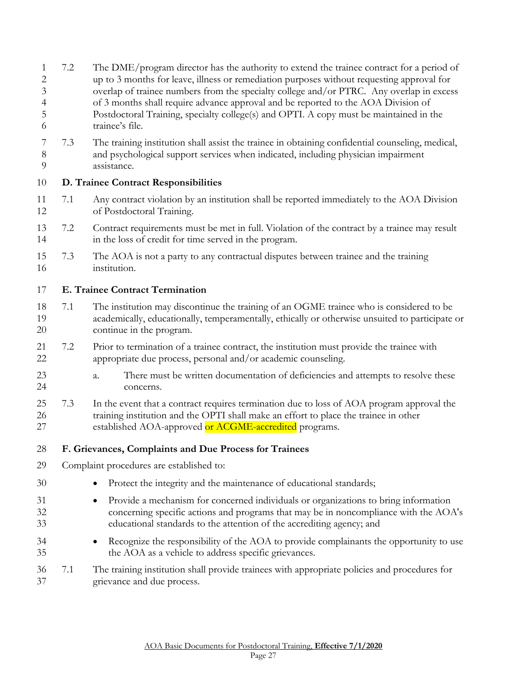- 7.2 The DME/program director has the authority to extend the trainee contract for a period of up to 3 months for leave, illness or remediation purposes without requesting approval for overlap of trainee numbers from the specialty college and/or PTRC. Any overlap in excess of 3 months shall require advance approval and be reported to the AOA Division of Postdoctoral Training, specialty college(s) and OPTI. A copy must be maintained in the trainee's file.
- 7.3 The training institution shall assist the trainee in obtaining confidential counseling, medical, and psychological support services when indicated, including physician impairment assistance.

#### <span id="page-26-0"></span>**D. Trainee Contract Responsibilities**

- 7.1 Any contract violation by an institution shall be reported immediately to the AOA Division of Postdoctoral Training.
- 7.2 Contract requirements must be met in full. Violation of the contract by a trainee may result in the loss of credit for time served in the program.
- 7.3 The AOA is not a party to any contractual disputes between trainee and the training institution.

#### <span id="page-26-1"></span>**E. Trainee Contract Termination**

- 7.1 The institution may discontinue the training of an OGME trainee who is considered to be academically, educationally, temperamentally, ethically or otherwise unsuited to participate or continue in the program.
- 7.2 Prior to termination of a trainee contract, the institution must provide the trainee with appropriate due process, personal and/or academic counseling.
- a. There must be written documentation of deficiencies and attempts to resolve these concerns.
- 7.3 In the event that a contract requires termination due to loss of AOA program approval the training institution and the OPTI shall make an effort to place the trainee in other 27 established AOA-approved or ACGME-accredited programs.
- <span id="page-26-2"></span>**F. Grievances, Complaints and Due Process for Trainees**
- Complaint procedures are established to:
- 30 Protect the integrity and the maintenance of educational standards;
- Provide a mechanism for concerned individuals or organizations to bring information concerning specific actions and programs that may be in noncompliance with the AOA's educational standards to the attention of the accrediting agency; and
- <sup>34</sup> Recognize the responsibility of the AOA to provide complainants the opportunity to use the AOA as a vehicle to address specific grievances.
- 7.1 The training institution shall provide trainees with appropriate policies and procedures for grievance and due process.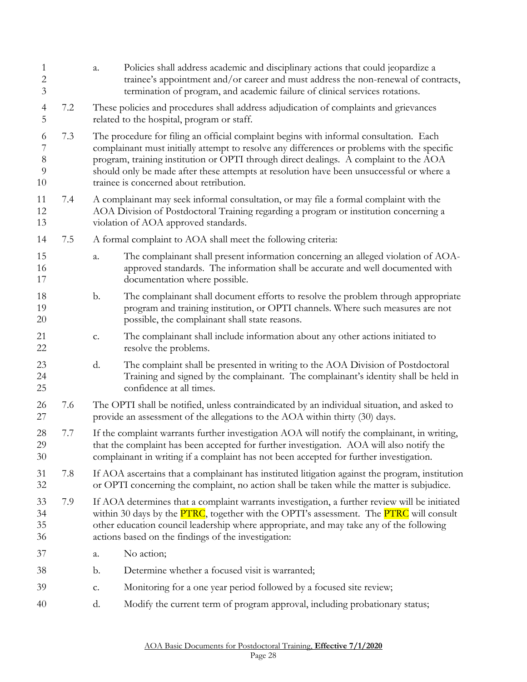| 1<br>$\mathbf{2}$<br>3        |     | a. | Policies shall address academic and disciplinary actions that could jeopardize a<br>trainee's appointment and/or career and must address the non-renewal of contracts,<br>termination of program, and academic failure of clinical services rotations.                                                                                                                                                                |
|-------------------------------|-----|----|-----------------------------------------------------------------------------------------------------------------------------------------------------------------------------------------------------------------------------------------------------------------------------------------------------------------------------------------------------------------------------------------------------------------------|
| $\overline{\mathcal{A}}$<br>5 | 7.2 |    | These policies and procedures shall address adjudication of complaints and grievances<br>related to the hospital, program or staff.                                                                                                                                                                                                                                                                                   |
| 6<br>7<br>$8\,$<br>9<br>10    | 7.3 |    | The procedure for filing an official complaint begins with informal consultation. Each<br>complainant must initially attempt to resolve any differences or problems with the specific<br>program, training institution or OPTI through direct dealings. A complaint to the AOA<br>should only be made after these attempts at resolution have been unsuccessful or where a<br>trainee is concerned about retribution. |
| 11<br>12<br>13                | 7.4 |    | A complainant may seek informal consultation, or may file a formal complaint with the<br>AOA Division of Postdoctoral Training regarding a program or institution concerning a<br>violation of AOA approved standards.                                                                                                                                                                                                |
| 14                            | 7.5 |    | A formal complaint to AOA shall meet the following criteria:                                                                                                                                                                                                                                                                                                                                                          |
| 15<br>16<br>17                |     | a. | The complainant shall present information concerning an alleged violation of AOA-<br>approved standards. The information shall be accurate and well documented with<br>documentation where possible.                                                                                                                                                                                                                  |
| 18<br>19<br>20                |     | b. | The complainant shall document efforts to resolve the problem through appropriate<br>program and training institution, or OPTI channels. Where such measures are not<br>possible, the complainant shall state reasons.                                                                                                                                                                                                |
| 21<br>22                      |     | c. | The complainant shall include information about any other actions initiated to<br>resolve the problems.                                                                                                                                                                                                                                                                                                               |
| 23<br>24<br>25                |     | d. | The complaint shall be presented in writing to the AOA Division of Postdoctoral<br>Training and signed by the complainant. The complainant's identity shall be held in<br>confidence at all times.                                                                                                                                                                                                                    |
| 26<br>27                      | 7.6 |    | The OPTI shall be notified, unless contraindicated by an individual situation, and asked to<br>provide an assessment of the allegations to the AOA within thirty (30) days.                                                                                                                                                                                                                                           |
| 28<br>29<br>30                | 7.7 |    | If the complaint warrants further investigation AOA will notify the complainant, in writing,<br>that the complaint has been accepted for further investigation. AOA will also notify the<br>complainant in writing if a complaint has not been accepted for further investigation.                                                                                                                                    |
| 31<br>32                      | 7.8 |    | If AOA ascertains that a complainant has instituted litigation against the program, institution<br>or OPTI concerning the complaint, no action shall be taken while the matter is subjudice.                                                                                                                                                                                                                          |
| 33<br>34<br>35<br>36          | 7.9 |    | If AOA determines that a complaint warrants investigation, a further review will be initiated<br>within 30 days by the <b>PTRC</b> , together with the OPTI's assessment. The <b>PTRC</b> will consult<br>other education council leadership where appropriate, and may take any of the following<br>actions based on the findings of the investigation:                                                              |
| 37                            |     | a. | No action;                                                                                                                                                                                                                                                                                                                                                                                                            |
| 38                            |     | b. | Determine whether a focused visit is warranted;                                                                                                                                                                                                                                                                                                                                                                       |
| 39                            |     | c. | Monitoring for a one year period followed by a focused site review;                                                                                                                                                                                                                                                                                                                                                   |
| 40                            |     | d. | Modify the current term of program approval, including probationary status;                                                                                                                                                                                                                                                                                                                                           |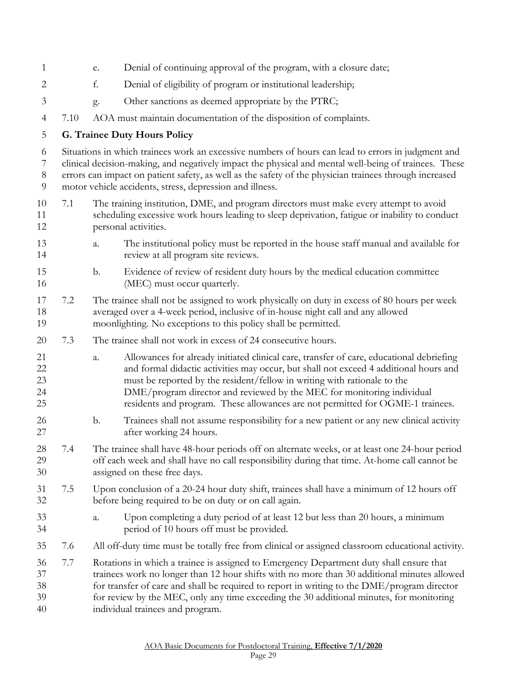<span id="page-28-0"></span>

| 1                          |      | e. | Denial of continuing approval of the program, with a closure date;                                                                                                                                                                                                                                                                                                                                                        |
|----------------------------|------|----|---------------------------------------------------------------------------------------------------------------------------------------------------------------------------------------------------------------------------------------------------------------------------------------------------------------------------------------------------------------------------------------------------------------------------|
| $\overline{2}$             |      | f. | Denial of eligibility of program or institutional leadership;                                                                                                                                                                                                                                                                                                                                                             |
| 3                          |      | g. | Other sanctions as deemed appropriate by the PTRC;                                                                                                                                                                                                                                                                                                                                                                        |
| $\overline{4}$             | 7.10 |    | AOA must maintain documentation of the disposition of complaints.                                                                                                                                                                                                                                                                                                                                                         |
| 5                          |      |    | <b>G. Trainee Duty Hours Policy</b>                                                                                                                                                                                                                                                                                                                                                                                       |
| 6<br>7<br>$\, 8$<br>9      |      |    | Situations in which trainees work an excessive numbers of hours can lead to errors in judgment and<br>clinical decision-making, and negatively impact the physical and mental well-being of trainees. These<br>errors can impact on patient safety, as well as the safety of the physician trainees through increased<br>motor vehicle accidents, stress, depression and illness.                                         |
| 10<br>11<br>12             | 7.1  |    | The training institution, DME, and program directors must make every attempt to avoid<br>scheduling excessive work hours leading to sleep deprivation, fatigue or inability to conduct<br>personal activities.                                                                                                                                                                                                            |
| 13<br>14                   |      | a. | The institutional policy must be reported in the house staff manual and available for<br>review at all program site reviews.                                                                                                                                                                                                                                                                                              |
| 15<br>16                   |      | b. | Evidence of review of resident duty hours by the medical education committee<br>(MEC) must occur quarterly.                                                                                                                                                                                                                                                                                                               |
| 17<br>18<br>19             | 7.2  |    | The trainee shall not be assigned to work physically on duty in excess of 80 hours per week<br>averaged over a 4-week period, inclusive of in-house night call and any allowed<br>moonlighting. No exceptions to this policy shall be permitted.                                                                                                                                                                          |
| 20                         | 7.3  |    | The trainee shall not work in excess of 24 consecutive hours.                                                                                                                                                                                                                                                                                                                                                             |
| 21<br>22<br>23<br>24<br>25 |      | a. | Allowances for already initiated clinical care, transfer of care, educational debriefing<br>and formal didactic activities may occur, but shall not exceed 4 additional hours and<br>must be reported by the resident/fellow in writing with rationale to the<br>DME/program director and reviewed by the MEC for monitoring individual<br>residents and program. These allowances are not permitted for OGME-1 trainees. |
| 26<br>27                   |      | b. | Trainees shall not assume responsibility for a new patient or any new clinical activity<br>after working 24 hours.                                                                                                                                                                                                                                                                                                        |
| 28<br>29<br>30             | 7.4  |    | The trainee shall have 48-hour periods off on alternate weeks, or at least one 24-hour period<br>off each week and shall have no call responsibility during that time. At-home call cannot be<br>assigned on these free days.                                                                                                                                                                                             |
| 31<br>32                   | 7.5  |    | Upon conclusion of a 20-24 hour duty shift, trainees shall have a minimum of 12 hours off<br>before being required to be on duty or on call again.                                                                                                                                                                                                                                                                        |
| 33<br>34                   |      | a. | Upon completing a duty period of at least 12 but less than 20 hours, a minimum<br>period of 10 hours off must be provided.                                                                                                                                                                                                                                                                                                |
| 35                         | 7.6  |    | All off-duty time must be totally free from clinical or assigned classroom educational activity.                                                                                                                                                                                                                                                                                                                          |
| 36<br>37<br>38<br>39<br>40 | 7.7  |    | Rotations in which a trainee is assigned to Emergency Department duty shall ensure that<br>trainees work no longer than 12 hour shifts with no more than 30 additional minutes allowed<br>for transfer of care and shall be required to report in writing to the DME/program director<br>for review by the MEC, only any time exceeding the 30 additional minutes, for monitoring<br>individual trainees and program.     |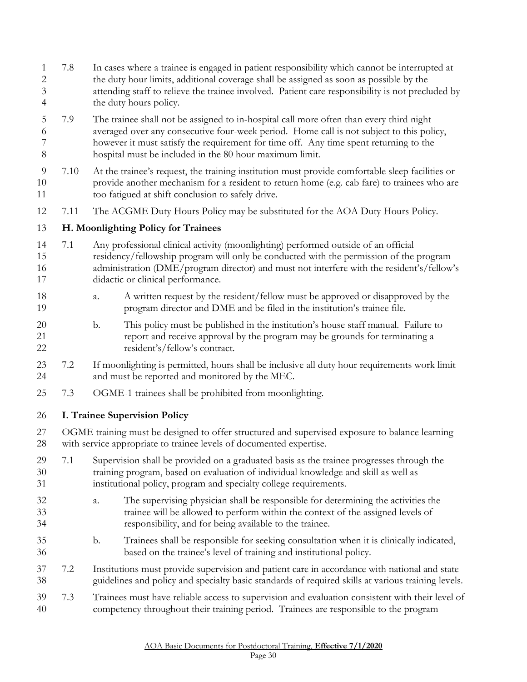- 7.8 In cases where a trainee is engaged in patient responsibility which cannot be interrupted at the duty hour limits, additional coverage shall be assigned as soon as possible by the attending staff to relieve the trainee involved. Patient care responsibility is not precluded by the duty hours policy.
- 7.9 The trainee shall not be assigned to in-hospital call more often than every third night averaged over any consecutive four-week period. Home call is not subject to this policy, however it must satisfy the requirement for time off. Any time spent returning to the hospital must be included in the 80 hour maximum limit.
- 7.10 At the trainee's request, the training institution must provide comfortable sleep facilities or provide another mechanism for a resident to return home (e.g. cab fare) to trainees who are too fatigued at shift conclusion to safely drive.
- 7.11 The ACGME Duty Hours Policy may be substituted for the AOA Duty Hours Policy.

#### <span id="page-29-0"></span>**H. Moonlighting Policy for Trainees**

- 7.1 Any professional clinical activity (moonlighting) performed outside of an official residency/fellowship program will only be conducted with the permission of the program 16 administration (DME/program director) and must not interfere with the resident's/fellow's 17 didactic or clinical performance.
- a. A written request by the resident/fellow must be approved or disapproved by the program director and DME and be filed in the institution's trainee file.
- b. This policy must be published in the institution's house staff manual. Failure to report and receive approval by the program may be grounds for terminating a resident's/fellow's contract.
- 7.2 If moonlighting is permitted, hours shall be inclusive all duty hour requirements work limit and must be reported and monitored by the MEC.
- 7.3 OGME-1 trainees shall be prohibited from moonlighting.

### <span id="page-29-1"></span>**I. Trainee Supervision Policy**

 OGME training must be designed to offer structured and supervised exposure to balance learning with service appropriate to trainee levels of documented expertise.

- 7.1 Supervision shall be provided on a graduated basis as the trainee progresses through the training program, based on evaluation of individual knowledge and skill as well as institutional policy, program and specialty college requirements.
- a. The supervising physician shall be responsible for determining the activities the trainee will be allowed to perform within the context of the assigned levels of responsibility, and for being available to the trainee.
- b. Trainees shall be responsible for seeking consultation when it is clinically indicated, based on the trainee's level of training and institutional policy.
- 7.2 Institutions must provide supervision and patient care in accordance with national and state guidelines and policy and specialty basic standards of required skills at various training levels.
- 7.3 Trainees must have reliable access to supervision and evaluation consistent with their level of competency throughout their training period. Trainees are responsible to the program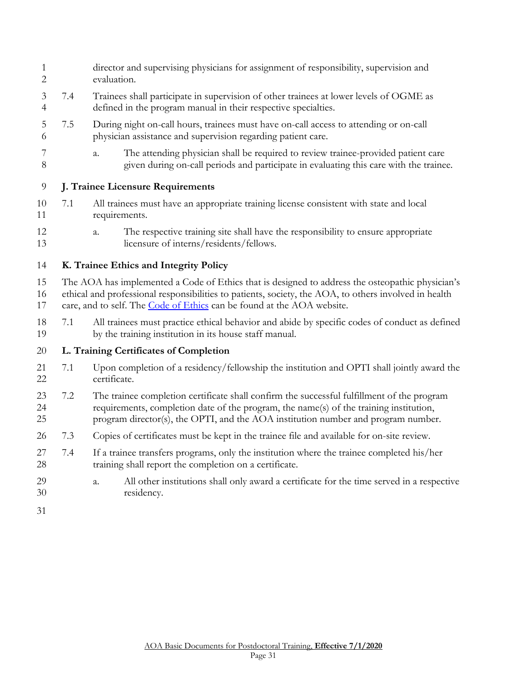- director and supervising physicians for assignment of responsibility, supervision and evaluation.
- 7.4 Trainees shall participate in supervision of other trainees at lower levels of OGME as defined in the program manual in their respective specialties.
- 7.5 During night on-call hours, trainees must have on-call access to attending or on-call physician assistance and supervision regarding patient care.
- a. The attending physician shall be required to review trainee-provided patient care given during on-call periods and participate in evaluating this care with the trainee.

### <span id="page-30-0"></span>**J. Trainee Licensure Requirements**

- 7.1 All trainees must have an appropriate training license consistent with state and local requirements.
- a. The respective training site shall have the responsibility to ensure appropriate licensure of interns/residents/fellows.

### <span id="page-30-1"></span>**K. Trainee Ethics and Integrity Policy**

The AOA has implemented a Code of Ethics that is designed to address the osteopathic physician's

 ethical and professional responsibilities to patients, society, the AOA, to others involved in health care, and to self. The [Code of Ethics](https://www.osteopathic.org/inside-aoa/about/leadership/Pages/aoa-code-of-ethics.aspx) can be found at the AOA website.

 7.1 All trainees must practice ethical behavior and abide by specific codes of conduct as defined by the training institution in its house staff manual.

#### <span id="page-30-2"></span>**L. Training Certificates of Completion**

- 7.1 Upon completion of a residency/fellowship the institution and OPTI shall jointly award the certificate.
- 7.2 The trainee completion certificate shall confirm the successful fulfillment of the program requirements, completion date of the program, the name(s) of the training institution, program director(s), the OPTI, and the AOA institution number and program number.
- 7.3 Copies of certificates must be kept in the trainee file and available for on-site review.
- 7.4 If a trainee transfers programs, only the institution where the trainee completed his/her training shall report the completion on a certificate.
- a. All other institutions shall only award a certificate for the time served in a respective residency.
-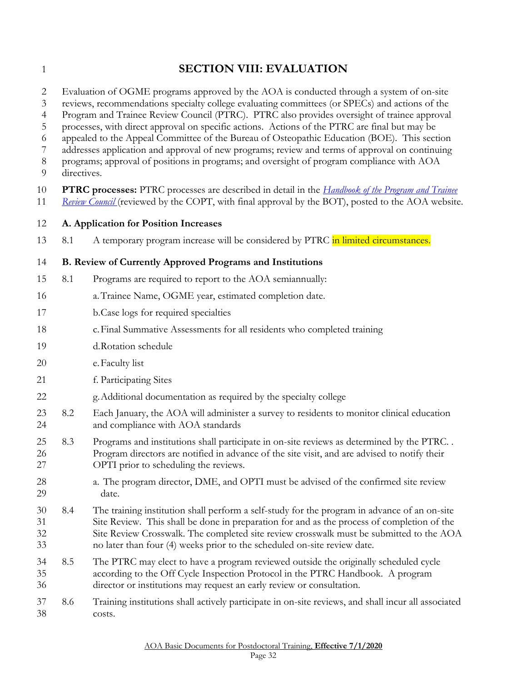<span id="page-31-0"></span>

# **SECTION VIII: EVALUATION**

Evaluation of OGME programs approved by the AOA is conducted through a system of on-site

reviews, recommendations specialty college evaluating committees (or SPECs) and actions of the

Program and Trainee Review Council (PTRC). PTRC also provides oversight of trainee approval

processes, with direct approval on specific actions. Actions of the PTRC are final but may be

appealed to the Appeal Committee of the Bureau of Osteopathic Education (BOE). This section

 addresses application and approval of new programs; review and terms of approval on continuing programs; approval of positions in programs; and oversight of program compliance with AOA

- 
- directives.
- **PTRC processes:** PTRC processes are described in detail in the *[Handbook of the Program and Trainee](http://www.osteopathic.org/inside-aoa/accreditation/postdoctoral-training-approval/Documents/handbook-of-the-program-and-trainee-review-council.pdf)  [Review Council](http://www.osteopathic.org/inside-aoa/accreditation/postdoctoral-training-approval/Documents/handbook-of-the-program-and-trainee-review-council.pdf)* (reviewed by the COPT, with final approval by the BOT), posted to the AOA website.
- <span id="page-31-1"></span>**A. Application for Position Increases**
- 13 8.1 A temporary program increase will be considered by PTRC in limited circumstances.

#### <span id="page-31-2"></span>**B. Review of Currently Approved Programs and Institutions**

- 8.1 Programs are required to report to the AOA semiannually:
- a.Trainee Name, OGME year, estimated completion date.
- b.Case logs for required specialties
- c.Final Summative Assessments for all residents who completed training
- d.Rotation schedule
- e.Faculty list
- f. Participating Sites
- g.Additional documentation as required by the specialty college
- 8.2 Each January, the AOA will administer a survey to residents to monitor clinical education and compliance with AOA standards
- 8.3 Programs and institutions shall participate in on-site reviews as determined by the PTRC. . Program directors are notified in advance of the site visit, and are advised to notify their OPTI prior to scheduling the reviews.
- a. The program director, DME, and OPTI must be advised of the confirmed site review date.
- 8.4 The training institution shall perform a self-study for the program in advance of an on-site Site Review. This shall be done in preparation for and as the process of completion of the Site Review Crosswalk. The completed site review crosswalk must be submitted to the AOA no later than four (4) weeks prior to the scheduled on-site review date.
- 8.5 The PTRC may elect to have a program reviewed outside the originally scheduled cycle according to the Off Cycle Inspection Protocol in the PTRC Handbook. A program director or institutions may request an early review or consultation.
- 8.6 Training institutions shall actively participate in on-site reviews, and shall incur all associated costs.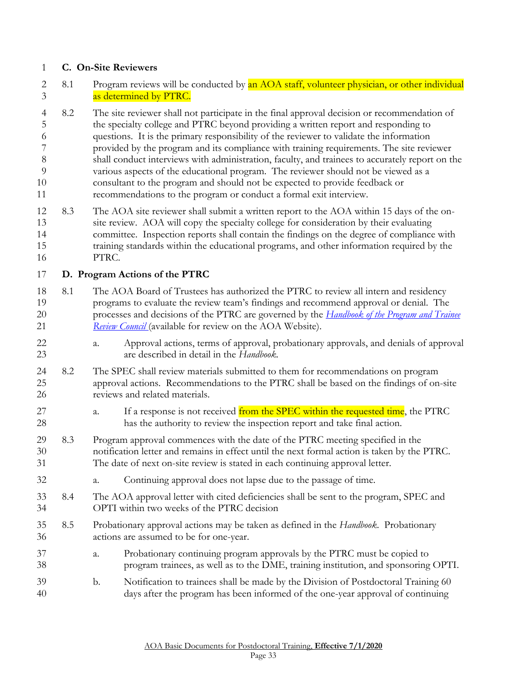#### <span id="page-32-0"></span>**C. On-Site Reviewers**

- 2 8.1 Program reviews will be conducted by an AOA staff, volunteer physician, or other individual as determined by PTRC.
- 8.2 The site reviewer shall not participate in the final approval decision or recommendation of the specialty college and PTRC beyond providing a written report and responding to questions. It is the primary responsibility of the reviewer to validate the information provided by the program and its compliance with training requirements. The site reviewer shall conduct interviews with administration, faculty, and trainees to accurately report on the various aspects of the educational program. The reviewer should not be viewed as a consultant to the program and should not be expected to provide feedback or recommendations to the program or conduct a formal exit interview.
- 8.3 The AOA site reviewer shall submit a written report to the AOA within 15 days of the on- site review. AOA will copy the specialty college for consideration by their evaluating committee. Inspection reports shall contain the findings on the degree of compliance with training standards within the educational programs, and other information required by the PTRC.

#### <span id="page-32-1"></span>**D. Program Actions of the PTRC**

- 8.1 The AOA Board of Trustees has authorized the PTRC to review all intern and residency programs to evaluate the review team's findings and recommend approval or denial. The processes and decisions of the PTRC are governed by the *[Handbook of the Program and Trainee](http://www.osteopathic.org/inside-aoa/accreditation/postdoctoral-training-approval/Documents/handbook-of-the-program-and-trainee-review-council.pdf)  [Review Council](http://www.osteopathic.org/inside-aoa/accreditation/postdoctoral-training-approval/Documents/handbook-of-the-program-and-trainee-review-council.pdf)* (available for review on the AOA Website).
- a. Approval actions, terms of approval, probationary approvals, and denials of approval are described in detail in the *Handbook.*
- 8.2 The SPEC shall review materials submitted to them for recommendations on program approval actions. Recommendations to the PTRC shall be based on the findings of on-site reviews and related materials.
- 27 a. If a response is not received from the SPEC within the requested time, the PTRC has the authority to review the inspection report and take final action.
- 8.3 Program approval commences with the date of the PTRC meeting specified in the notification letter and remains in effect until the next formal action is taken by the PTRC. The date of next on-site review is stated in each continuing approval letter.
- a. Continuing approval does not lapse due to the passage of time.
- 8.4 The AOA approval letter with cited deficiencies shall be sent to the program, SPEC and OPTI within two weeks of the PTRC decision
- 8.5 Probationary approval actions may be taken as defined in the *Handbook*. Probationary actions are assumed to be for one-year.
- a. Probationary continuing program approvals by the PTRC must be copied to program trainees, as well as to the DME, training institution, and sponsoring OPTI.
- b. Notification to trainees shall be made by the Division of Postdoctoral Training 60 days after the program has been informed of the one-year approval of continuing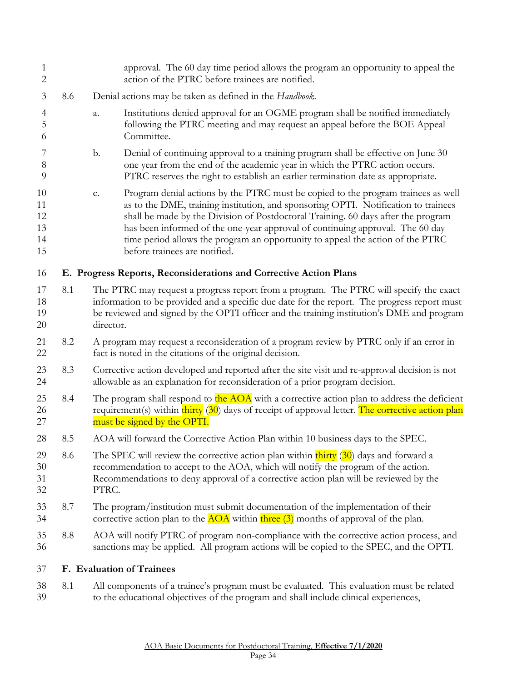<span id="page-33-1"></span><span id="page-33-0"></span>

| 1<br>$\overline{2}$              |     | approval. The 60 day time period allows the program an opportunity to appeal the<br>action of the PTRC before trainees are notified.                                                                                                                                                                                                                                                                                                                                   |  |
|----------------------------------|-----|------------------------------------------------------------------------------------------------------------------------------------------------------------------------------------------------------------------------------------------------------------------------------------------------------------------------------------------------------------------------------------------------------------------------------------------------------------------------|--|
| 3                                | 8.6 | Denial actions may be taken as defined in the Handbook.                                                                                                                                                                                                                                                                                                                                                                                                                |  |
| $\overline{4}$<br>5<br>6         |     | Institutions denied approval for an OGME program shall be notified immediately<br>a.<br>following the PTRC meeting and may request an appeal before the BOE Appeal<br>Committee.                                                                                                                                                                                                                                                                                       |  |
| 7<br>$8\,$<br>9                  |     | Denial of continuing approval to a training program shall be effective on June 30<br>$\mathbf{b}$ .<br>one year from the end of the academic year in which the PTRC action occurs.<br>PTRC reserves the right to establish an earlier termination date as appropriate.                                                                                                                                                                                                 |  |
| 10<br>11<br>12<br>13<br>14<br>15 |     | Program denial actions by the PTRC must be copied to the program trainees as well<br>c.<br>as to the DME, training institution, and sponsoring OPTI. Notification to trainees<br>shall be made by the Division of Postdoctoral Training. 60 days after the program<br>has been informed of the one-year approval of continuing approval. The 60 day<br>time period allows the program an opportunity to appeal the action of the PTRC<br>before trainees are notified. |  |
| 16                               |     | E. Progress Reports, Reconsiderations and Corrective Action Plans                                                                                                                                                                                                                                                                                                                                                                                                      |  |
| 17<br>18<br>19<br>20             | 8.1 | The PTRC may request a progress report from a program. The PTRC will specify the exact<br>information to be provided and a specific due date for the report. The progress report must<br>be reviewed and signed by the OPTI officer and the training institution's DME and program<br>director.                                                                                                                                                                        |  |
| 21<br>22                         | 8.2 | A program may request a reconsideration of a program review by PTRC only if an error in<br>fact is noted in the citations of the original decision.                                                                                                                                                                                                                                                                                                                    |  |
| 23<br>24                         | 8.3 | Corrective action developed and reported after the site visit and re-approval decision is not<br>allowable as an explanation for reconsideration of a prior program decision.                                                                                                                                                                                                                                                                                          |  |
| 25<br>26<br>27                   | 8.4 | The program shall respond to the AOA with a corrective action plan to address the deficient<br>requirement(s) within thirty (30) days of receipt of approval letter. The corrective action plan<br>must be signed by the OPTI.                                                                                                                                                                                                                                         |  |
| 28                               | 8.5 | AOA will forward the Corrective Action Plan within 10 business days to the SPEC.                                                                                                                                                                                                                                                                                                                                                                                       |  |
| 29<br>30<br>31<br>32             | 8.6 | The SPEC will review the corrective action plan within $\frac{\text{thirty}}{\text{d}0}$ days and forward a<br>recommendation to accept to the AOA, which will notify the program of the action.<br>Recommendations to deny approval of a corrective action plan will be reviewed by the<br>PTRC.                                                                                                                                                                      |  |
| 33<br>34                         | 8.7 | The program/institution must submit documentation of the implementation of their<br>corrective action plan to the $\triangle OA$ within three (3) months of approval of the plan.                                                                                                                                                                                                                                                                                      |  |
| 35<br>36                         | 8.8 | AOA will notify PTRC of program non-compliance with the corrective action process, and<br>sanctions may be applied. All program actions will be copied to the SPEC, and the OPTI.                                                                                                                                                                                                                                                                                      |  |
| 37                               |     | F. Evaluation of Trainees                                                                                                                                                                                                                                                                                                                                                                                                                                              |  |
| 38<br>39                         | 8.1 | All components of a trainee's program must be evaluated. This evaluation must be related<br>to the educational objectives of the program and shall include clinical experiences,                                                                                                                                                                                                                                                                                       |  |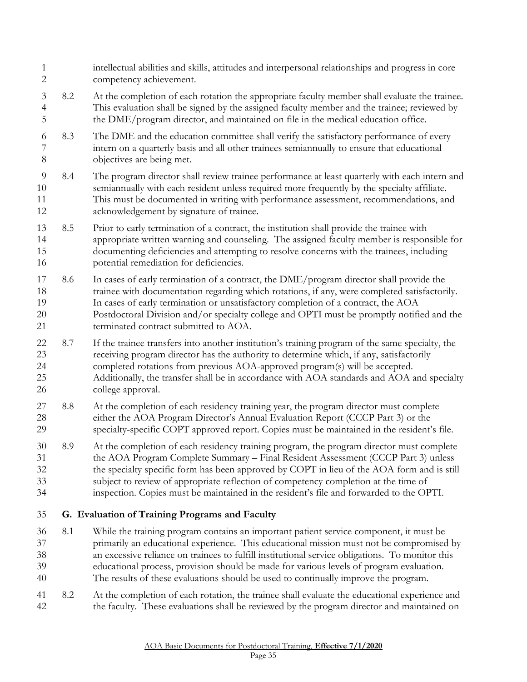<span id="page-34-0"></span> competency achievement. 8.2 At the completion of each rotation the appropriate faculty member shall evaluate the trainee. This evaluation shall be signed by the assigned faculty member and the trainee; reviewed by the DME/program director, and maintained on file in the medical education office. 8.3 The DME and the education committee shall verify the satisfactory performance of every intern on a quarterly basis and all other trainees semiannually to ensure that educational objectives are being met. 8.4 The program director shall review trainee performance at least quarterly with each intern and semiannually with each resident unless required more frequently by the specialty affiliate. This must be documented in writing with performance assessment, recommendations, and acknowledgement by signature of trainee. 8.5 Prior to early termination of a contract, the institution shall provide the trainee with appropriate written warning and counseling. The assigned faculty member is responsible for documenting deficiencies and attempting to resolve concerns with the trainees, including potential remediation for deficiencies. 8.6 In cases of early termination of a contract, the DME/program director shall provide the trainee with documentation regarding which rotations, if any, were completed satisfactorily. In cases of early termination or unsatisfactory completion of a contract, the AOA Postdoctoral Division and/or specialty college and OPTI must be promptly notified and the terminated contract submitted to AOA. 8.7 If the trainee transfers into another institution's training program of the same specialty, the receiving program director has the authority to determine which, if any, satisfactorily completed rotations from previous AOA-approved program(s) will be accepted. Additionally, the transfer shall be in accordance with AOA standards and AOA and specialty college approval. 27 8.8 At the completion of each residency training year, the program director must complete either the AOA Program Director's Annual Evaluation Report (CCCP Part 3) or the specialty-specific COPT approved report. Copies must be maintained in the resident's file. 8.9 At the completion of each residency training program, the program director must complete the AOA Program Complete Summary – Final Resident Assessment (CCCP Part 3) unless the specialty specific form has been approved by COPT in lieu of the AOA form and is still subject to review of appropriate reflection of competency completion at the time of inspection. Copies must be maintained in the resident's file and forwarded to the OPTI. **G. Evaluation of Training Programs and Faculty**  8.1 While the training program contains an important patient service component, it must be primarily an educational experience. This educational mission must not be compromised by an excessive reliance on trainees to fulfill institutional service obligations. To monitor this educational process, provision should be made for various levels of program evaluation. The results of these evaluations should be used to continually improve the program. 8.2 At the completion of each rotation, the trainee shall evaluate the educational experience and the faculty. These evaluations shall be reviewed by the program director and maintained on

intellectual abilities and skills, attitudes and interpersonal relationships and progress in core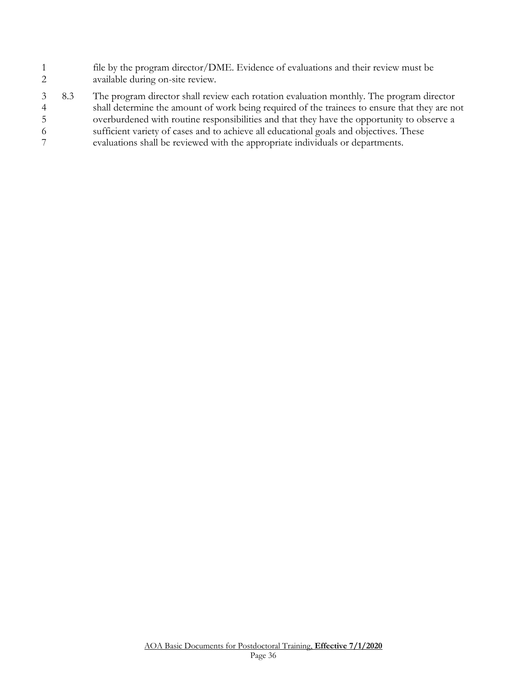- file by the program director/DME. Evidence of evaluations and their review must be available during on-site review.
- <span id="page-35-0"></span> 8.3 The program director shall review each rotation evaluation monthly. The program director shall determine the amount of work being required of the trainees to ensure that they are not overburdened with routine responsibilities and that they have the opportunity to observe a sufficient variety of cases and to achieve all educational goals and objectives. These evaluations shall be reviewed with the appropriate individuals or departments.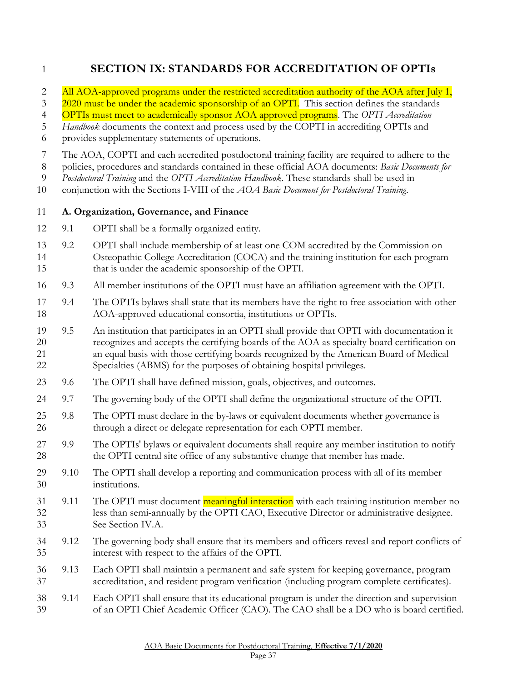# **SECTION IX: STANDARDS FOR ACCREDITATION OF OPTIs**

2 All AOA-approved programs under the restricted accreditation authority of the AOA after July 1,

3 2020 must be under the academic sponsorship of an OPTI. This section defines the standards

OPTIs must meet to academically sponsor AOA approved programs. The *OPTI Accreditation* 

*Handbook* documents the context and process used by the COPTI in accrediting OPTIs and

provides supplementary statements of operations.

The AOA, COPTI and each accredited postdoctoral training facility are required to adhere to the

policies, procedures and standards contained in these official AOA documents: *Basic Documents for* 

*Postdoctoral Training* and the *OPTI Accreditation Handbook*. These standards shall be used in

conjunction with the Sections I-VIII of the *AOA Basic Document for Postdoctoral Training*.

#### <span id="page-36-0"></span>**A. Organization, Governance, and Finance**

- 9.1 OPTI shall be a formally organized entity.
- 9.2 OPTI shall include membership of at least one COM accredited by the Commission on Osteopathic College Accreditation (COCA) and the training institution for each program that is under the academic sponsorship of the OPTI.
- 9.3 All member institutions of the OPTI must have an affiliation agreement with the OPTI.
- 9.4 The OPTIs bylaws shall state that its members have the right to free association with other AOA-approved educational consortia, institutions or OPTIs.
- 9.5 An institution that participates in an OPTI shall provide that OPTI with documentation it recognizes and accepts the certifying boards of the AOA as specialty board certification on an equal basis with those certifying boards recognized by the American Board of Medical Specialties (ABMS) for the purposes of obtaining hospital privileges.
- 9.6 The OPTI shall have defined mission, goals, objectives, and outcomes.
- 9.7 The governing body of the OPTI shall define the organizational structure of the OPTI.
- 9.8 The OPTI must declare in the by-laws or equivalent documents whether governance is through a direct or delegate representation for each OPTI member.
- 9.9 The OPTIs' bylaws or equivalent documents shall require any member institution to notify the OPTI central site office of any substantive change that member has made.
- 9.10 The OPTI shall develop a reporting and communication process with all of its member institutions.
- 31 9.11 The OPTI must document meaningful interaction with each training institution member no less than semi-annually by the OPTI CAO, Executive Director or administrative designee. See Section IV.A.
- 9.12 The governing body shall ensure that its members and officers reveal and report conflicts of interest with respect to the affairs of the OPTI.
- 9.13 Each OPTI shall maintain a permanent and safe system for keeping governance, program accreditation, and resident program verification (including program complete certificates).

#### 9.14 Each OPTI shall ensure that its educational program is under the direction and supervision of an OPTI Chief Academic Officer (CAO). The CAO shall be a DO who is board certified.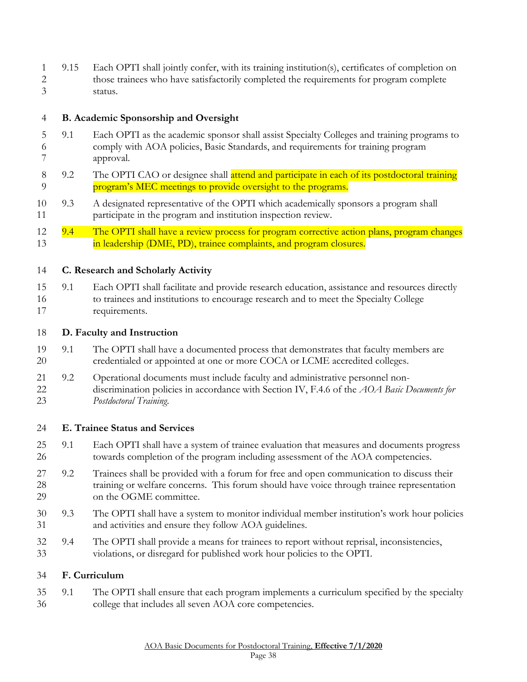9.15 Each OPTI shall jointly confer, with its training institution(s), certificates of completion on those trainees who have satisfactorily completed the requirements for program complete status.

#### <span id="page-37-0"></span>**B. Academic Sponsorship and Oversight**

- 9.1 Each OPTI as the academic sponsor shall assist Specialty Colleges and training programs to comply with AOA policies, Basic Standards, and requirements for training program approval.
- 8 9.2 The OPTI CAO or designee shall attend and participate in each of its postdoctoral training **program's MEC meetings to provide oversight to the programs.**
- 9.3 A designated representative of the OPTI which academically sponsors a program shall participate in the program and institution inspection review.
- 12 9.4 The OPTI shall have a review process for program corrective action plans, program changes **in leadership (DME, PD), trainee complaints, and program closures.**

#### <span id="page-37-1"></span>**C. Research and Scholarly Activity**

 9.1 Each OPTI shall facilitate and provide research education, assistance and resources directly to trainees and institutions to encourage research and to meet the Specialty College requirements.

#### <span id="page-37-2"></span>**D. Faculty and Instruction**

- 9.1 The OPTI shall have a documented process that demonstrates that faculty members are credentialed or appointed at one or more COCA or LCME accredited colleges.
- 9.2 Operational documents must include faculty and administrative personnel non- discrimination policies in accordance with Section IV, F.4.6 of the *AOA Basic Documents for Postdoctoral Training*.

#### <span id="page-37-3"></span>**E. Trainee Status and Services**

- 9.1 Each OPTI shall have a system of trainee evaluation that measures and documents progress towards completion of the program including assessment of the AOA competencies.
- 9.2 Trainees shall be provided with a forum for free and open communication to discuss their training or welfare concerns. This forum should have voice through trainee representation 29 on the OGME committee.
- 9.3 The OPTI shall have a system to monitor individual member institution's work hour policies and activities and ensure they follow AOA guidelines.
- 9.4 The OPTI shall provide a means for trainees to report without reprisal, inconsistencies, violations, or disregard for published work hour policies to the OPTI.

#### <span id="page-37-4"></span>**F. Curriculum**

 9.1 The OPTI shall ensure that each program implements a curriculum specified by the specialty college that includes all seven AOA core competencies.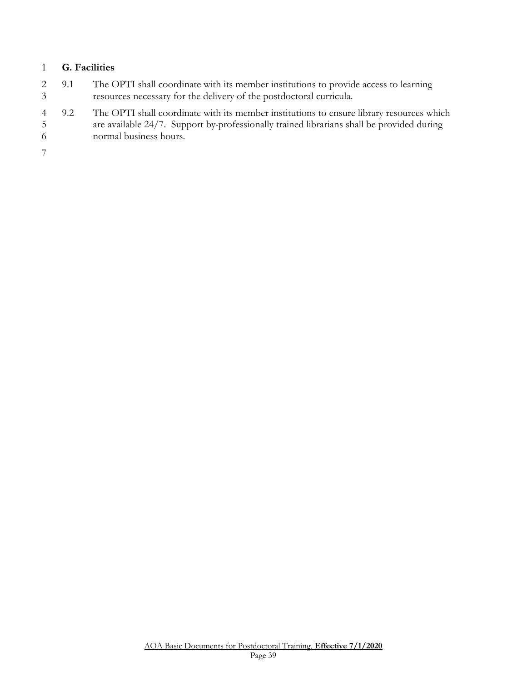#### <span id="page-38-0"></span>**G. Facilities**

- 9.1 The OPTI shall coordinate with its member institutions to provide access to learning resources necessary for the delivery of the postdoctoral curricula.
- 9.2 The OPTI shall coordinate with its member institutions to ensure library resources which are available 24/7. Support by professionally trained librarians shall be provided during normal business hours.

<span id="page-38-1"></span>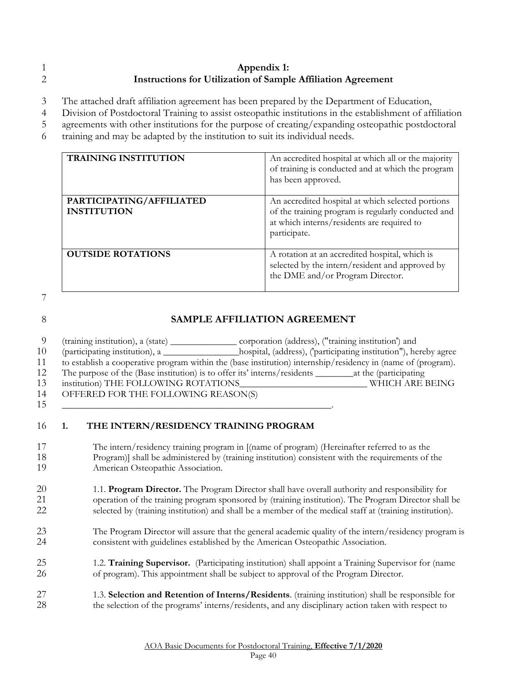#### **Appendix 1: Instructions for Utilization of Sample Affiliation Agreement**

The attached draft affiliation agreement has been prepared by the Department of Education,

Division of Postdoctoral Training to assist osteopathic institutions in the establishment of affiliation

agreements with other institutions for the purpose of creating/expanding osteopathic postdoctoral

training and may be adapted by the institution to suit its individual needs.

| <b>TRAINING INSTITUTION</b>                    | An accredited hospital at which all or the majority<br>of training is conducted and at which the program<br>has been approved.                                        |
|------------------------------------------------|-----------------------------------------------------------------------------------------------------------------------------------------------------------------------|
| PARTICIPATING/AFFILIATED<br><b>INSTITUTION</b> | An accredited hospital at which selected portions<br>of the training program is regularly conducted and<br>at which interns/residents are required to<br>participate. |
| <b>OUTSIDE ROTATIONS</b>                       | A rotation at an accredited hospital, which is<br>selected by the intern/resident and approved by<br>the DME and/or Program Director.                                 |

#### **SAMPLE AFFILIATION AGREEMENT**

 (training institution), a (state) \_\_\_\_\_\_\_\_\_\_\_\_\_\_ corporation (address), ("training institution') and (participating institution), a \_\_\_\_\_\_\_\_\_\_\_\_\_\_\_\_hospital, (address), ('participating institution"), hereby agree to establish a cooperative program within the (base institution) internship/residency in (name of (program). 12 The purpose of the (Base institution) is to offer its' interns/residents \_\_\_\_\_\_\_\_\_\_at the (participating<br>13 institution) THE FOLLOWING ROTATIONS WHICH ARE I institution) THE FOLLOWING ROTATIONS\_\_\_\_\_\_\_\_\_\_\_\_\_\_\_\_\_\_\_\_\_\_\_\_\_\_\_ WHICH ARE BEING

 OFFERED FOR THE FOLLOWING REASON(S) \_\_\_\_\_\_\_\_\_\_\_\_\_\_\_\_\_\_\_\_\_\_\_\_\_\_\_\_\_\_\_\_\_\_\_\_\_\_\_\_\_\_\_\_\_\_\_\_\_\_\_\_\_\_\_\_\_.

# **1. THE INTERN/RESIDENCY TRAINING PROGRAM**

 The intern/residency training program in [(name of program) (Hereinafter referred to as the Program)] shall be administered by (training institution) consistent with the requirements of the American Osteopathic Association.

#### 20 1.1. **Program Director.** The Program Director shall have overall authority and responsibility for<br>21 operation of the training program sponsored by (training institution). The Program Director shall operation of the training program sponsored by (training institution). The Program Director shall be selected by (training institution) and shall be a member of the medical staff at (training institution).

- The Program Director will assure that the general academic quality of the intern/residency program is consistent with guidelines established by the American Osteopathic Association.
- 1.2. **Training Supervisor.** (Participating institution) shall appoint a Training Supervisor for (name of program). This appointment shall be subject to approval of the Program Director.
- 1.3. **Selection and Retention of Interns/Residents**. (training institution) shall be responsible for the selection of the programs' interns/residents, and any disciplinary action taken with respect to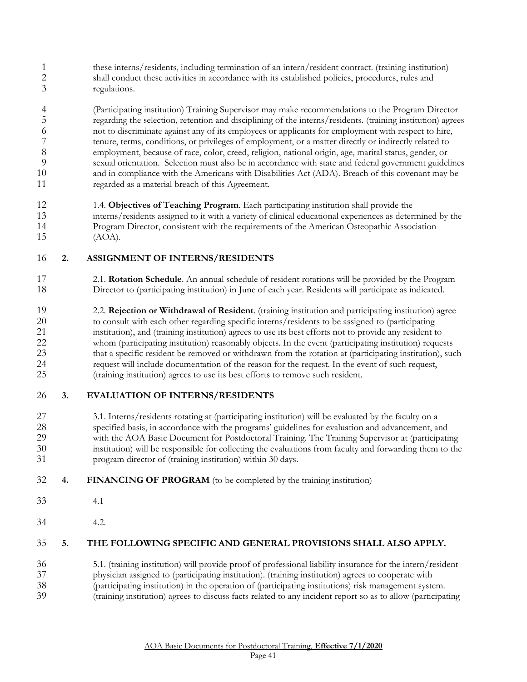1 these interns/residents, including termination of an intern/resident contract. (training institution)<br>2 shall conduct these activities in accordance with its established policies, procedures, rules and shall conduct these activities in accordance with its established policies, procedures, rules and regulations.

 (Participating institution) Training Supervisor may make recommendations to the Program Director regarding the selection, retention and disciplining of the interns/residents. (training institution) agrees not to discriminate against any of its employees or applicants for employment with respect to hire, 7 tenure, terms, conditions, or privileges of employment, or a matter directly or indirectly related to<br>8 employment, because of race, color, creed, religion, national origin, age, marital status, gender, or employment, because of race, color, creed, religion, national origin, age, marital status, gender, or sexual orientation. Selection must also be in accordance with state and federal government guidelines and in compliance with the Americans with Disabilities Act (ADA). Breach of this covenant may be regarded as a material breach of this Agreement.

 1.4. **Objectives of Teaching Program**. Each participating institution shall provide the interns/residents assigned to it with a variety of clinical educational experiences as determined by the Program Director, consistent with the requirements of the American Osteopathic Association (AOA).

#### **2. ASSIGNMENT OF INTERNS/RESIDENTS**

 2.1. **Rotation Schedule**. An annual schedule of resident rotations will be provided by the Program Director to (participating institution) in June of each year. Residents will participate as indicated.

 2.2. **Rejection or Withdrawal of Resident**. (training institution and participating institution) agree to consult with each other regarding specific interns/residents to be assigned to (participating 21 institution), and (training institution) agrees to use its best efforts not to provide any resident to<br>22 whom (participating institution) reasonably objects. In the event (participating institution) requestion whom (participating institution) reasonably objects. In the event (participating institution) requests 23 that a specific resident be removed or withdrawn from the rotation at (participating institution), such request will include documentation of the reason for the request. In the event of such request, (training institution) agrees to use its best efforts to remove such resident.

#### **3. EVALUATION OF INTERNS/RESIDENTS**

- 27 3.1. Interns/residents rotating at (participating institution) will be evaluated by the faculty on a specified basis, in accordance with the programs' guidelines for evaluation and advancement, and specified basis, in accordance with the programs' guidelines for evaluation and advancement, and with the AOA Basic Document for Postdoctoral Training. The Training Supervisor at (participating institution) will be responsible for collecting the evaluations from faculty and forwarding them to the program director of (training institution) within 30 days.
- **4. FINANCING OF PROGRAM** (to be completed by the training institution)
- 4.1
- 4.2.

#### **5. THE FOLLOWING SPECIFIC AND GENERAL PROVISIONS SHALL ALSO APPLY.**

- 5.1. (training institution) will provide proof of professional liability insurance for the intern/resident
- physician assigned to (participating institution). (training institution) agrees to cooperate with
- (participating institution) in the operation of (participating institutions) risk management system.
- (training institution) agrees to discuss facts related to any incident report so as to allow (participating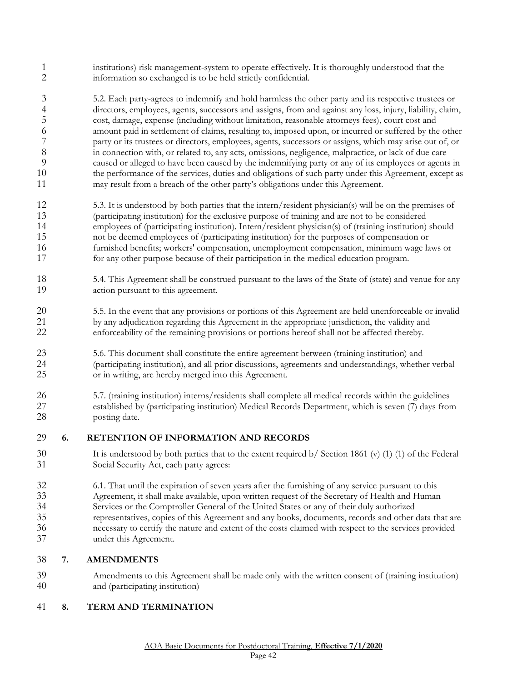- institutions) risk management-system to operate effectively. It is thoroughly understood that the information so exchanged is to be held strictly confidential.
- 5.2. Each party-agrees to indemnify and hold harmless the other party and its respective trustees or 4 directors, employees, agents, successors and assigns, from and against any loss, injury, liability, claim,<br>5 cost, damage, expense (including without limitation, reasonable attorneys fees), court cost and cost, damage, expense (including without limitation, reasonable attorneys fees), court cost and amount paid in settlement of claims, resulting to, imposed upon, or incurred or suffered by the other 7 party or its trustees or directors, employees, agents, successors or assigns, which may arise out of, or in connection with, or related to, any acts, omissions, negligence, malpractice, or lack of due care in connection with, or related to, any acts, omissions, negligence, malpractice, or lack of due care caused or alleged to have been caused by the indemnifying party or any of its employees or agents in the performance of the services, duties and obligations of such party under this Agreement, except as may result from a breach of the other party's obligations under this Agreement.
- 5.3. It is understood by both parties that the intern/resident physician(s) will be on the premises of (participating institution) for the exclusive purpose of training and are not to be considered employees of (participating institution). Intern/resident physician(s) of (training institution) should not be deemed employees of (participating institution) for the purposes of compensation or furnished benefits; workers' compensation, unemployment compensation, minimum wage laws or for any other purpose because of their participation in the medical education program.
- 5.4. This Agreement shall be construed pursuant to the laws of the State of (state) and venue for any action pursuant to this agreement.
- 5.5. In the event that any provisions or portions of this Agreement are held unenforceable or invalid 21 by any adjudication regarding this Agreement in the appropriate jurisdiction, the validity and<br>22 enforceability of the remaining provisions or portions hereof shall not be affected thereby. enforceability of the remaining provisions or portions hereof shall not be affected thereby.
- 5.6. This document shall constitute the entire agreement between (training institution) and (participating institution), and all prior discussions, agreements and understandings, whether verbal or in writing, are hereby merged into this Agreement.
- 5.7. (training institution) interns/residents shall complete all medical records within the guidelines established by (participating institution) Medical Records Department, which is seven (7) days from posting date.

#### **6. RETENTION OF INFORMATION AND RECORDS**

- It is understood by both parties that to the extent required b/ Section 1861 (v) (1) (1) of the Federal Social Security Act, each party agrees:
- 6.1. That until the expiration of seven years after the furnishing of any service pursuant to this Agreement, it shall make available, upon written request of the Secretary of Health and Human Services or the Comptroller General of the United States or any of their duly authorized representatives, copies of this Agreement and any books, documents, records and other data that are necessary to certify the nature and extent of the costs claimed with respect to the services provided under this Agreement.

#### **7. AMENDMENTS**

 Amendments to this Agreement shall be made only with the written consent of (training institution) and (participating institution)

#### **8. TERM AND TERMINATION**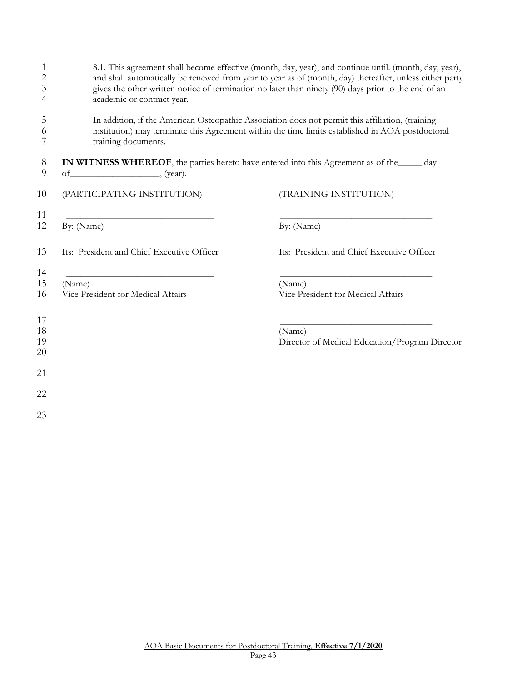| 8.1. This agreement shall become effective (month, day, year), and continue until. (month, day, year),<br>and shall automatically be renewed from year to year as of (month, day) thereafter, unless either party<br>gives the other written notice of termination no later than ninety (90) days prior to the end of an<br>academic or contract year. |                                                                                                           |  |  |  |  |
|--------------------------------------------------------------------------------------------------------------------------------------------------------------------------------------------------------------------------------------------------------------------------------------------------------------------------------------------------------|-----------------------------------------------------------------------------------------------------------|--|--|--|--|
| In addition, if the American Osteopathic Association does not permit this affiliation, (training<br>institution) may terminate this Agreement within the time limits established in AOA postdoctoral<br>training documents.                                                                                                                            |                                                                                                           |  |  |  |  |
| $of$ (year).                                                                                                                                                                                                                                                                                                                                           | <b>IN WITNESS WHEREOF</b> , the parties hereto have entered into this Agreement as of the <u>same</u> day |  |  |  |  |
| (PARTICIPATING INSTITUTION)                                                                                                                                                                                                                                                                                                                            | (TRAINING INSTITUTION)                                                                                    |  |  |  |  |
| By: (Name)                                                                                                                                                                                                                                                                                                                                             | By: (Name)                                                                                                |  |  |  |  |
| Its: President and Chief Executive Officer                                                                                                                                                                                                                                                                                                             | Its: President and Chief Executive Officer                                                                |  |  |  |  |
| (Name)<br>Vice President for Medical Affairs                                                                                                                                                                                                                                                                                                           | (Name)<br>Vice President for Medical Affairs                                                              |  |  |  |  |
|                                                                                                                                                                                                                                                                                                                                                        | (Name)<br>Director of Medical Education/Program Director                                                  |  |  |  |  |
|                                                                                                                                                                                                                                                                                                                                                        |                                                                                                           |  |  |  |  |
|                                                                                                                                                                                                                                                                                                                                                        |                                                                                                           |  |  |  |  |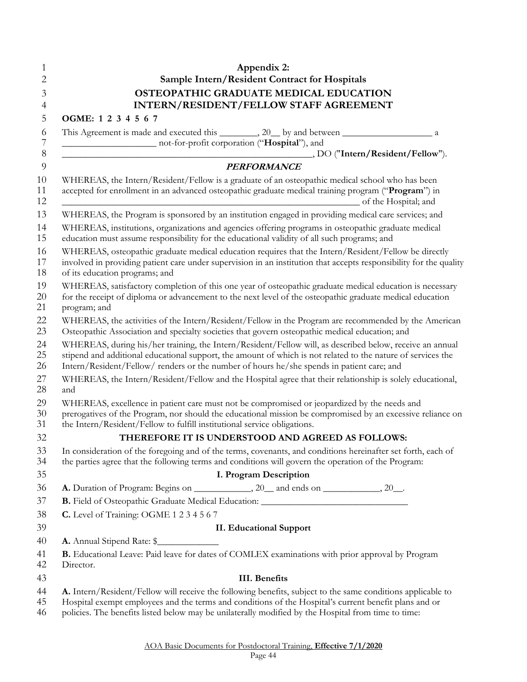<span id="page-43-0"></span>

|              | Appendix 2:                                                                                                                                                                                                                                                                                                                 |
|--------------|-----------------------------------------------------------------------------------------------------------------------------------------------------------------------------------------------------------------------------------------------------------------------------------------------------------------------------|
|              | Sample Intern/Resident Contract for Hospitals                                                                                                                                                                                                                                                                               |
|              | OSTEOPATHIC GRADUATE MEDICAL EDUCATION<br>INTERN/RESIDENT/FELLOW STAFF AGREEMENT                                                                                                                                                                                                                                            |
|              | OGME: 1 2 3 4 5 6 7                                                                                                                                                                                                                                                                                                         |
|              |                                                                                                                                                                                                                                                                                                                             |
|              | not-for-profit corporation ("Hospital"), and                                                                                                                                                                                                                                                                                |
|              |                                                                                                                                                                                                                                                                                                                             |
|              | <b>PERFORMANCE</b>                                                                                                                                                                                                                                                                                                          |
|              | WHEREAS, the Intern/Resident/Fellow is a graduate of an osteopathic medical school who has been<br>accepted for enrollment in an advanced osteopathic graduate medical training program ("Program") in<br>of the Hospital; and                                                                                              |
|              | WHEREAS, the Program is sponsored by an institution engaged in providing medical care services; and                                                                                                                                                                                                                         |
|              | WHEREAS, institutions, organizations and agencies offering programs in osteopathic graduate medical<br>education must assume responsibility for the educational validity of all such programs; and                                                                                                                          |
|              | WHEREAS, osteopathic graduate medical education requires that the Intern/Resident/Fellow be directly<br>involved in providing patient care under supervision in an institution that accepts responsibility for the quality<br>of its education programs; and                                                                |
| program; and | WHEREAS, satisfactory completion of this one year of osteopathic graduate medical education is necessary<br>for the receipt of diploma or advancement to the next level of the osteopathic graduate medical education                                                                                                       |
|              | WHEREAS, the activities of the Intern/Resident/Fellow in the Program are recommended by the American<br>Osteopathic Association and specialty societies that govern osteopathic medical education; and                                                                                                                      |
|              | WHEREAS, during his/her training, the Intern/Resident/Fellow will, as described below, receive an annual<br>stipend and additional educational support, the amount of which is not related to the nature of services the<br>Intern/Resident/Fellow/ renders or the number of hours he/she spends in patient care; and       |
| and          | WHEREAS, the Intern/Resident/Fellow and the Hospital agree that their relationship is solely educational,                                                                                                                                                                                                                   |
|              | WHEREAS, excellence in patient care must not be compromised or jeopardized by the needs and<br>prerogatives of the Program, nor should the educational mission be compromised by an excessive reliance on<br>the Intern/Resident/Fellow to fulfill institutional service obligations.                                       |
|              | THEREFORE IT IS UNDERSTOOD AND AGREED AS FOLLOWS:                                                                                                                                                                                                                                                                           |
|              | In consideration of the foregoing and of the terms, covenants, and conditions hereinafter set forth, each of<br>the parties agree that the following terms and conditions will govern the operation of the Program:                                                                                                         |
|              | I. Program Description                                                                                                                                                                                                                                                                                                      |
|              | A. Duration of Program: Begins on ______________, 20__ and ends on ____________, 20__.                                                                                                                                                                                                                                      |
|              | B. Field of Osteopathic Graduate Medical Education: _____________________________                                                                                                                                                                                                                                           |
|              | C. Level of Training: OGME 1 2 3 4 5 6 7                                                                                                                                                                                                                                                                                    |
|              | <b>II. Educational Support</b>                                                                                                                                                                                                                                                                                              |
|              |                                                                                                                                                                                                                                                                                                                             |
| Director.    | B. Educational Leave: Paid leave for dates of COMLEX examinations with prior approval by Program                                                                                                                                                                                                                            |
|              | <b>III.</b> Benefits                                                                                                                                                                                                                                                                                                        |
|              | A. Intern/Resident/Fellow will receive the following benefits, subject to the same conditions applicable to<br>Hospital exempt employees and the terms and conditions of the Hospital's current benefit plans and or<br>policies. The benefits listed below may be unilaterally modified by the Hospital from time to time: |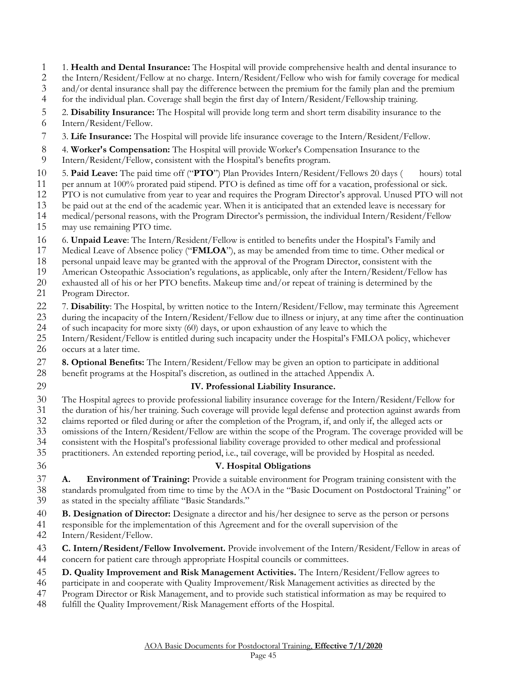1. **Health and Dental Insurance:** The Hospital will provide comprehensive health and dental insurance to

the Intern/Resident/Fellow at no charge. Intern/Resident/Fellow who wish for family coverage for medical

3 and/or dental insurance shall pay the difference between the premium for the family plan and the premium for the individual plan. Coverage shall begin the first day of Intern/Resident/Fellowship training.

for the individual plan. Coverage shall begin the first day of Intern/Resident/Fellowship training.

- 2. **Disability Insurance:** The Hospital will provide long term and short term disability insurance to the
- Intern/Resident/Fellow.
- 3. **Life Insurance:** The Hospital will provide life insurance coverage to the Intern/Resident/Fellow.
- 4. **Worker's Compensation:** The Hospital will provide Worker's Compensation Insurance to the
- Intern/Resident/Fellow, consistent with the Hospital's benefits program.
- 5. **Paid Leave:** The paid time off ("**PTO**") Plan Provides Intern/Resident/Fellows 20 days ( hours) total
- 11 per annum at 100% prorated paid stipend. PTO is defined as time off for a vacation, professional or sick.<br>12 PTO is not cumulative from year to year and requires the Program Director's approval. Unused PTO will
- PTO is not cumulative from year to year and requires the Program Director's approval. Unused PTO will not
- be paid out at the end of the academic year. When it is anticipated that an extended leave is necessary for
- medical/personal reasons, with the Program Director's permission, the individual Intern/Resident/Fellow may use remaining PTO time.
- 6. **Unpaid Leave**: The Intern/Resident/Fellow is entitled to benefits under the Hospital's Family and
- Medical Leave of Absence policy ("**FMLOA**"), as may be amended from time to time. Other medical or
- personal unpaid leave may be granted with the approval of the Program Director, consistent with the
- American Osteopathic Association's regulations, as applicable, only after the Intern/Resident/Fellow has
- exhausted all of his or her PTO benefits. Makeup time and/or repeat of training is determined by the
- Program Director.
- 7. **Disability**: The Hospital, by written notice to the Intern/Resident/Fellow, may terminate this Agreement
- 23 during the incapacity of the Intern/Resident/Fellow due to illness or injury, at any time after the continuation<br>24 of such incapacity for more sixty (60) days, or upon exhaustion of any leave to which the
- of such incapacity for more sixty (60) days, or upon exhaustion of any leave to which the
- Intern/Resident/Fellow is entitled during such incapacity under the Hospital's FMLOA policy, whichever occurs at a later time.
- **8. Optional Benefits:** The Intern/Resident/Fellow may be given an option to participate in additional benefit programs at the Hospital's discretion, as outlined in the attached Appendix A.
- 

### **IV. Professional Liability Insurance.**

- The Hospital agrees to provide professional liability insurance coverage for the Intern/Resident/Fellow for
- the duration of his/her training. Such coverage will provide legal defense and protection against awards from
- claims reported or filed during or after the completion of the Program, if, and only if, the alleged acts or
- omissions of the Intern/Resident/Fellow are within the scope of the Program. The coverage provided will be
- consistent with the Hospital's professional liability coverage provided to other medical and professional
- practitioners. An extended reporting period, i.e., tail coverage, will be provided by Hospital as needed.
- 

### **V. Hospital Obligations**

- **A. Environment of Training:** Provide a suitable environment for Program training consistent with the standards promulgated from time to time by the AOA in the "Basic Document on Postdoctoral Training" or as stated in the specialty affiliate "Basic Standards."
- **B. Designation of Director:** Designate a director and his/her designee to serve as the person or persons
- responsible for the implementation of this Agreement and for the overall supervision of the
- Intern/Resident/Fellow.
- **C. Intern/Resident/Fellow Involvement.** Provide involvement of the Intern/Resident/Fellow in areas of concern for patient care through appropriate Hospital councils or committees.
- **D. Quality Improvement and Risk Management Activities.** The Intern/Resident/Fellow agrees to
- participate in and cooperate with Quality Improvement/Risk Management activities as directed by the
- Program Director or Risk Management, and to provide such statistical information as may be required to
- fulfill the Quality Improvement/Risk Management efforts of the Hospital.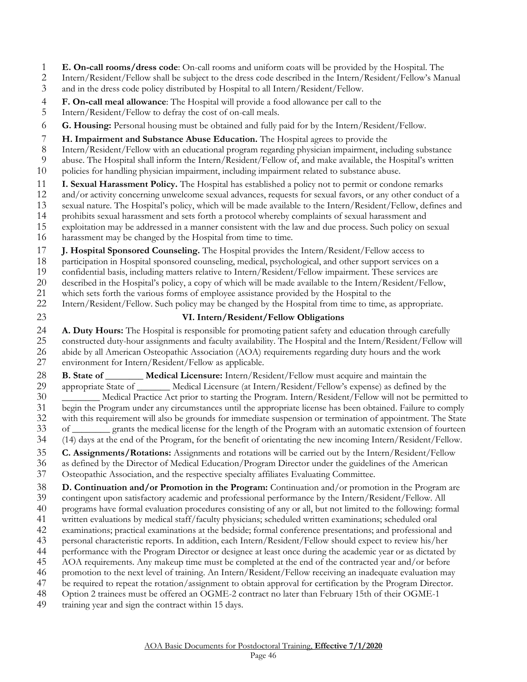**E. On-call rooms/dress code**: On-call rooms and uniform coats will be provided by the Hospital. The

Intern/Resident/Fellow shall be subject to the dress code described in the Intern/Resident/Fellow's Manual

- and in the dress code policy distributed by Hospital to all Intern/Resident/Fellow.
- **F. On-call meal allowance**: The Hospital will provide a food allowance per call to the
- Intern/Resident/Fellow to defray the cost of on-call meals.
- **G. Housing:** Personal housing must be obtained and fully paid for by the Intern/Resident/Fellow.
- **H. Impairment and Substance Abuse Education.** The Hospital agrees to provide the
- Intern/Resident/Fellow with an educational program regarding physician impairment, including substance
- abuse. The Hospital shall inform the Intern/Resident/Fellow of, and make available, the Hospital's written
- policies for handling physician impairment, including impairment related to substance abuse.

**I. Sexual Harassment Policy.** The Hospital has established a policy not to permit or condone remarks and/or activity concerning unwelcome sexual advances, requests for sexual favors, or any other conduct

- and/or activity concerning unwelcome sexual advances, requests for sexual favors, or any other conduct of a
- sexual nature. The Hospital's policy, which will be made available to the Intern/Resident/Fellow, defines and
- prohibits sexual harassment and sets forth a protocol whereby complaints of sexual harassment and
- exploitation may be addressed in a manner consistent with the law and due process. Such policy on sexual
- harassment may be changed by the Hospital from time to time.

**J. Hospital Sponsored Counseling.** The Hospital provides the Intern/Resident/Fellow access to

- participation in Hospital sponsored counseling, medical, psychological, and other support services on a
- confidential basis, including matters relative to Intern/Resident/Fellow impairment. These services are
- described in the Hospital's policy, a copy of which will be made available to the Intern/Resident/Fellow,
- 21 which sets forth the various forms of employee assistance provided by the Hospital to the<br>22 Intern/Resident/Fellow. Such policy may be changed by the Hospital from time to time, a
- Intern/Resident/Fellow. Such policy may be changed by the Hospital from time to time, as appropriate.
- 

### **VI. Intern/Resident/Fellow Obligations**

**A. Duty Hours:** The Hospital is responsible for promoting patient safety and education through carefully<br>25 constructed duty-hour assignments and faculty availability. The Hospital and the Intern/Resident/Fellow v constructed duty-hour assignments and faculty availability. The Hospital and the Intern/Resident/Fellow will abide by all American Osteopathic Association (AOA) requirements regarding duty hours and the work environment for Intern/Resident/Fellow as applicable.

**B. State of Medical Licensure:** Intern/Resident/Fellow must acquire and maintain the appropriate State of \_\_\_\_\_\_\_ Medical Licensure (at Intern/Resident/Fellow's expense) as defined by the

\_\_\_\_\_\_\_\_ Medical Practice Act prior to starting the Program. Intern/Resident/Fellow will not be permitted to

 begin the Program under any circumstances until the appropriate license has been obtained. Failure to comply with this requirement will also be grounds for immediate suspension or termination of appointment. The State

of \_\_\_\_\_\_\_\_ grants the medical license for the length of the Program with an automatic extension of fourteen

(14) days at the end of the Program, for the benefit of orientating the new incoming Intern/Resident/Fellow.

### **C. Assignments/Rotations:** Assignments and rotations will be carried out by the Intern/Resident/Fellow

- as defined by the Director of Medical Education/Program Director under the guidelines of the American
- Osteopathic Association, and the respective specialty affiliates Evaluating Committee.

 **D. Continuation and/or Promotion in the Program:** Continuation and/or promotion in the Program are contingent upon satisfactory academic and professional performance by the Intern/Resident/Fellow. All

- programs have formal evaluation procedures consisting of any or all, but not limited to the following: formal
- written evaluations by medical staff/faculty physicians; scheduled written examinations; scheduled oral
- examinations; practical examinations at the bedside; formal conference presentations; and professional and
- personal characteristic reports. In addition, each Intern/Resident/Fellow should expect to review his/her
- performance with the Program Director or designee at least once during the academic year or as dictated by
- AOA requirements. Any makeup time must be completed at the end of the contracted year and/or before
- promotion to the next level of training. An Intern/Resident/Fellow receiving an inadequate evaluation may be required to repeat the rotation/assignment to obtain approval for certification by the Program Director.
- Option 2 trainees must be offered an OGME-2 contract no later than February 15th of their OGME-1
- training year and sign the contract within 15 days.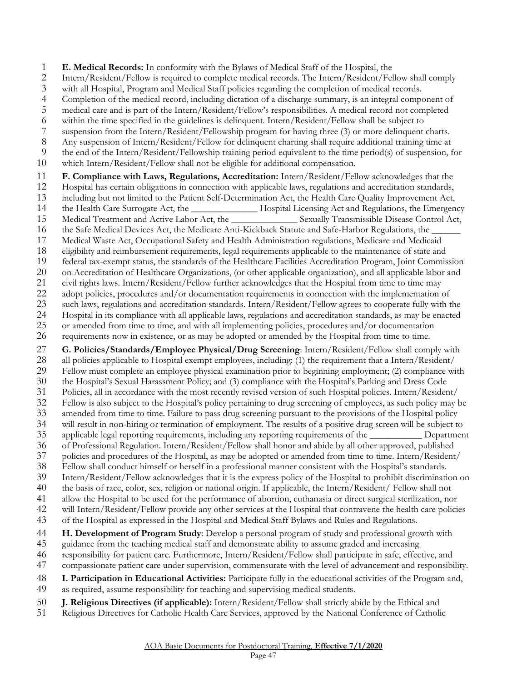**E. Medical Records:** In conformity with the Bylaws of Medical Staff of the Hospital, the

- Intern/Resident/Fellow is required to complete medical records. The Intern/Resident/Fellow shall comply
- 3 with all Hospital, Program and Medical Staff policies regarding the completion of medical records.<br>4 Completion of the medical record, including dictation of a discharge summary, is an integral compo
- Completion of the medical record, including dictation of a discharge summary, is an integral component of
- medical care and is part of the Intern/Resident/Fellow's responsibilities. A medical record not completed
- within the time specified in the guidelines is delinquent. Intern/Resident/Fellow shall be subject to
- 7 suspension from the Intern/Resident/Fellowship program for having three (3) or more delinquent charts.<br>8 Any suspension of Intern/Resident/Fellow for delinquent charting shall require additional training time at
- Any suspension of Intern/Resident/Fellow for delinquent charting shall require additional training time at
- the end of the Intern/Resident/Fellowship training period equivalent to the time period(s) of suspension, for
- which Intern/Resident/Fellow shall not be eligible for additional compensation.

#### **F. Compliance with Laws, Regulations, Accreditation:** Intern/Resident/Fellow acknowledges that the

- Hospital has certain obligations in connection with applicable laws, regulations and accreditation standards,
- 13 including but not limited to the Patient Self-Determination Act, the Health Care Quality Improvement Act,<br>14 the Health Care Surrogate Act, the Hospital Licensing Act and Regulations, the Emergen
- the Health Care Surrogate Act, the \_\_\_\_\_\_\_\_\_\_\_\_\_\_ Hospital Licensing Act and Regulations, the Emergency
- Medical Treatment and Active Labor Act, the \_\_\_\_\_\_\_\_\_\_\_\_\_\_ Sexually Transmissible Disease Control Act,
- 16 the Safe Medical Devices Act, the Medicare Anti-Kickback Statute and Safe-Harbor Regulations, the
- 17 Medical Waste Act, Occupational Safety and Health Administration regulations, Medicare and Medicaid<br>18 eligibility and reimbursement requirements, legal requirements applicable to the maintenance of state and eligibility and reimbursement requirements, legal requirements applicable to the maintenance of state and
- 
- 19 federal tax-exempt status, the standards of the Healthcare Facilities Accreditation Program, Joint Commission<br>20 on Accreditation of Healthcare Organizations, (or other applicable organization), and all applicable labor on Accreditation of Healthcare Organizations, (or other applicable organization), and all applicable labor and
- 
- 21 civil rights laws. Intern/Resident/Fellow further acknowledges that the Hospital from time to time may<br>22 adopt policies, procedures and/or documentation requirements in connection with the implementation of adopt policies, procedures and/or documentation requirements in connection with the implementation of
- such laws, regulations and accreditation standards. Intern/Resident/Fellow agrees to cooperate fully with the
- Hospital in its compliance with all applicable laws, regulations and accreditation standards, as may be enacted
- 25 or amended from time to time, and with all implementing policies, procedures and/or documentation<br>26 requirements now in existence, or as may be adopted or amended by the Hospital from time to time.
- requirements now in existence, or as may be adopted or amended by the Hospital from time to time.
- 27 **G. Policies/Standards/Employee Physical/Drug Screening**: Intern/Resident/Fellow shall comply with<br>28 all policies applicable to Hospital exempt employees, including: (1) the requirement that a Intern/Resident/ all policies applicable to Hospital exempt employees, including: (1) the requirement that a Intern/Resident/
- Fellow must complete an employee physical examination prior to beginning employment; (2) compliance with
- the Hospital's Sexual Harassment Policy; and (3) compliance with the Hospital's Parking and Dress Code
- Policies, all in accordance with the most recently revised version of such Hospital policies. Intern/Resident/
- Fellow is also subject to the Hospital's policy pertaining to drug screening of employees, as such policy may be
- amended from time to time. Failure to pass drug screening pursuant to the provisions of the Hospital policy
- will result in non-hiring or termination of employment. The results of a positive drug screen will be subject to applicable legal reporting requirements, including any reporting requirements of the \_\_\_\_\_\_\_\_\_\_\_ Department
- of Professional Regulation. Intern/Resident/Fellow shall honor and abide by all other approved, published
- policies and procedures of the Hospital, as may be adopted or amended from time to time. Intern/Resident/
- Fellow shall conduct himself or herself in a professional manner consistent with the Hospital's standards.
- Intern/Resident/Fellow acknowledges that it is the express policy of the Hospital to prohibit discrimination on
- the basis of race, color, sex, religion or national origin. If applicable, the Intern/Resident/ Fellow shall not
- allow the Hospital to be used for the performance of abortion, euthanasia or direct surgical sterilization, nor
- will Intern/Resident/Fellow provide any other services at the Hospital that contravene the health care policies
- of the Hospital as expressed in the Hospital and Medical Staff Bylaws and Rules and Regulations.
- **H. Development of Program Study**: Develop a personal program of study and professional growth with
- guidance from the teaching medical staff and demonstrate ability to assume graded and increasing
- responsibility for patient care. Furthermore, Intern/Resident/Fellow shall participate in safe, effective, and
- compassionate patient care under supervision, commensurate with the level of advancement and responsibility.
- **I. Participation in Educational Activities:** Participate fully in the educational activities of the Program and,
- as required, assume responsibility for teaching and supervising medical students.
- **J. Religious Directives (if applicable):** Intern/Resident/Fellow shall strictly abide by the Ethical and
- Religious Directives for Catholic Health Care Services, approved by the National Conference of Catholic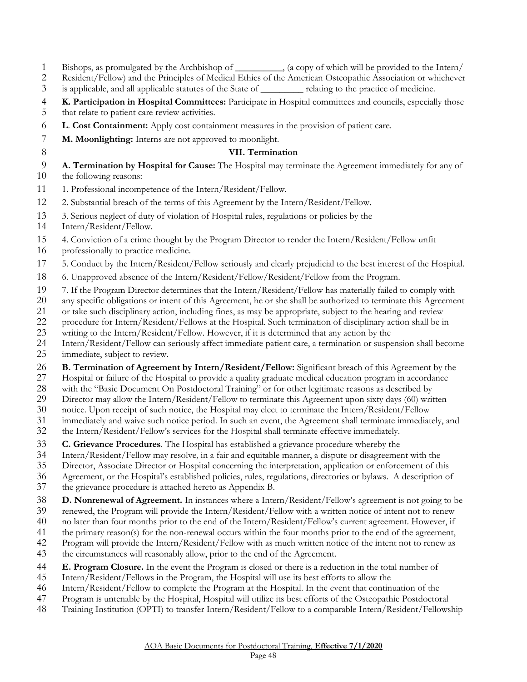- Bishops, as promulgated by the Archbishop of \_\_\_\_\_\_\_\_\_\_, (a copy of which will be provided to the Intern/
- Resident/Fellow) and the Principles of Medical Ethics of the American Osteopathic Association or whichever
- is applicable, and all applicable statutes of the State of \_\_\_\_\_\_\_\_\_ relating to the practice of medicine.
- **K. Participation in Hospital Committees:** Participate in Hospital committees and councils, especially those
- that relate to patient care review activities.
- **L**. **Cost Containment:** Apply cost containment measures in the provision of patient care.
- **M. Moonlighting:** Interns are not approved to moonlight.
- 

#### **VII. Termination**

- **A. Termination by Hospital for Cause:** The Hospital may terminate the Agreement immediately for any of the following reasons:
- 11 1. Professional incompetence of the Intern/Resident/Fellow.
- 2. Substantial breach of the terms of this Agreement by the Intern/Resident/Fellow.
- 3. Serious neglect of duty of violation of Hospital rules, regulations or policies by the
- Intern/Resident/Fellow.
- 4. Conviction of a crime thought by the Program Director to render the Intern/Resident/Fellow unfit
- professionally to practice medicine.
- 5. Conduct by the Intern/Resident/Fellow seriously and clearly prejudicial to the best interest of the Hospital.
- 6. Unapproved absence of the Intern/Resident/Fellow/Resident/Fellow from the Program.
- 7. If the Program Director determines that the Intern/Resident/Fellow has materially failed to comply with
- any specific obligations or intent of this Agreement, he or she shall be authorized to terminate this Agreement
- 21 or take such disciplinary action, including fines, as may be appropriate, subject to the hearing and review<br>22 procedure for Intern/Resident/Fellows at the Hospital. Such termination of disciplinary action shall be in
- procedure for Intern/Resident/Fellows at the Hospital. Such termination of disciplinary action shall be in
- writing to the Intern/Resident/Fellow. However, if it is determined that any action by the
- Intern/Resident/Fellow can seriously affect immediate patient care, a termination or suspension shall become
- immediate, subject to review.
- **B. Termination of Agreement by Intern/Resident/Fellow:** Significant breach of this Agreement by the
- 27 Hospital or failure of the Hospital to provide a quality graduate medical education program in accordance<br>28 with the "Basic Document On Postdoctoral Training" or for other legitimate reasons as described by
- with the "Basic Document On Postdoctoral Training" or for other legitimate reasons as described by
- Director may allow the Intern/Resident/Fellow to terminate this Agreement upon sixty days (60) written
- notice. Upon receipt of such notice, the Hospital may elect to terminate the Intern/Resident/Fellow
- 31 immediately and waive such notice period. In such an event, the Agreement shall terminate immediately, and<br>32 the Intern/Resident/Fellow's services for the Hospital shall terminate effective immediately.
- the Intern/Resident/Fellow's services for the Hospital shall terminate effective immediately.
- **C. Grievance Procedures**. The Hospital has established a grievance procedure whereby the Intern/Resident/Fellow may resolve, in a fair and equitable manner, a dispute or disagreement
- Intern/Resident/Fellow may resolve, in a fair and equitable manner, a dispute or disagreement with the
- Director, Associate Director or Hospital concerning the interpretation, application or enforcement of this
- Agreement, or the Hospital's established policies, rules, regulations, directories or bylaws. A description of
- the grievance procedure is attached hereto as Appendix B.
- **D. Nonrenewal of Agreement.** In instances where a Intern/Resident/Fellow's agreement is not going to be
- renewed, the Program will provide the Intern/Resident/Fellow with a written notice of intent not to renew
- no later than four months prior to the end of the Intern/Resident/Fellow's current agreement. However, if
- the primary reason(s) for the non-renewal occurs within the four months prior to the end of the agreement,
- Program will provide the Intern/Resident/Fellow with as much written notice of the intent not to renew as
- the circumstances will reasonably allow, prior to the end of the Agreement.
- **E. Program Closure.** In the event the Program is closed or there is a reduction in the total number of
- Intern/Resident/Fellows in the Program, the Hospital will use its best efforts to allow the
- Intern/Resident/Fellow to complete the Program at the Hospital. In the event that continuation of the
- Program is untenable by the Hospital, Hospital will utilize its best efforts of the Osteopathic Postdoctoral
- Training Institution (OPTI) to transfer Intern/Resident/Fellow to a comparable Intern/Resident/Fellowship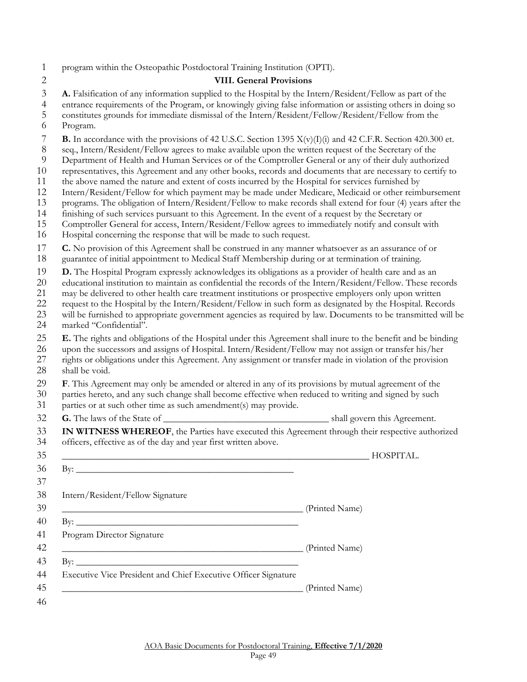program within the Osteopathic Postdoctoral Training Institution (OPTI).

#### **VIII. General Provisions**

**A.** Falsification of any information supplied to the Hospital by the Intern/Resident/Fellow as part of the

- entrance requirements of the Program, or knowingly giving false information or assisting others in doing so
- constitutes grounds for immediate dismissal of the Intern/Resident/Fellow/Resident/Fellow from the Program.
- **B.** In accordance with the provisions of 42 U.S.C. Section 1395 X(v)(I)(i) and 42 C.F.R. Section 420.300 et.
- seq., Intern/Resident/Fellow agrees to make available upon the written request of the Secretary of the
- Department of Health and Human Services or of the Comptroller General or any of their duly authorized
- representatives, this Agreement and any other books, records and documents that are necessary to certify to
- the above named the nature and extent of costs incurred by the Hospital for services furnished by
- Intern/Resident/Fellow for which payment may be made under Medicare, Medicaid or other reimbursement
- 13 programs. The obligation of Intern/Resident/Fellow to make records shall extend for four (4) years after the<br>14 finishing of such services pursuant to this Agreement. In the event of a request by the Secretary or
- finishing of such services pursuant to this Agreement. In the event of a request by the Secretary or
- Comptroller General for access, Intern/Resident/Fellow agrees to immediately notify and consult with
- Hospital concerning the response that will be made to such request.
- **C.** No provision of this Agreement shall be construed in any manner whatsoever as an assurance of or
- guarantee of initial appointment to Medical Staff Membership during or at termination of training.
- **D.** The Hospital Program expressly acknowledges its obligations as a provider of health care and as an
- educational institution to maintain as confidential the records of the Intern/Resident/Fellow. These records
- 21 may be delivered to other health care treatment institutions or prospective employers only upon written<br>22 request to the Hospital by the Intern/Resident/Fellow in such form as designated by the Hospital. Reco
- request to the Hospital by the Intern/Resident/Fellow in such form as designated by the Hospital. Records
- will be furnished to appropriate government agencies as required by law. Documents to be transmitted will be marked "Confidential".
- **E.** The rights and obligations of the Hospital under this Agreement shall inure to the benefit and be binding
- upon the successors and assigns of Hospital. Intern/Resident/Fellow may not assign or transfer his/her
- 27 rights or obligations under this Agreement. Any assignment or transfer made in violation of the provision<br>28 shall be void. shall be void.
- **F**. This Agreement may only be amended or altered in any of its provisions by mutual agreement of the
- parties hereto, and any such change shall become effective when reduced to writing and signed by such
- parties or at such other time as such amendment(s) may provide.
- **G.** The laws of the State of \_\_\_\_\_\_\_\_\_\_\_\_\_\_\_\_\_\_\_\_\_\_\_\_\_\_\_\_\_\_\_\_\_\_\_ shall govern this Agreement.
- **IN WITNESS WHEREOF**, the Parties have executed this Agreement through their respective authorized officers, effective as of the day and year first written above.

|                                                                                                                      |                | HOSPITAL. |
|----------------------------------------------------------------------------------------------------------------------|----------------|-----------|
| By: $\qquad \qquad$                                                                                                  |                |           |
| Intern/Resident/Fellow Signature                                                                                     |                |           |
| <u> 1989 - Jan James James James James James James James James James James James James James James James James J</u> | (Printed Name) |           |
|                                                                                                                      |                |           |
| Program Director Signature                                                                                           |                |           |
| <u> 1980 - Jan James James James James James James James James James James James James James James James James J</u> | (Printed Name) |           |
|                                                                                                                      |                |           |
| Executive Vice President and Chief Executive Officer Signature                                                       |                |           |
|                                                                                                                      | (Printed Name) |           |
|                                                                                                                      |                |           |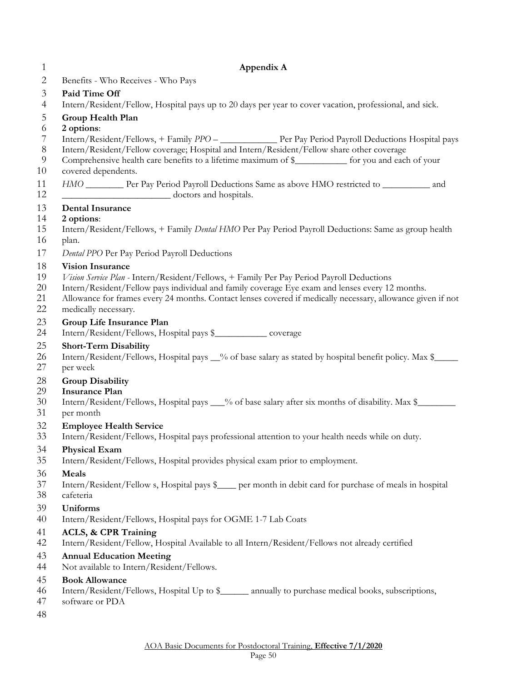| 1        | Appendix A                                                                                                                   |
|----------|------------------------------------------------------------------------------------------------------------------------------|
| 2        | Benefits - Who Receives - Who Pays                                                                                           |
| 3        | Paid Time Off                                                                                                                |
| 4        | Intern/Resident/Fellow, Hospital pays up to 20 days per year to cover vacation, professional, and sick.                      |
| 5        | Group Health Plan                                                                                                            |
| 6<br>7   | 2 options:<br>Intern/Resident/Fellows, + Family PPO - _______________ Per Pay Period Payroll Deductions Hospital pays        |
| $\,8\,$  | Intern/Resident/Fellow coverage; Hospital and Intern/Resident/Fellow share other coverage                                    |
| 9        | Comprehensive health care benefits to a lifetime maximum of \$___________ for you and each of your                           |
| 10       | covered dependents.                                                                                                          |
| 11<br>12 | HMO ___________ Per Pay Period Payroll Deductions Same as above HMO restricted to ____________ and<br>doctors and hospitals. |
| 13       | <b>Dental Insurance</b>                                                                                                      |
| 14       | 2 options:                                                                                                                   |
| 15<br>16 | Intern/Resident/Fellows, + Family Dental HMO Per Pay Period Payroll Deductions: Same as group health<br>plan.                |
| 17       | Dental PPO Per Pay Period Payroll Deductions                                                                                 |
| 18       | <b>Vision Insurance</b>                                                                                                      |
| 19       | Vision Service Plan - Intern/Resident/Fellows, + Family Per Pay Period Payroll Deductions                                    |
| 20       | Intern/Resident/Fellow pays individual and family coverage Eye exam and lenses every 12 months.                              |
| 21       | Allowance for frames every 24 months. Contact lenses covered if medically necessary, allowance given if not                  |
| 22       | medically necessary.                                                                                                         |
| 23<br>24 | Group Life Insurance Plan<br>Intern/Resident/Fellows, Hospital pays \$_____________ coverage                                 |
| 25       | <b>Short-Term Disability</b>                                                                                                 |
| 26<br>27 | Intern/Resident/Fellows, Hospital pays _% of base salary as stated by hospital benefit policy. Max \$____<br>per week        |
| 28       | <b>Group Disability</b>                                                                                                      |
| 29       | <b>Insurance Plan</b>                                                                                                        |
| 30       | Intern/Resident/Fellows, Hospital pays __% of base salary after six months of disability. Max \$_____                        |
| 31       | per month                                                                                                                    |
| 32       | <b>Employee Health Service</b>                                                                                               |
| 33       | Intern/Resident/Fellows, Hospital pays professional attention to your health needs while on duty.                            |
| 34<br>35 | <b>Physical Exam</b><br>Intern/Resident/Fellows, Hospital provides physical exam prior to employment.                        |
| 36       | Meals                                                                                                                        |
| 37       | Intern/Resident/Fellow s, Hospital pays \$____ per month in debit card for purchase of meals in hospital                     |
| 38       | cafeteria                                                                                                                    |
| 39       | <b>Uniforms</b>                                                                                                              |
| 40       | Intern/Resident/Fellows, Hospital pays for OGME 1-7 Lab Coats                                                                |
| 41       | <b>ACLS, &amp; CPR Training</b>                                                                                              |
| 42       | Intern/Resident/Fellow, Hospital Available to all Intern/Resident/Fellows not already certified                              |
| 43       | <b>Annual Education Meeting</b>                                                                                              |
| 44       | Not available to Intern/Resident/Fellows.<br><b>Book Allowance</b>                                                           |
| 45<br>46 | Intern/Resident/Fellows, Hospital Up to \$_______ annually to purchase medical books, subscriptions,                         |
| 47       | software or PDA                                                                                                              |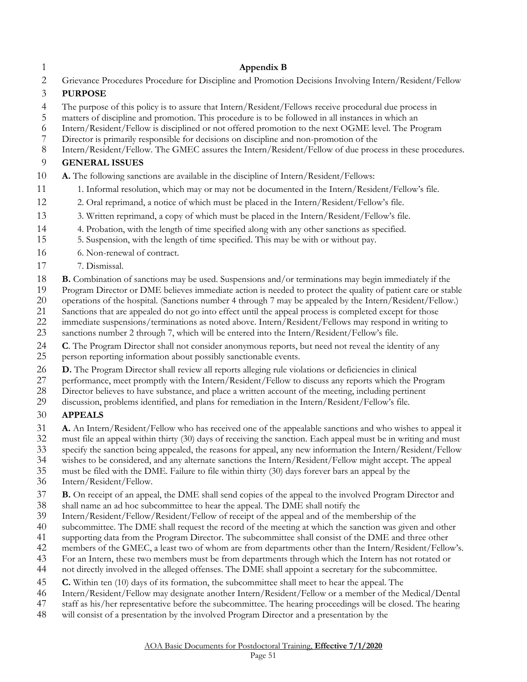#### **Appendix B**

Grievance Procedures Procedure for Discipline and Promotion Decisions Involving Intern/Resident/Fellow

#### **PURPOSE**

- The purpose of this policy is to assure that Intern/Resident/Fellows receive procedural due process in
- 
- 5 matters of discipline and promotion. This procedure is to be followed in all instances in which an Intern/Resident/Fellow is disciplined or not offered promotion to the next OGME level. The Pro Intern/Resident/Fellow is disciplined or not offered promotion to the next OGME level. The Program
- Director is primarily responsible for decisions on discipline and non-promotion of the
- Intern/Resident/Fellow. The GMEC assures the Intern/Resident/Fellow of due process in these procedures.

#### **GENERAL ISSUES**

- **A.** The following sanctions are available in the discipline of Intern/Resident/Fellows:
- 1. Informal resolution, which may or may not be documented in the Intern/Resident/Fellow's file.
- 2. Oral reprimand, a notice of which must be placed in the Intern/Resident/Fellow's file.
- 3. Written reprimand, a copy of which must be placed in the Intern/Resident/Fellow's file.
- 4. Probation, with the length of time specified along with any other sanctions as specified.
- 5. Suspension, with the length of time specified. This may be with or without pay.
- 6. Non-renewal of contract.
- 7. Dismissal.
- **B.** Combination of sanctions may be used. Suspensions and/or terminations may begin immediately if the
- Program Director or DME believes immediate action is needed to protect the quality of patient care or stable
- operations of the hospital. (Sanctions number 4 through 7 may be appealed by the Intern/Resident/Fellow.)
- 21 Sanctions that are appealed do not go into effect until the appeal process is completed except for those<br>22 immediate suspensions/terminations as noted above. Intern/Resident/Fellows may respond in writing
- immediate suspensions/terminations as noted above. Intern/Resident/Fellows may respond in writing to
- sanctions number 2 through 7, which will be entered into the Intern/Resident/Fellow's file.
- **C**. The Program Director shall not consider anonymous reports, but need not reveal the identity of any
- person reporting information about possibly sanctionable events.
- **D.** The Program Director shall review all reports alleging rule violations or deficiencies in clinical
- performance, meet promptly with the Intern/Resident/Fellow to discuss any reports which the Program
- Director believes to have substance, and place a written account of the meeting, including pertinent
- discussion, problems identified, and plans for remediation in the Intern/Resident/Fellow's file.

#### **APPEALS**

- **A.** An Intern/Resident/Fellow who has received one of the appealable sanctions and who wishes to appeal it
- must file an appeal within thirty (30) days of receiving the sanction. Each appeal must be in writing and must
- 33 specify the sanction being appealed, the reasons for appeal, any new information the Intern/Resident/Fellow<br>34 wishes to be considered, and any alternate sanctions the Intern/Resident/Fellow might accept. The appeal
- wishes to be considered, and any alternate sanctions the Intern/Resident/Fellow might accept. The appeal
- must be filed with the DME. Failure to file within thirty (30) days forever bars an appeal by the
- Intern/Resident/Fellow.
- **B.** On receipt of an appeal, the DME shall send copies of the appeal to the involved Program Director and
- shall name an ad hoc subcommittee to hear the appeal. The DME shall notify the
- 39 Intern/Resident/Fellow/Resident/Fellow of receipt of the appeal and of the membership of the<br>40 subcommittee. The DME shall request the record of the meeting at which the sanction was given
- subcommittee. The DME shall request the record of the meeting at which the sanction was given and other
- supporting data from the Program Director. The subcommittee shall consist of the DME and three other
- members of the GMEC, a least two of whom are from departments other than the Intern/Resident/Fellow's.
- For an Intern, these two members must be from departments through which the Intern has not rotated or
- not directly involved in the alleged offenses. The DME shall appoint a secretary for the subcommittee.
- **C.** Within ten (10) days of its formation, the subcommittee shall meet to hear the appeal. The
- Intern/Resident/Fellow may designate another Intern/Resident/Fellow or a member of the Medical/Dental
- staff as his/her representative before the subcommittee. The hearing proceedings will be closed. The hearing
- will consist of a presentation by the involved Program Director and a presentation by the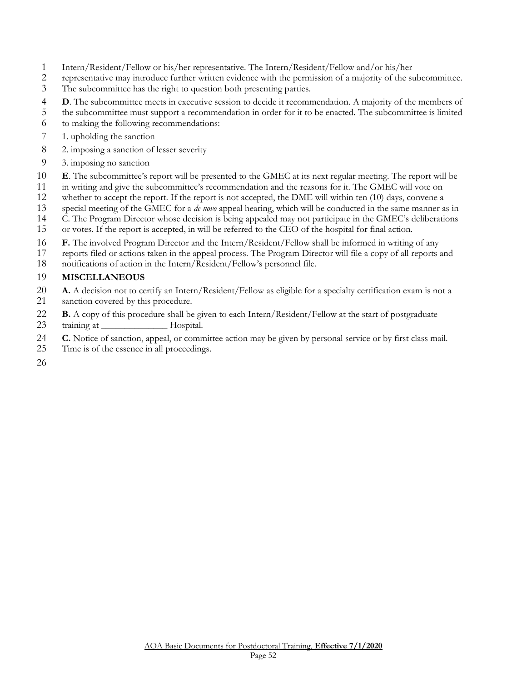- Intern/Resident/Fellow or his/her representative. The Intern/Resident/Fellow and/or his/her
- representative may introduce further written evidence with the permission of a majority of the subcommittee.
- The subcommittee has the right to question both presenting parties.
- **D**. The subcommittee meets in executive session to decide it recommendation. A majority of the members of
- the subcommittee must support a recommendation in order for it to be enacted. The subcommittee is limited
- to making the following recommendations:
- 1. upholding the sanction
- 2. imposing a sanction of lesser severity
- 3. imposing no sanction
- **E**. The subcommittee's report will be presented to the GMEC at its next regular meeting. The report will be
- in writing and give the subcommittee's recommendation and the reasons for it. The GMEC will vote on
- whether to accept the report. If the report is not accepted, the DME will within ten (10) days, convene a
- 13 special meeting of the GMEC for a *de novo* appeal hearing, which will be conducted in the same manner as in<br>14 C. The Program Director whose decision is being appealed may not participate in the GMEC's deliberations
- C. The Program Director whose decision is being appealed may not participate in the GMEC's deliberations
- or votes. If the report is accepted, in will be referred to the CEO of the hospital for final action.
- **F.** The involved Program Director and the Intern/Resident/Fellow shall be informed in writing of any
- reports filed or actions taken in the appeal process. The Program Director will file a copy of all reports and
- notifications of action in the Intern/Resident/Fellow's personnel file.

#### **MISCELLANEOUS**

- **A.** A decision not to certify an Intern/Resident/Fellow as eligible for a specialty certification exam is not a sanction covered by this procedure.
- **B.** A copy of this procedure shall be given to each Intern/Resident/Fellow at the start of postgraduate
- 23 training at Hospital.
- **C.** Notice of sanction, appeal, or committee action may be given by personal service or by first class mail.
- Time is of the essence in all proceedings.
-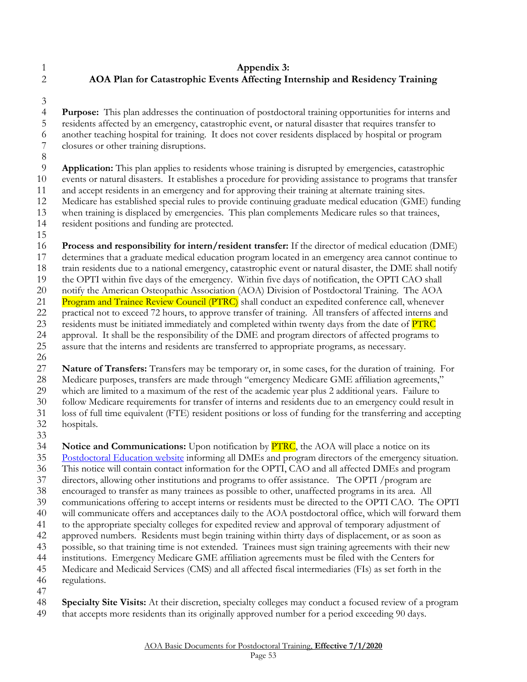- <span id="page-52-0"></span> **Appendix 3: AOA Plan for Catastrophic Events Affecting Internship and Residency Training**
- 

 **Purpose:** This plan addresses the continuation of postdoctoral training opportunities for interns and residents affected by an emergency, catastrophic event, or natural disaster that requires transfer to another teaching hospital for training. It does not cover residents displaced by hospital or program closures or other training disruptions.

 **Application:** This plan applies to residents whose training is disrupted by emergencies, catastrophic events or natural disasters. It establishes a procedure for providing assistance to programs that transfer and accept residents in an emergency and for approving their training at alternate training sites.

- Medicare has established special rules to provide continuing graduate medical education (GME) funding
- when training is displaced by emergencies. This plan complements Medicare rules so that trainees,
- resident positions and funding are protected.
- 

**Process and responsibility for intern/resident transfer:** If the director of medical education (DME)

determines that a graduate medical education program located in an emergency area cannot continue to

train residents due to a national emergency, catastrophic event or natural disaster, the DME shall notify

the OPTI within five days of the emergency. Within five days of notification, the OPTI CAO shall

 notify the American Osteopathic Association (AOA) Division of Postdoctoral Training. The AOA 21 Program and Trainee Review Council (PTRC) shall conduct an expedited conference call, whenever

practical not to exceed 72 hours, to approve transfer of training. All transfers of affected interns and

23 residents must be initiated immediately and completed within twenty days from the date of **PTRC** 

approval. It shall be the responsibility of the DME and program directors of affected programs to

 assure that the interns and residents are transferred to appropriate programs, as necessary. 

**Nature of Transfers:** Transfers may be temporary or, in some cases, for the duration of training. For

 Medicare purposes, transfers are made through "emergency Medicare GME affiliation agreements," which are limited to a maximum of the rest of the academic year plus 2 additional years. Failure to

follow Medicare requirements for transfer of interns and residents due to an emergency could result in

loss of full time equivalent (FTE) resident positions or loss of funding for the transferring and accepting

- hospitals.
- 

**Notice and Communications:** Upon notification by PTRC, the AOA will place a notice on its

[Postdoctoral Education website](http://www.osteopathic.org/inside-aoa/Education/postdoctoral-training/Pages/default.aspx) informing all DMEs and program directors of the emergency situation.

This notice will contain contact information for the OPTI, CAO and all affected DMEs and program

directors, allowing other institutions and programs to offer assistance. The OPTI /program are

- encouraged to transfer as many trainees as possible to other, unaffected programs in its area. All
- communications offering to accept interns or residents must be directed to the OPTI CAO. The OPTI
- will communicate offers and acceptances daily to the AOA postdoctoral office, which will forward them

to the appropriate specialty colleges for expedited review and approval of temporary adjustment of

approved numbers. Residents must begin training within thirty days of displacement, or as soon as

possible, so that training time is not extended. Trainees must sign training agreements with their new

institutions. Emergency Medicare GME affiliation agreements must be filed with the Centers for

Medicare and Medicaid Services (CMS) and all affected fiscal intermediaries (FIs) as set forth in the

 regulations. 

**Specialty Site Visits:** At their discretion, specialty colleges may conduct a focused review of a program

49 that accepts more residents than its originally approved number for a period exceeding 90 days.